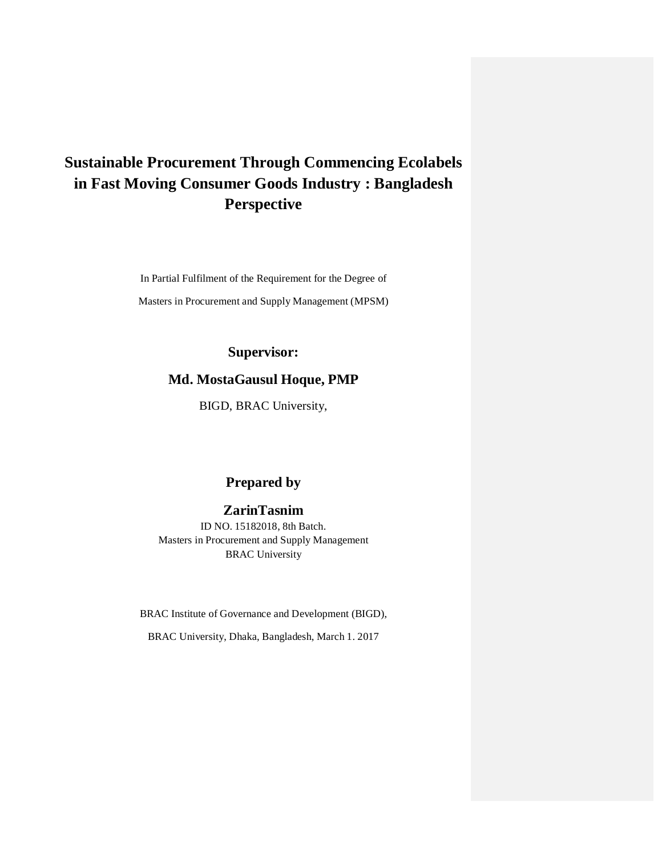# **Sustainable Procurement Through Commencing Ecolabels in Fast Moving Consumer Goods Industry : Bangladesh Perspective**

In Partial Fulfilment of the Requirement for the Degree of Masters in Procurement and Supply Management (MPSM)

## **Supervisor:**

## **Md. MostaGausul Hoque, PMP**

BIGD, BRAC University,

## **Prepared by**

## **ZarinTasnim**

ID NO. 15182018, 8th Batch. Masters in Procurement and Supply Management BRAC University

BRAC Institute of Governance and Development (BIGD),

BRAC University, Dhaka, Bangladesh, March 1. 2017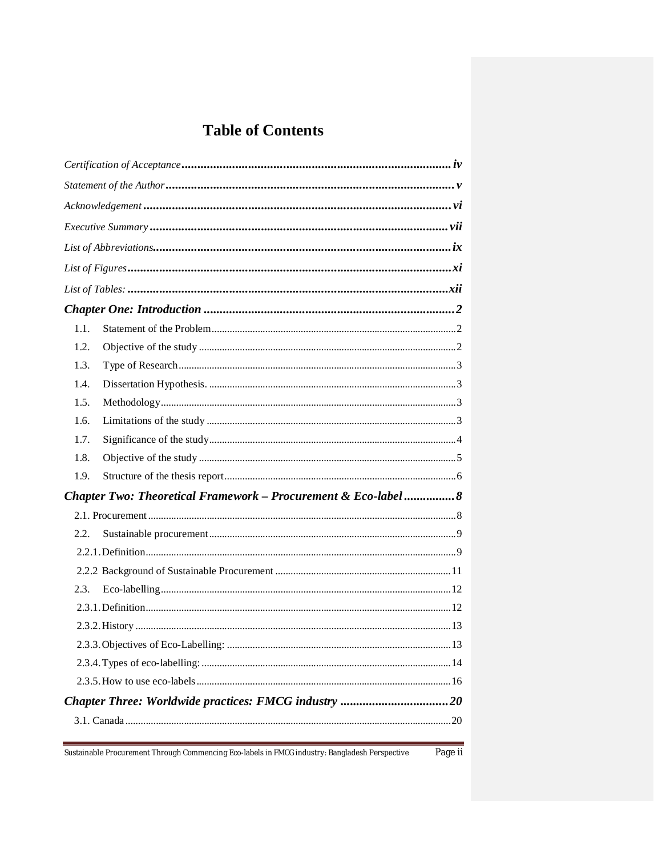# **Table of Contents**

| 1.1. |                                                                |  |  |  |
|------|----------------------------------------------------------------|--|--|--|
| 1.2. |                                                                |  |  |  |
| 1.3. |                                                                |  |  |  |
| 1.4. |                                                                |  |  |  |
| 1.5. |                                                                |  |  |  |
| 1.6. |                                                                |  |  |  |
| 1.7. |                                                                |  |  |  |
| 1.8. |                                                                |  |  |  |
| 1.9. |                                                                |  |  |  |
|      | Chapter Two: Theoretical Framework - Procurement & Eco-label 8 |  |  |  |
|      |                                                                |  |  |  |
| 2.2. |                                                                |  |  |  |
|      |                                                                |  |  |  |
|      |                                                                |  |  |  |
| 2.3. |                                                                |  |  |  |
|      |                                                                |  |  |  |
|      |                                                                |  |  |  |
|      |                                                                |  |  |  |
|      |                                                                |  |  |  |
|      |                                                                |  |  |  |
|      |                                                                |  |  |  |
|      |                                                                |  |  |  |
|      |                                                                |  |  |  |

-<br>Sustainable Procurement Through Commencing Eco-labels in FMCG industry: Bangladesh Perspective

 $\overline{Page ii}$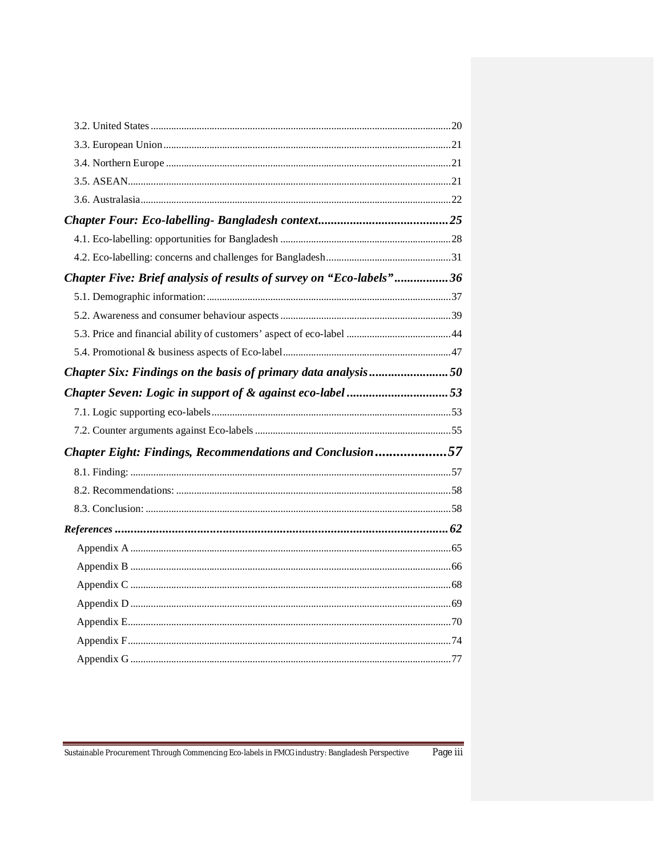| Chapter Five: Brief analysis of results of survey on "Eco-labels"36 |  |
|---------------------------------------------------------------------|--|
|                                                                     |  |
|                                                                     |  |
|                                                                     |  |
|                                                                     |  |
| Chapter Six: Findings on the basis of primary data analysis50       |  |
|                                                                     |  |
|                                                                     |  |
|                                                                     |  |
| Chapter Eight: Findings, Recommendations and Conclusion57           |  |
|                                                                     |  |
|                                                                     |  |
|                                                                     |  |
|                                                                     |  |
|                                                                     |  |
|                                                                     |  |
|                                                                     |  |
|                                                                     |  |
|                                                                     |  |
|                                                                     |  |
|                                                                     |  |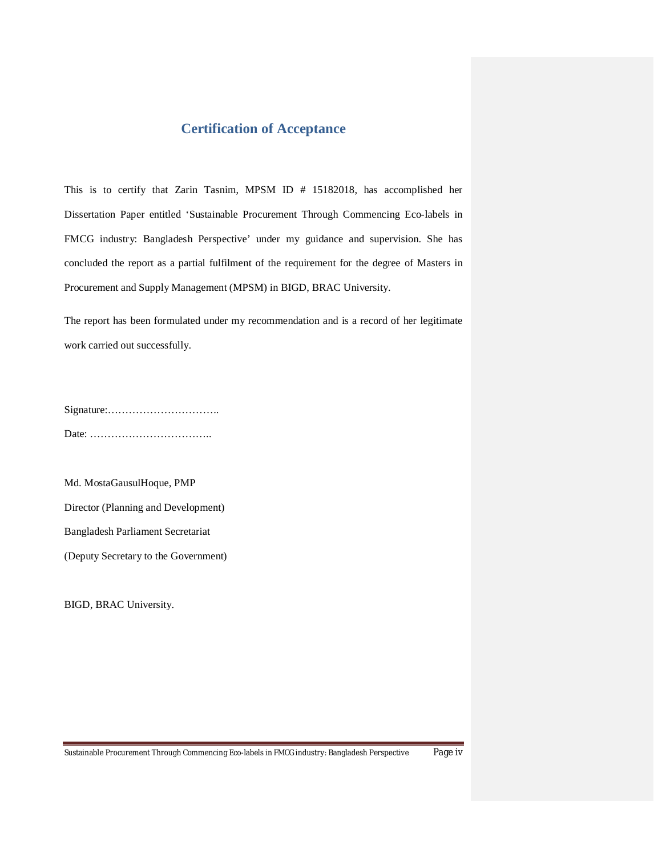## **Certification of Acceptance**

This is to certify that Zarin Tasnim, MPSM ID # 15182018, has accomplished her Dissertation Paper entitled 'Sustainable Procurement Through Commencing Eco-labels in FMCG industry: Bangladesh Perspective' under my guidance and supervision. She has concluded the report as a partial fulfilment of the requirement for the degree of Masters in Procurement and Supply Management (MPSM) in BIGD, BRAC University.

The report has been formulated under my recommendation and is a record of her legitimate work carried out successfully.

Signature:………………………….. Date: ……………………………..

Md. MostaGausulHoque, PMP Director (Planning and Development) Bangladesh Parliament Secretariat (Deputy Secretary to the Government)

BIGD, BRAC University.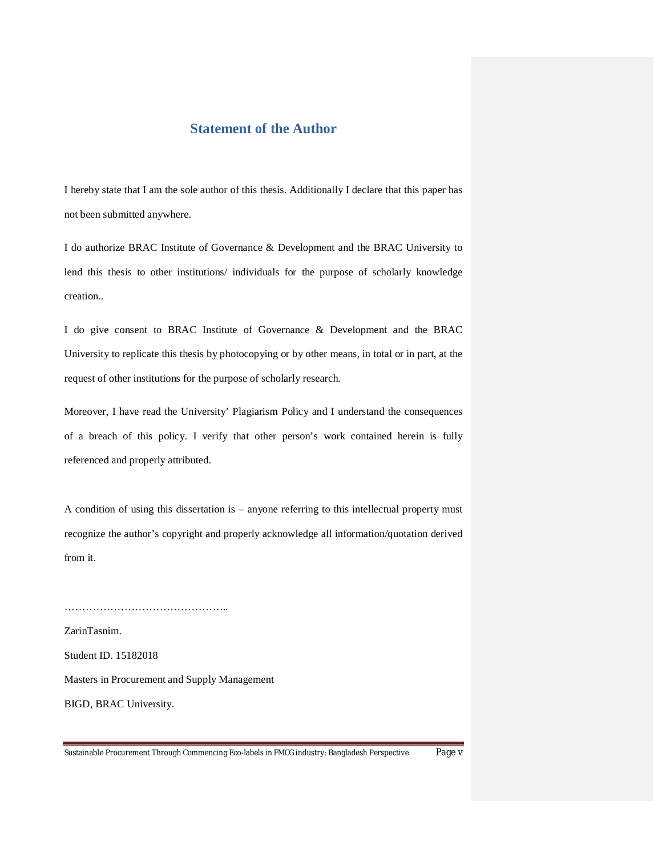## **Statement of the Author**

I hereby state that I am the sole author of this thesis. Additionally I declare that this paper has not been submitted anywhere.

I do authorize BRAC Institute of Governance & Development and the BRAC University to lend this thesis to other institutions/ individuals for the purpose of scholarly knowledge creation..

I do give consent to BRAC Institute of Governance & Development and the BRAC University to replicate this thesis by photocopying or by other means, in total or in part, at the request of other institutions for the purpose of scholarly research.

Moreover, I have read the University' Plagiarism Policy and I understand the consequences of a breach of this policy. I verify that other person's work contained herein is fully referenced and properly attributed.

A condition of using this dissertation is – anyone referring to this intellectual property must recognize the author's copyright and properly acknowledge all information/quotation derived from it.

…………………………………………………

ZarinTasnim. Student ID. 15182018 Masters in Procurement and Supply Management

BIGD, BRAC University.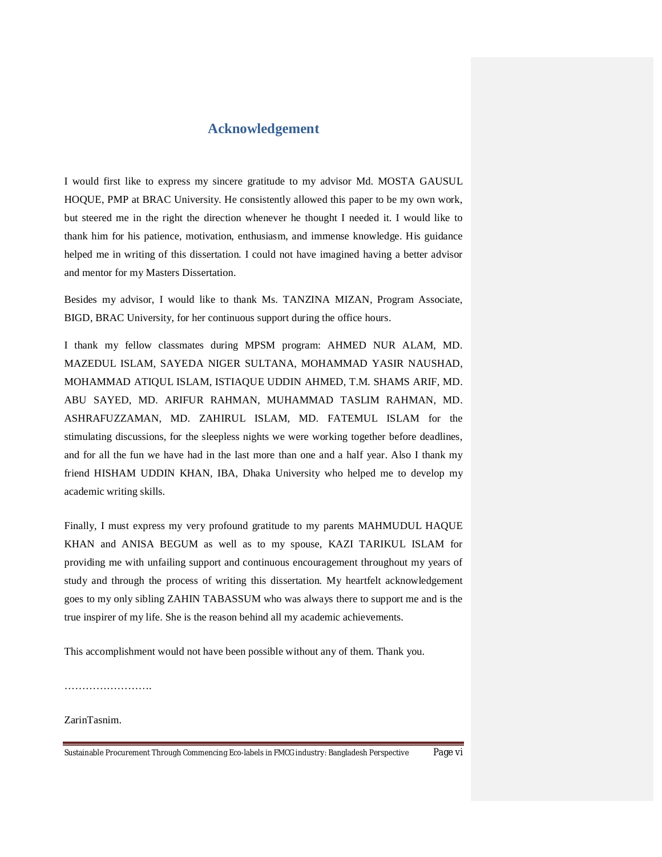## **Acknowledgement**

I would first like to express my sincere gratitude to my advisor Md. MOSTA GAUSUL HOQUE, PMP at BRAC University. He consistently allowed this paper to be my own work, but steered me in the right the direction whenever he thought I needed it. I would like to thank him for his patience, motivation, enthusiasm, and immense knowledge. His guidance helped me in writing of this dissertation. I could not have imagined having a better advisor and mentor for my Masters Dissertation.

Besides my advisor, I would like to thank Ms. TANZINA MIZAN, Program Associate, BIGD, BRAC University, for her continuous support during the office hours.

I thank my fellow classmates during MPSM program: AHMED NUR ALAM, MD. MAZEDUL ISLAM, SAYEDA NIGER SULTANA, MOHAMMAD YASIR NAUSHAD, MOHAMMAD ATIQUL ISLAM, ISTIAQUE UDDIN AHMED, T.M. SHAMS ARIF, MD. ABU SAYED, MD. ARIFUR RAHMAN, MUHAMMAD TASLIM RAHMAN, MD. ASHRAFUZZAMAN, MD. ZAHIRUL ISLAM, MD. FATEMUL ISLAM for the stimulating discussions, for the sleepless nights we were working together before deadlines, and for all the fun we have had in the last more than one and a half year. Also I thank my friend HISHAM UDDIN KHAN, IBA, Dhaka University who helped me to develop my academic writing skills.

Finally, I must express my very profound gratitude to my parents MAHMUDUL HAQUE KHAN and ANISA BEGUM as well as to my spouse, KAZI TARIKUL ISLAM for providing me with unfailing support and continuous encouragement throughout my years of study and through the process of writing this dissertation. My heartfelt acknowledgement goes to my only sibling ZAHIN TABASSUM who was always there to support me and is the true inspirer of my life. She is the reason behind all my academic achievements.

This accomplishment would not have been possible without any of them. Thank you.

…………………………………

## ZarinTasnim.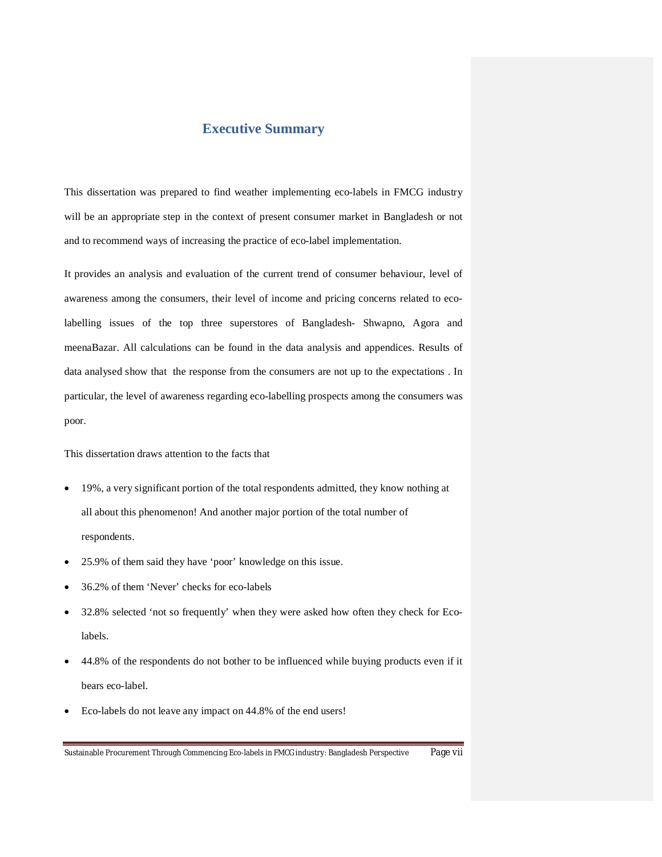## **Executive Summary**

This dissertation was prepared to find weather implementing eco-labels in FMCG industry will be an appropriate step in the context of present consumer market in Bangladesh or not and to recommend ways of increasing the practice of eco-label implementation.

It provides an analysis and evaluation of the current trend of consumer behaviour, level of awareness among the consumers, their level of income and pricing concerns related to ecolabelling issues of the top three superstores of Bangladesh- Shwapno, Agora and meenaBazar. All calculations can be found in the data analysis and appendices. Results of data analysed show that the response from the consumers are not up to the expectations . In particular, the level of awareness regarding eco-labelling prospects among the consumers was poor.

This dissertation draws attention to the facts that

- 19%, a very significant portion of the total respondents admitted, they know nothing at all about this phenomenon! And another major portion of the total number of respondents.
- 25.9% of them said they have 'poor' knowledge on this issue.
- 36.2% of them 'Never' checks for eco-labels
- 32.8% selected 'not so frequently' when they were asked how often they check for Ecolabels.
- 44.8% of the respondents do not bother to be influenced while buying products even if it bears eco-label.
- Eco-labels do not leave any impact on 44.8% of the end users!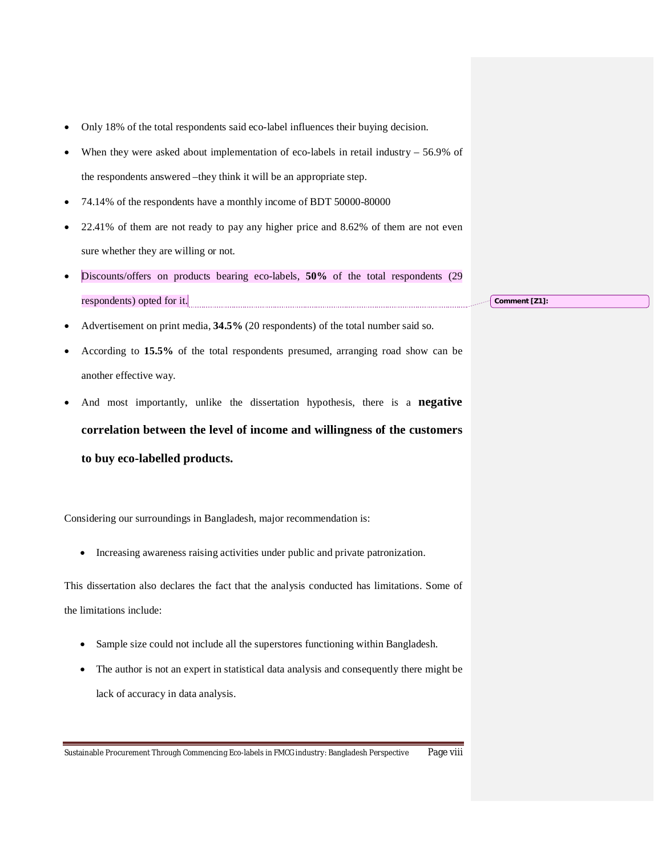- Only 18% of the total respondents said eco-label influences their buying decision.
- When they were asked about implementation of eco-labels in retail industry 56.9% of the respondents answered –they think it will be an appropriate step.
- 74.14% of the respondents have a monthly income of BDT 50000-80000
- 22.41% of them are not ready to pay any higher price and 8.62% of them are not even sure whether they are willing or not.
- Discounts/offers on products bearing eco-labels, **50%** of the total respondents (29 respondents) opted for it.
- Advertisement on print media, **34.5%** (20 respondents) of the total number said so.
- According to **15.5%** of the total respondents presumed, arranging road show can be another effective way.
- And most importantly, unlike the dissertation hypothesis, there is a **negative correlation between the level of income and willingness of the customers to buy eco-labelled products.**

Considering our surroundings in Bangladesh, major recommendation is:

Increasing awareness raising activities under public and private patronization.

This dissertation also declares the fact that the analysis conducted has limitations. Some of the limitations include:

- Sample size could not include all the superstores functioning within Bangladesh.
- The author is not an expert in statistical data analysis and consequently there might be lack of accuracy in data analysis.

Sustainable Procurement Through Commencing Eco-labels in FMCG industry: Bangladesh Perspective Page viii

**Comment [Z1]:**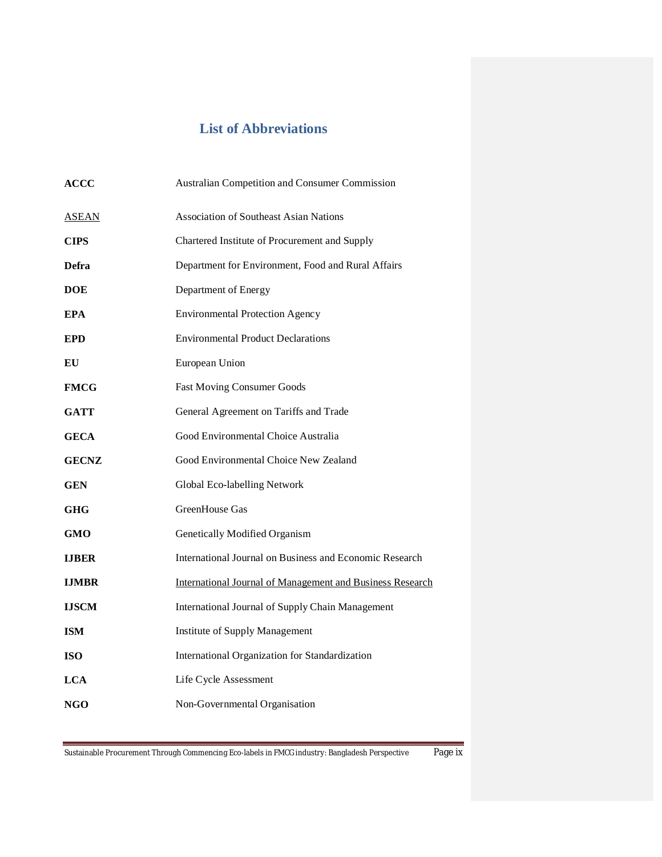## **List of Abbreviations**

| Australian Competition and Consumer Commission                   |
|------------------------------------------------------------------|
| <b>Association of Southeast Asian Nations</b>                    |
| Chartered Institute of Procurement and Supply                    |
| Department for Environment, Food and Rural Affairs               |
| Department of Energy                                             |
| <b>Environmental Protection Agency</b>                           |
| <b>Environmental Product Declarations</b>                        |
| European Union                                                   |
| <b>Fast Moving Consumer Goods</b>                                |
| General Agreement on Tariffs and Trade                           |
| Good Environmental Choice Australia                              |
| Good Environmental Choice New Zealand                            |
| Global Eco-labelling Network                                     |
| GreenHouse Gas                                                   |
| Genetically Modified Organism                                    |
| International Journal on Business and Economic Research          |
| <b>International Journal of Management and Business Research</b> |
| International Journal of Supply Chain Management                 |
| <b>Institute of Supply Management</b>                            |
| International Organization for Standardization                   |
| Life Cycle Assessment                                            |
| Non-Governmental Organisation                                    |
|                                                                  |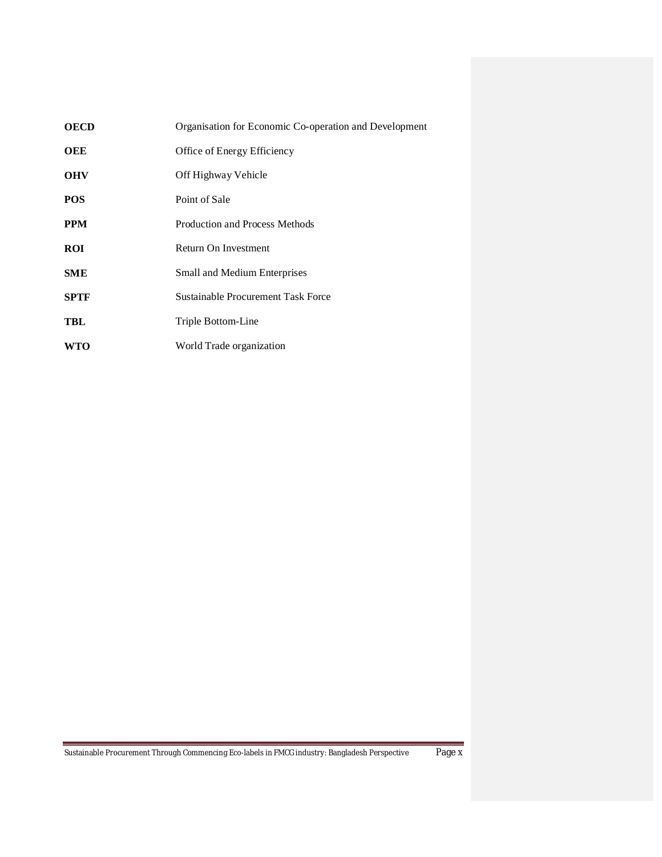| <b>OECD</b> | Organisation for Economic Co-operation and Development |  |
|-------------|--------------------------------------------------------|--|
| OEE         | Office of Energy Efficiency                            |  |
| <b>OHV</b>  | Off Highway Vehicle                                    |  |
| <b>POS</b>  | Point of Sale                                          |  |
| <b>PPM</b>  | Production and Process Methods                         |  |
| <b>ROI</b>  | Return On Investment                                   |  |
| <b>SME</b>  | Small and Medium Enterprises                           |  |
| <b>SPTF</b> | <b>Sustainable Procurement Task Force</b>              |  |
| TBL         | Triple Bottom-Line                                     |  |
| <b>WTO</b>  | World Trade organization                               |  |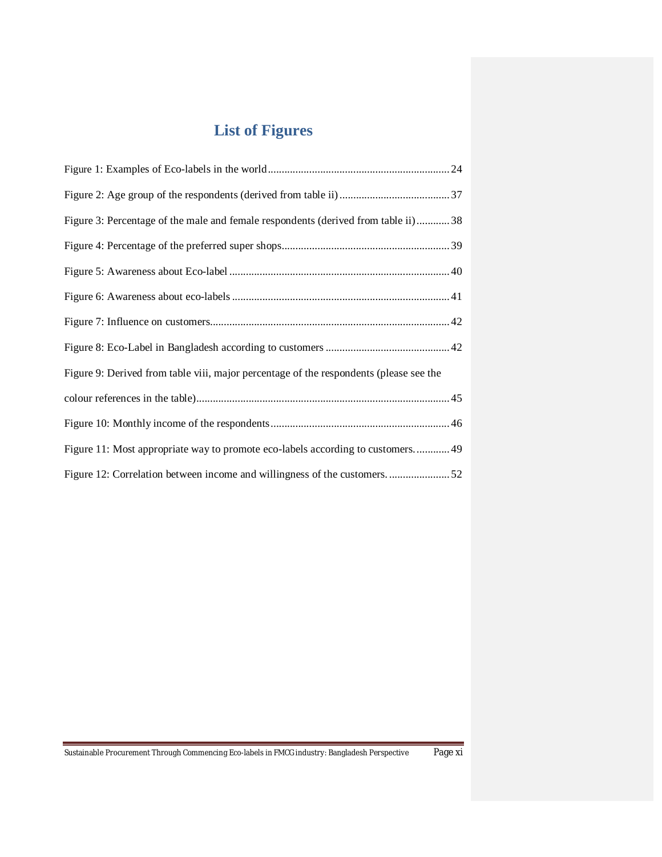# **List of Figures**

| Figure 3: Percentage of the male and female respondents (derived from table ii)38      |
|----------------------------------------------------------------------------------------|
|                                                                                        |
|                                                                                        |
|                                                                                        |
|                                                                                        |
|                                                                                        |
| Figure 9: Derived from table viii, major percentage of the respondents (please see the |
|                                                                                        |
|                                                                                        |
| Figure 11: Most appropriate way to promote eco-labels according to customers 49        |
|                                                                                        |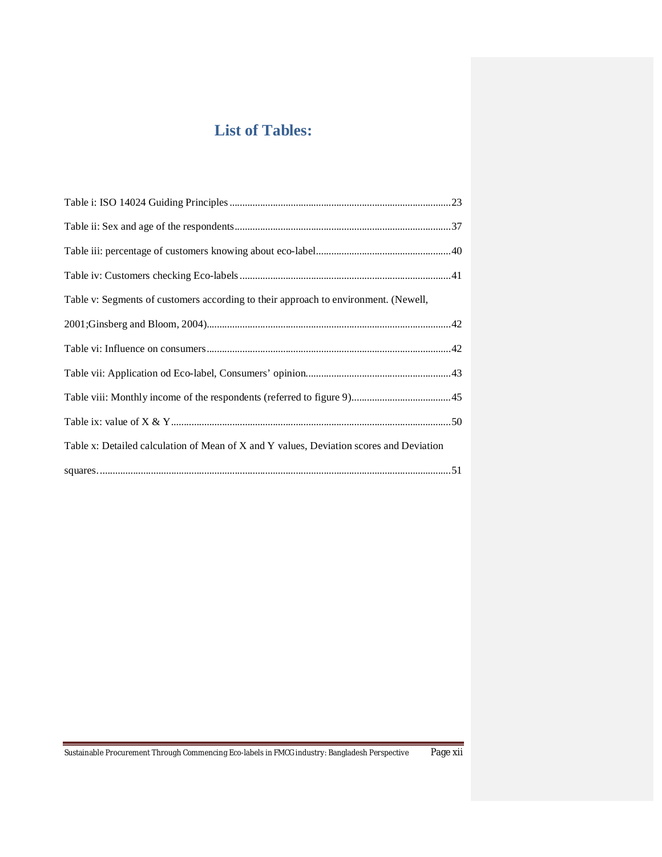## **List of Tables:**

| Table v: Segments of customers according to their approach to environment. (Newell,     |  |
|-----------------------------------------------------------------------------------------|--|
|                                                                                         |  |
|                                                                                         |  |
|                                                                                         |  |
|                                                                                         |  |
|                                                                                         |  |
| Table x: Detailed calculation of Mean of X and Y values, Deviation scores and Deviation |  |
|                                                                                         |  |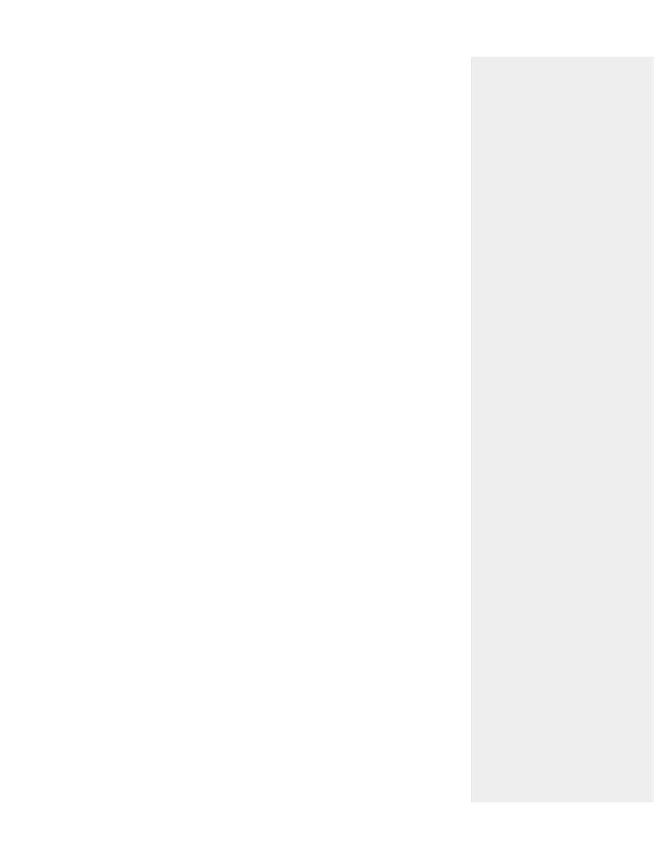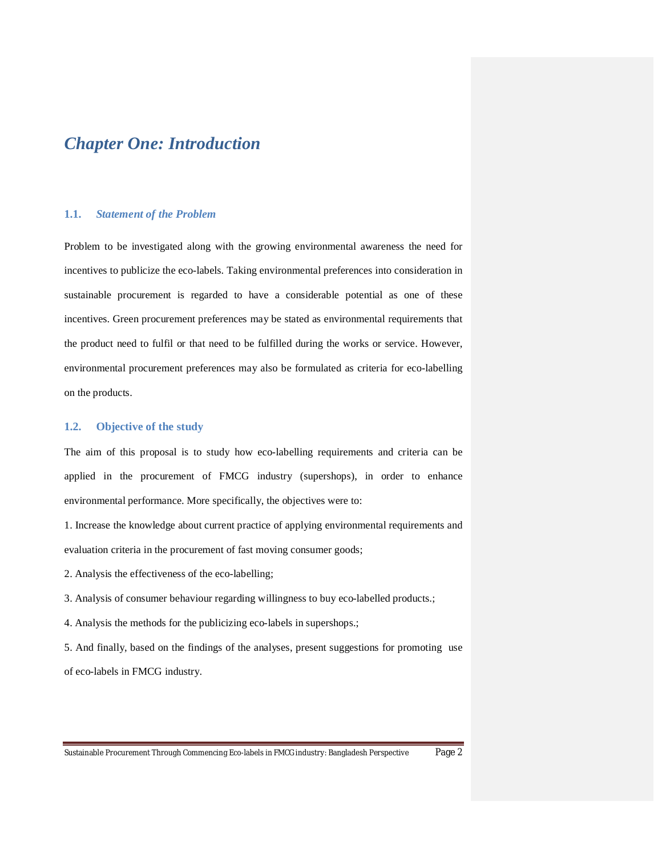## *Chapter One: Introduction*

## **1.1.** *Statement of the Problem*

Problem to be investigated along with the growing environmental awareness the need for incentives to publicize the eco-labels. Taking environmental preferences into consideration in sustainable procurement is regarded to have a considerable potential as one of these incentives. Green procurement preferences may be stated as environmental requirements that the product need to fulfil or that need to be fulfilled during the works or service. However, environmental procurement preferences may also be formulated as criteria for eco-labelling on the products.

## **1.2. Objective of the study**

The aim of this proposal is to study how eco-labelling requirements and criteria can be applied in the procurement of FMCG industry (supershops), in order to enhance environmental performance. More specifically, the objectives were to:

1. Increase the knowledge about current practice of applying environmental requirements and evaluation criteria in the procurement of fast moving consumer goods;

2. Analysis the effectiveness of the eco-labelling;

3. Analysis of consumer behaviour regarding willingness to buy eco-labelled products.;

4. Analysis the methods for the publicizing eco-labels in supershops.;

5. And finally, based on the findings of the analyses, present suggestions for promoting use of eco-labels in FMCG industry.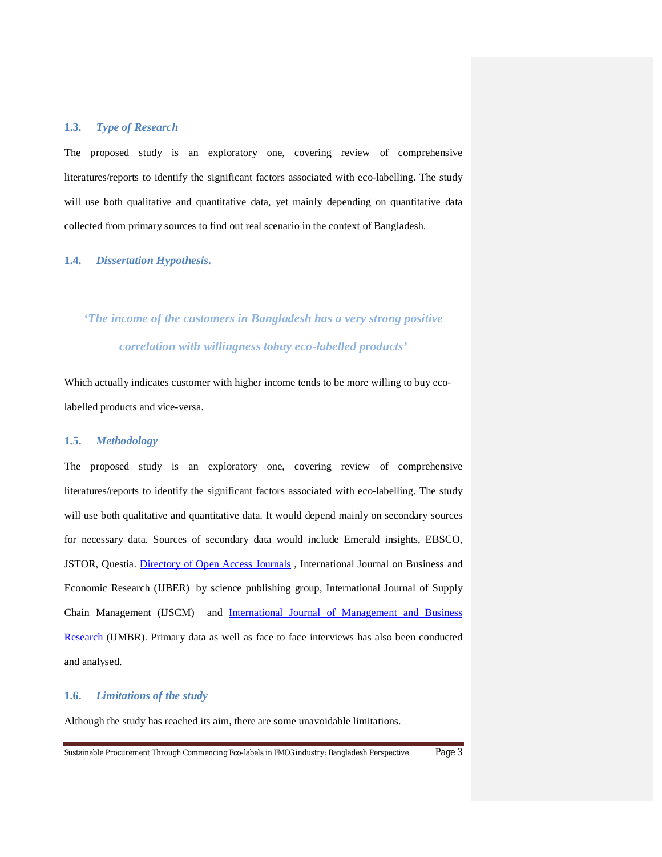## **1.3.** *Type of Research*

The proposed study is an exploratory one, covering review of comprehensive literatures/reports to identify the significant factors associated with eco-labelling. The study will use both qualitative and quantitative data, yet mainly depending on quantitative data collected from primary sources to find out real scenario in the context of Bangladesh.

#### **1.4.** *Dissertation Hypothesis.*

# *'The income of the customers in Bangladesh has a very strong positive correlation with willingness tobuy eco-labelled products'*

Which actually indicates customer with higher income tends to be more willing to buy ecolabelled products and vice-versa.

## **1.5.** *Methodology*

The proposed study is an exploratory one, covering review of comprehensive literatures/reports to identify the significant factors associated with eco-labelling. The study will use both qualitative and quantitative data. It would depend mainly on secondary sources for necessary data. Sources of secondary data would include Emerald insights, EBSCO, JSTOR, Questia. *Directory of Open Access Journals*, International Journal on Business and Economic Research (IJBER) by science publishing group, International Journal of Supply Chain Management (IJSCM) and International Journal of Management and Business Research (IJMBR). Primary data as well as face to face interviews has also been conducted and analysed.

### **1.6.** *Limitations of the study*

Although the study has reached its aim, there are some unavoidable limitations.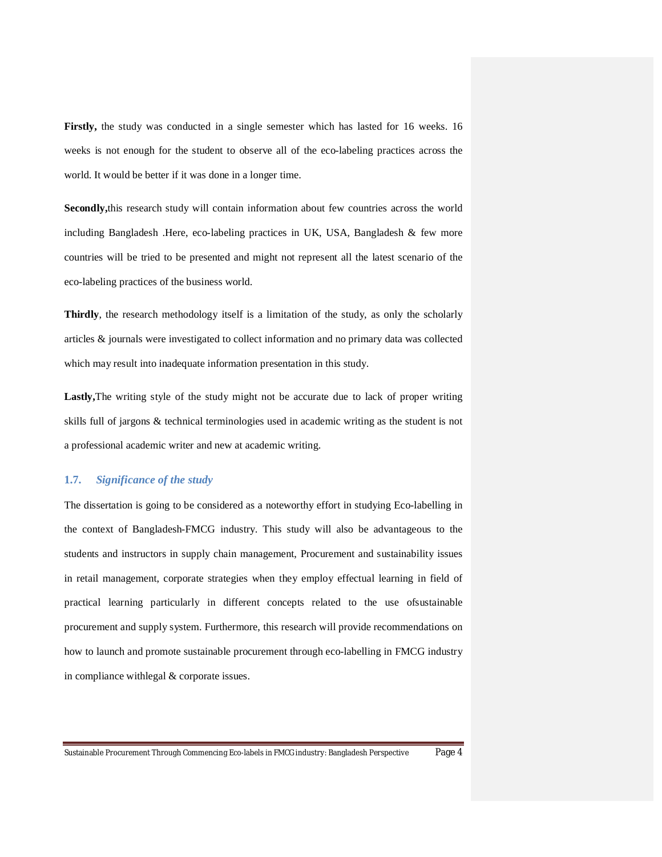**Firstly,** the study was conducted in a single semester which has lasted for 16 weeks. 16 weeks is not enough for the student to observe all of the eco-labeling practices across the world. It would be better if it was done in a longer time.

**Secondly,**this research study will contain information about few countries across the world including Bangladesh .Here, eco-labeling practices in UK, USA, Bangladesh & few more countries will be tried to be presented and might not represent all the latest scenario of the eco-labeling practices of the business world.

**Thirdly**, the research methodology itself is a limitation of the study, as only the scholarly articles & journals were investigated to collect information and no primary data was collected which may result into inadequate information presentation in this study.

**Lastly,**The writing style of the study might not be accurate due to lack of proper writing skills full of jargons & technical terminologies used in academic writing as the student is not a professional academic writer and new at academic writing.

#### **1.7.** *Significance of the study*

The dissertation is going to be considered as a noteworthy effort in studying Eco-labelling in the context of Bangladesh-FMCG industry. This study will also be advantageous to the students and instructors in supply chain management, Procurement and sustainability issues in retail management, corporate strategies when they employ effectual learning in field of practical learning particularly in different concepts related to the use ofsustainable procurement and supply system. Furthermore, this research will provide recommendations on how to launch and promote sustainable procurement through eco-labelling in FMCG industry in compliance withlegal & corporate issues.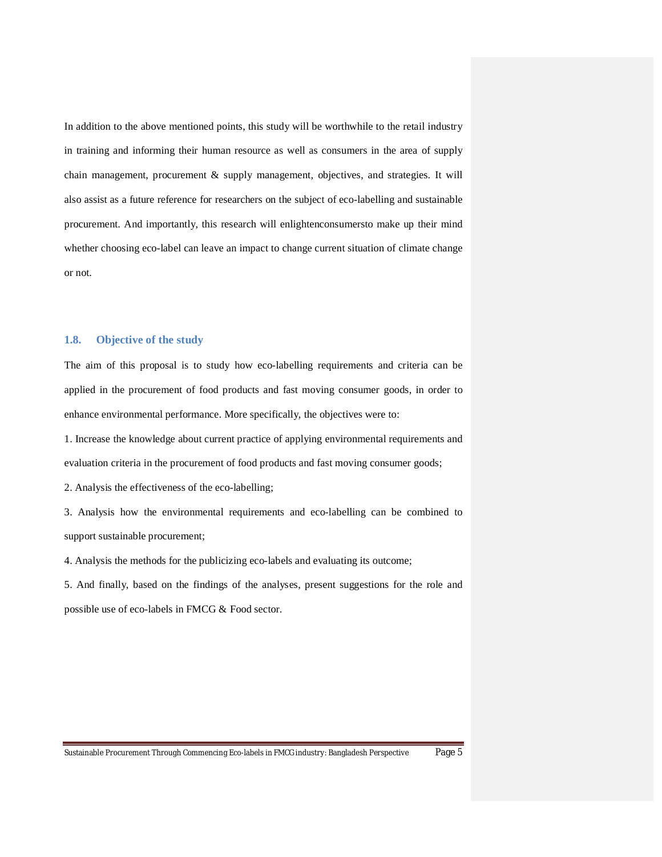In addition to the above mentioned points, this study will be worthwhile to the retail industry in training and informing their human resource as well as consumers in the area of supply chain management, procurement & supply management, objectives, and strategies. It will also assist as a future reference for researchers on the subject of eco-labelling and sustainable procurement. And importantly, this research will enlightenconsumersto make up their mind whether choosing eco-label can leave an impact to change current situation of climate change or not.

## **1.8. Objective of the study**

The aim of this proposal is to study how eco-labelling requirements and criteria can be applied in the procurement of food products and fast moving consumer goods, in order to enhance environmental performance. More specifically, the objectives were to:

1. Increase the knowledge about current practice of applying environmental requirements and evaluation criteria in the procurement of food products and fast moving consumer goods;

2. Analysis the effectiveness of the eco-labelling;

3. Analysis how the environmental requirements and eco-labelling can be combined to support sustainable procurement;

4. Analysis the methods for the publicizing eco-labels and evaluating its outcome;

5. And finally, based on the findings of the analyses, present suggestions for the role and possible use of eco-labels in FMCG & Food sector.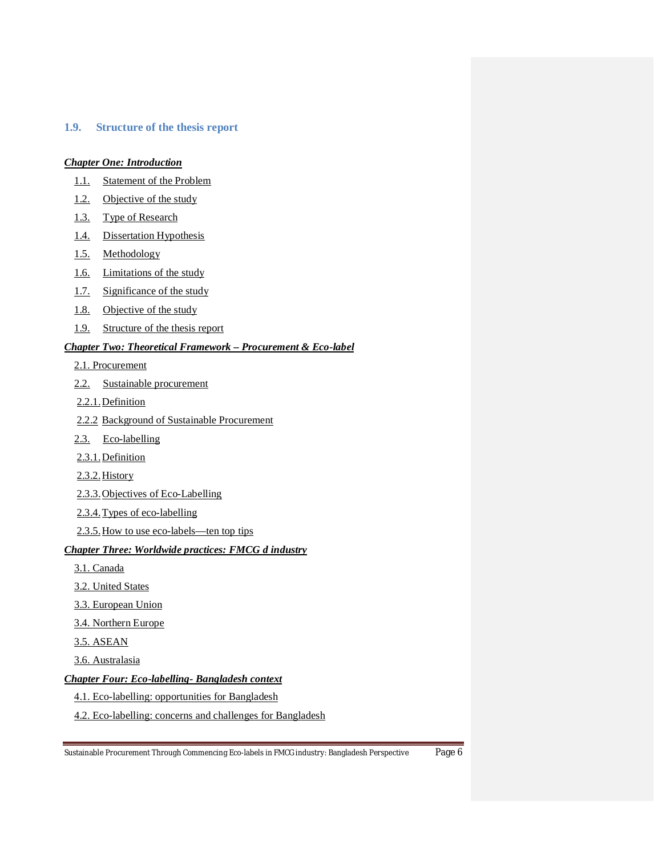## **1.9. Structure of the thesis report**

## *Chapter One: Introduction*

- 1.1. Statement of the Problem
- 1.2. Objective of the study
- 1.3. Type of Research
- 1.4. Dissertation Hypothesis
- 1.5. Methodology
- 1.6. Limitations of the study
- 1.7. Significance of the study
- 1.8. Objective of the study
- 1.9. Structure of the thesis report

## *Chapter Two: Theoretical Framework – Procurement & Eco-label*

- 2.1. Procurement
- 2.2. Sustainable procurement
- 2.2.1.Definition
- 2.2.2 Background of Sustainable Procurement
- 2.3. Eco-labelling
- 2.3.1.Definition
- 2.3.2.History
- 2.3.3.Objectives of Eco-Labelling
- 2.3.4.Types of eco-labelling
- 2.3.5.How to use eco-labels—ten top tips

## *Chapter Three: Worldwide practices: FMCG d industry*

- 3.1. Canada
- 3.2. United States
- 3.3. European Union
- 3.4. Northern Europe
- 3.5. ASEAN
- 3.6. Australasia

## *Chapter Four: Eco-labelling- Bangladesh context*

- 4.1. Eco-labelling: opportunities for Bangladesh
- 4.2. Eco-labelling: concerns and challenges for Bangladesh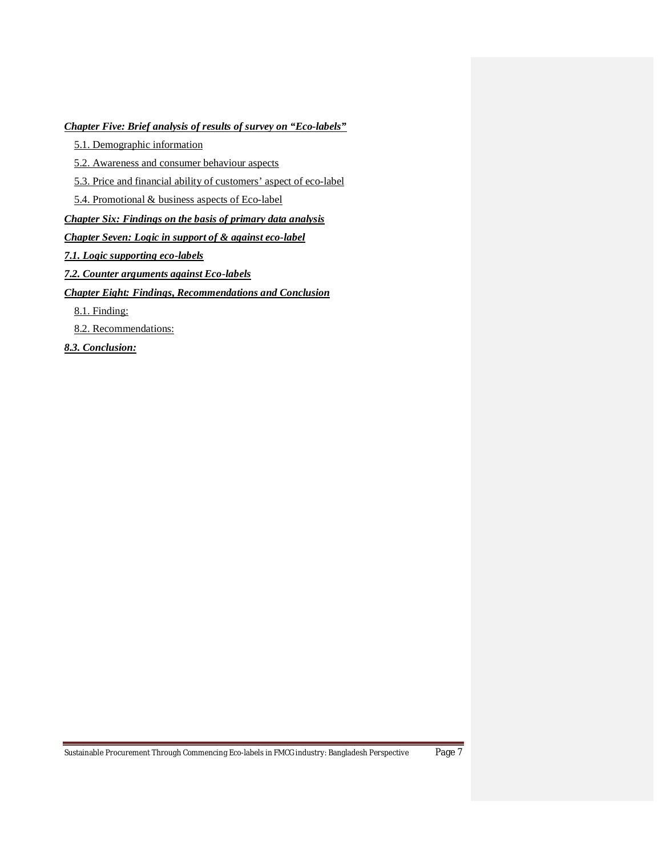## *Chapter Five: Brief analysis of results of survey on "Eco-labels"*

- 5.1. Demographic information
- 5.2. Awareness and consumer behaviour aspects
- 5.3. Price and financial ability of customers' aspect of eco-label
- 5.4. Promotional & business aspects of Eco-label
- *Chapter Six: Findings on the basis of primary data analysis*
- *Chapter Seven: Logic in support of & against eco-label*
- *7.1. Logic supporting eco-labels*
- *7.2. Counter arguments against Eco-labels*
- *Chapter Eight: Findings, Recommendations and Conclusion* 
	- 8.1. Finding:
	- 8.2. Recommendations:
- *8.3. Conclusion:*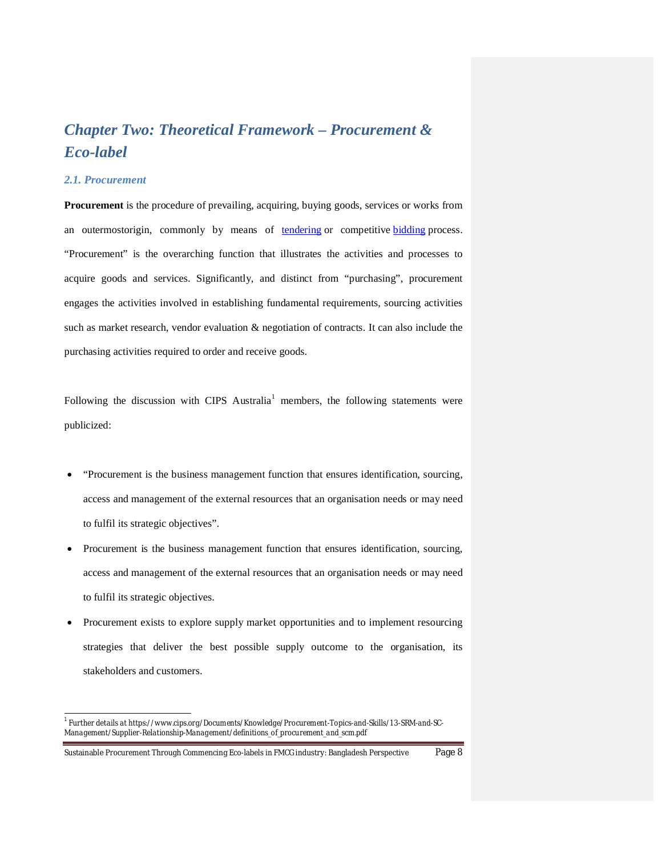## *Chapter Two: Theoretical Framework – Procurement & Eco-label*

## *2.1. Procurement*

**Procurement** is the procedure of prevailing, acquiring, buying goods, services or works from an outermostorigin, commonly by means of tendering or competitive bidding process. "Procurement" is the overarching function that illustrates the activities and processes to acquire goods and services. Significantly, and distinct from "purchasing", procurement engages the activities involved in establishing fundamental requirements, sourcing activities such as market research, vendor evaluation  $\&$  negotiation of contracts. It can also include the purchasing activities required to order and receive goods.

Following the discussion with CIPS Australia<sup>1</sup> members, the following statements were publicized:

- "Procurement is the business management function that ensures identification, sourcing, access and management of the external resources that an organisation needs or may need to fulfil its strategic objectives".
- Procurement is the business management function that ensures identification, sourcing, access and management of the external resources that an organisation needs or may need to fulfil its strategic objectives.
- Procurement exists to explore supply market opportunities and to implement resourcing strategies that deliver the best possible supply outcome to the organisation, its stakeholders and customers.

 *1 Further details at https://www.cips.org/Documents/Knowledge/Procurement-Topics-and-Skills/13-SRM-and-SC-Management/Supplier-Relationship-Management/definitions\_of\_procurement\_and\_scm.pdf*

Sustainable Procurement Through Commencing Eco-labels in FMCG industry: Bangladesh Perspective Page 8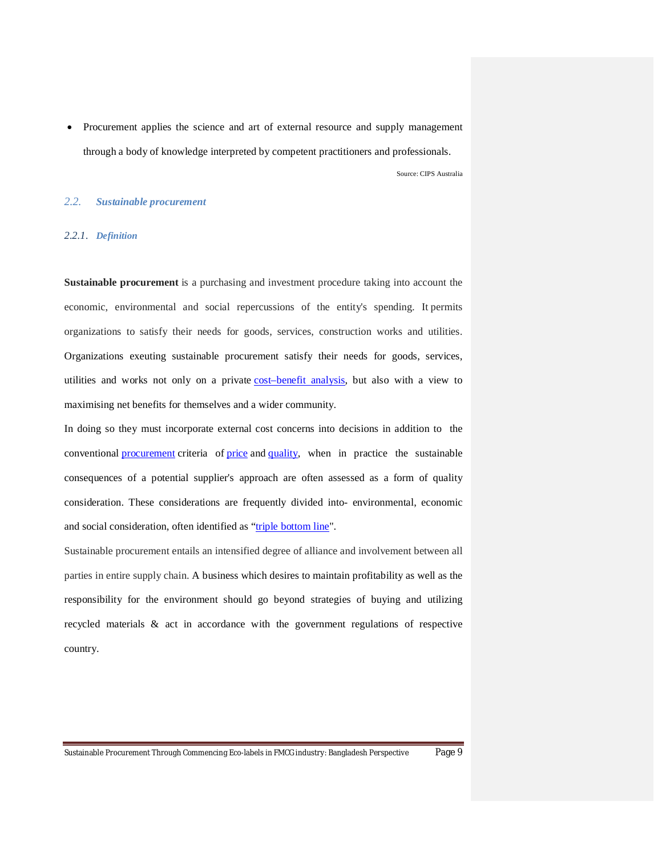• Procurement applies the science and art of external resource and supply management through a body of knowledge interpreted by competent practitioners and professionals.

Source: CIPS Australia

## *2.2. Sustainable procurement*

#### *2.2.1. Definition*

**Sustainable procurement** is a purchasing and investment procedure taking into account the economic, environmental and social repercussions of the entity's spending. It permits organizations to satisfy their needs for goods, services, construction works and utilities. Organizations exeuting sustainable procurement satisfy their needs for goods, services, utilities and works not only on a private cost-benefit analysis, but also with a view to maximising net benefits for themselves and a wider community.

In doing so they must incorporate external cost concerns into decisions in addition to the conventional procurement criteria of price and quality, when in practice the sustainable consequences of a potential supplier's approach are often assessed as a form of quality consideration. These considerations are frequently divided into- environmental, economic and social consideration, often identified as "triple bottom line".

Sustainable procurement entails an intensified degree of alliance and involvement between all parties in entire supply chain. A business which desires to maintain profitability as well as the responsibility for the environment should go beyond strategies of buying and utilizing recycled materials & act in accordance with the government regulations of respective country.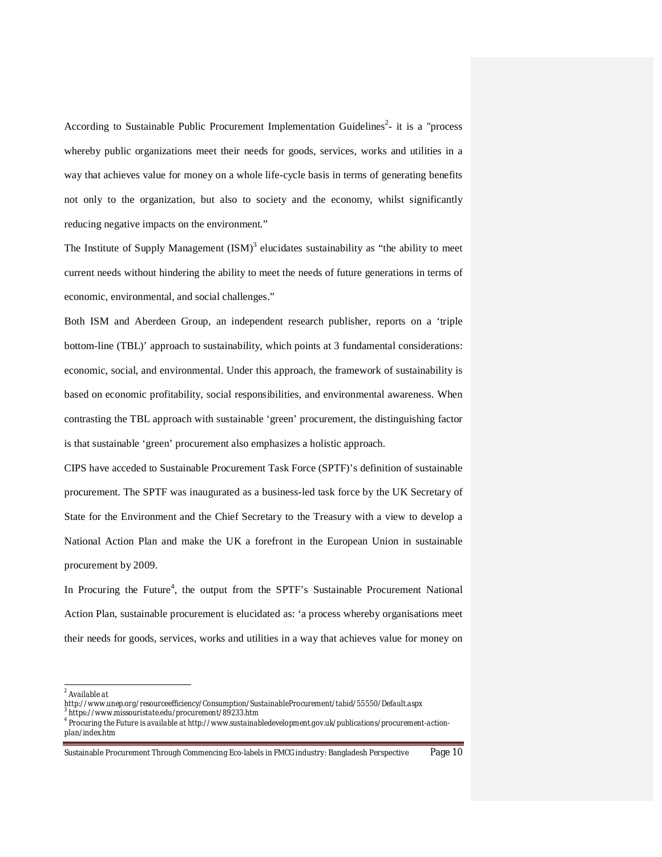According to Sustainable Public Procurement Implementation Guidelines<sup>2</sup>- it is a "process whereby public organizations meet their needs for goods, services, works and utilities in a way that achieves value for money on a whole life-cycle basis in terms of generating benefits not only to the organization, but also to society and the economy, whilst significantly reducing negative impacts on the environment."

The Institute of Supply Management  $(ISM)^3$  elucidates sustainability as "the ability to meet current needs without hindering the ability to meet the needs of future generations in terms of economic, environmental, and social challenges."

Both ISM and Aberdeen Group, an independent research publisher, reports on a 'triple bottom-line (TBL)' approach to sustainability, which points at 3 fundamental considerations: economic, social, and environmental. Under this approach, the framework of sustainability is based on economic profitability, social responsibilities, and environmental awareness. When contrasting the TBL approach with sustainable 'green' procurement, the distinguishing factor is that sustainable 'green' procurement also emphasizes a holistic approach.

CIPS have acceded to Sustainable Procurement Task Force (SPTF)'s definition of sustainable procurement. The SPTF was inaugurated as a business-led task force by the UK Secretary of State for the Environment and the Chief Secretary to the Treasury with a view to develop a National Action Plan and make the UK a forefront in the European Union in sustainable procurement by 2009.

In Procuring the Future<sup>4</sup>, the output from the SPTF's Sustainable Procurement National Action Plan, sustainable procurement is elucidated as: 'a process whereby organisations meet their needs for goods, services, works and utilities in a way that achieves value for money on

*2 Available at* 

*3 https://www.missouristate.edu/procurement/89233.htm*

*http://www.unep.org/resourceefficiency/Consumption/SustainableProcurement/tabid/55550/Default.aspx*

*<sup>4</sup> Procuring the Future is available at http://www.sustainabledevelopment.gov.uk/publications/procurement-actionplan/index.htm*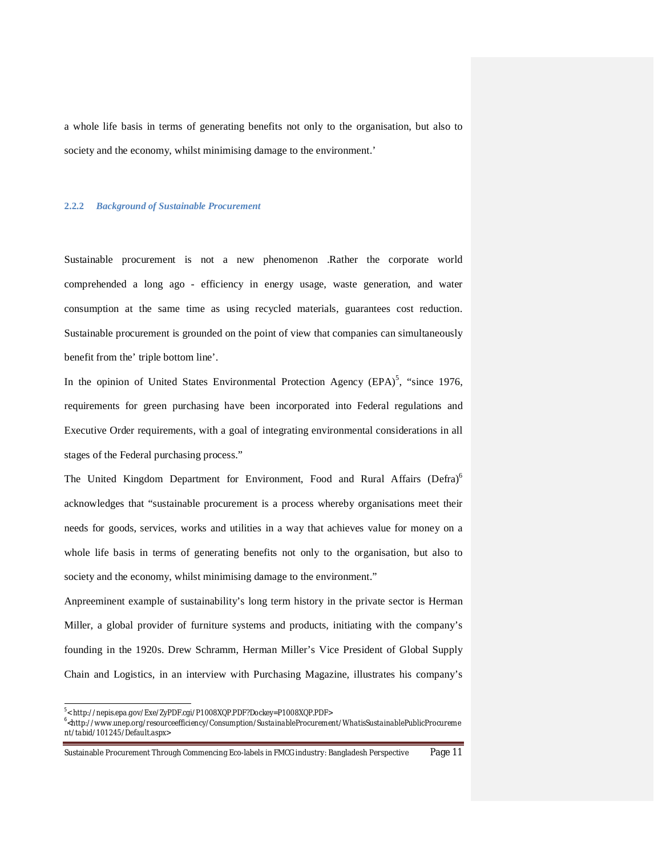a whole life basis in terms of generating benefits not only to the organisation, but also to society and the economy, whilst minimising damage to the environment.'

#### **2.2.2** *Background of Sustainable Procurement*

Sustainable procurement is not a new phenomenon .Rather the corporate world comprehended a long ago - efficiency in energy usage, waste generation, and water consumption at the same time as using recycled materials, guarantees cost reduction. Sustainable procurement is grounded on the point of view that companies can simultaneously benefit from the' triple bottom line'.

In the opinion of United States Environmental Protection Agency  $(EPA)^5$ , "since 1976, requirements for green purchasing have been incorporated into Federal regulations and Executive Order requirements, with a goal of integrating environmental considerations in all stages of the Federal purchasing process."

The United Kingdom Department for Environment, Food and Rural Affairs (Defra)<sup>6</sup> acknowledges that "sustainable procurement is a process whereby organisations meet their needs for goods, services, works and utilities in a way that achieves value for money on a whole life basis in terms of generating benefits not only to the organisation, but also to society and the economy, whilst minimising damage to the environment."

Anpreeminent example of sustainability's long term history in the private sector is Herman Miller, a global provider of furniture systems and products, initiating with the company's founding in the 1920s. Drew Schramm, Herman Miller's Vice President of Global Supply Chain and Logistics, in an interview with Purchasing Magazine, illustrates his company's

 *5 < http://nepis.epa.gov/Exe/ZyPDF.cgi/P1008XQP.PDF?Dockey=P1008XQP.PDF>*

*<sup>6</sup> <http://www.unep.org/resourceefficiency/Consumption/SustainableProcurement/WhatisSustainablePublicProcureme nt/tabid/101245/Default.aspx>*

Sustainable Procurement Through Commencing Eco-labels in FMCG industry: Bangladesh Perspective Page 11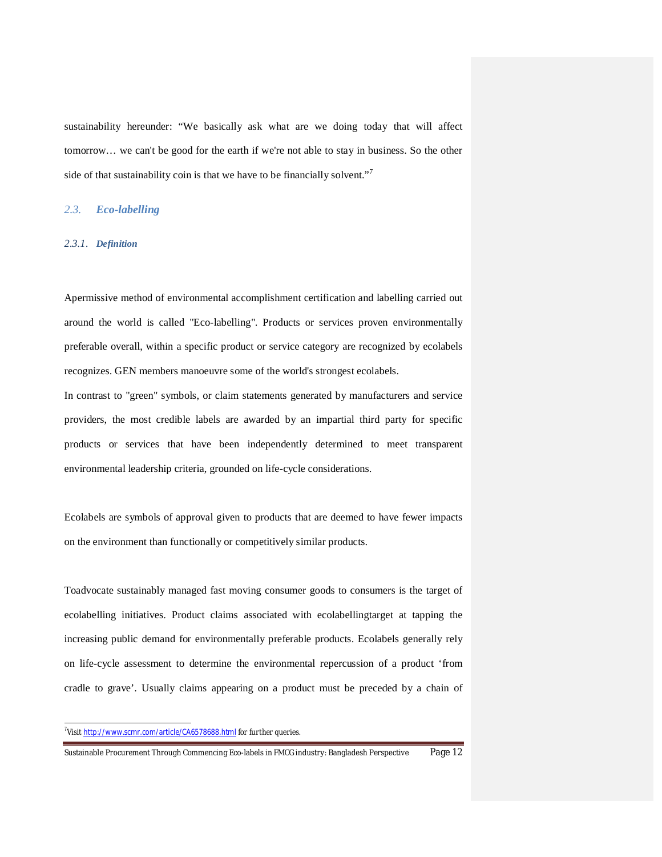sustainability hereunder: "We basically ask what are we doing today that will affect tomorrow… we can't be good for the earth if we're not able to stay in business. So the other side of that sustainability coin is that we have to be financially solvent."<sup>7</sup>

### *2.3. Eco-labelling*

## *2.3.1. Definition*

Apermissive method of environmental accomplishment certification and labelling carried out around the world is called "Eco-labelling". Products or services proven environmentally preferable overall, within a specific product or service category are recognized by ecolabels recognizes. GEN members manoeuvre some of the world's strongest ecolabels.

In contrast to "green" symbols, or claim statements generated by manufacturers and service providers, the most credible labels are awarded by an impartial third party for specific products or services that have been independently determined to meet transparent environmental leadership criteria, grounded on life-cycle considerations.

Ecolabels are symbols of approval given to products that are deemed to have fewer impacts on the environment than functionally or competitively similar products.

Toadvocate sustainably managed fast moving consumer goods to consumers is the target of ecolabelling initiatives. Product claims associated with ecolabellingtarget at tapping the increasing public demand for environmentally preferable products. Ecolabels generally rely on life-cycle assessment to determine the environmental repercussion of a product 'from cradle to grave'. Usually claims appearing on a product must be preceded by a chain of

 *7 Visit* http://www.scmr.com/article/CA6578688.html *for further queries.*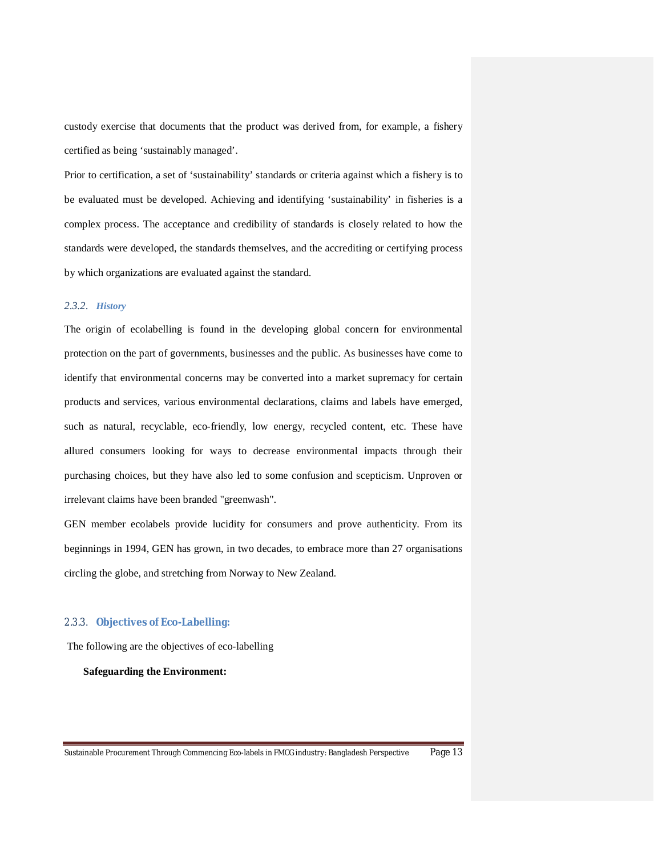custody exercise that documents that the product was derived from, for example, a fishery certified as being 'sustainably managed'.

Prior to certification, a set of 'sustainability' standards or criteria against which a fishery is to be evaluated must be developed. Achieving and identifying 'sustainability' in fisheries is a complex process. The acceptance and credibility of standards is closely related to how the standards were developed, the standards themselves, and the accrediting or certifying process by which organizations are evaluated against the standard.

#### *2.3.2. History*

The origin of ecolabelling is found in the developing global concern for environmental protection on the part of governments, businesses and the public. As businesses have come to identify that environmental concerns may be converted into a market supremacy for certain products and services, various environmental declarations, claims and labels have emerged, such as natural, recyclable, eco-friendly, low energy, recycled content, etc. These have allured consumers looking for ways to decrease environmental impacts through their purchasing choices, but they have also led to some confusion and scepticism. Unproven or irrelevant claims have been branded "greenwash".

GEN member ecolabels provide lucidity for consumers and prove authenticity. From its beginnings in 1994, GEN has grown, in two decades, to embrace more than 27 organisations circling the globe, and stretching from Norway to New Zealand.

#### *2.3.3.* **Objectives of Eco-Labelling:**

The following are the objectives of eco-labelling

**Safeguarding the Environment:**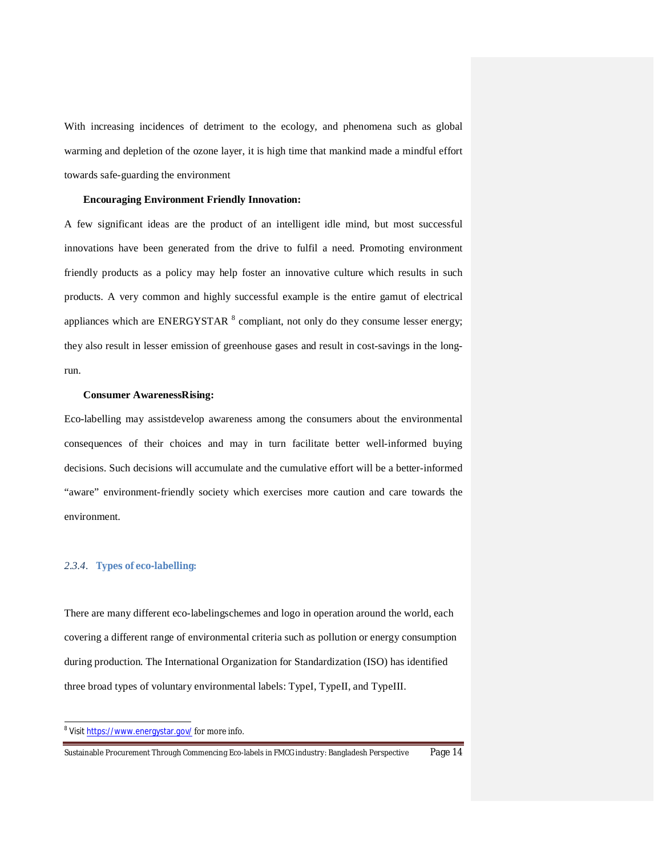With increasing incidences of detriment to the ecology, and phenomena such as global warming and depletion of the ozone layer, it is high time that mankind made a mindful effort towards safe-guarding the environment

#### **Encouraging Environment Friendly Innovation:**

A few significant ideas are the product of an intelligent idle mind, but most successful innovations have been generated from the drive to fulfil a need. Promoting environment friendly products as a policy may help foster an innovative culture which results in such products. A very common and highly successful example is the entire gamut of electrical appliances which are ENERGYSTAR  $<sup>8</sup>$  compliant, not only do they consume lesser energy;</sup> they also result in lesser emission of greenhouse gases and result in cost-savings in the longrun.

#### **Consumer AwarenessRising:**

Eco-labelling may assistdevelop awareness among the consumers about the environmental consequences of their choices and may in turn facilitate better well-informed buying decisions. Such decisions will accumulate and the cumulative effort will be a better-informed "aware" environment-friendly society which exercises more caution and care towards the environment.

#### *2.3.4.* **Types of eco-labelling:**

There are many different eco-labelingschemes and logo in operation around the world, each covering a different range of environmental criteria such as pollution or energy consumption during production. The International Organization for Standardization (ISO) has identified three broad types of voluntary environmental labels: TypeI, TypeII, and TypeIII.

 8 Visit https://www.energystar.gov/ *for more info.* 

Sustainable Procurement Through Commencing Eco-labels in FMCG industry: Bangladesh Perspective Page 14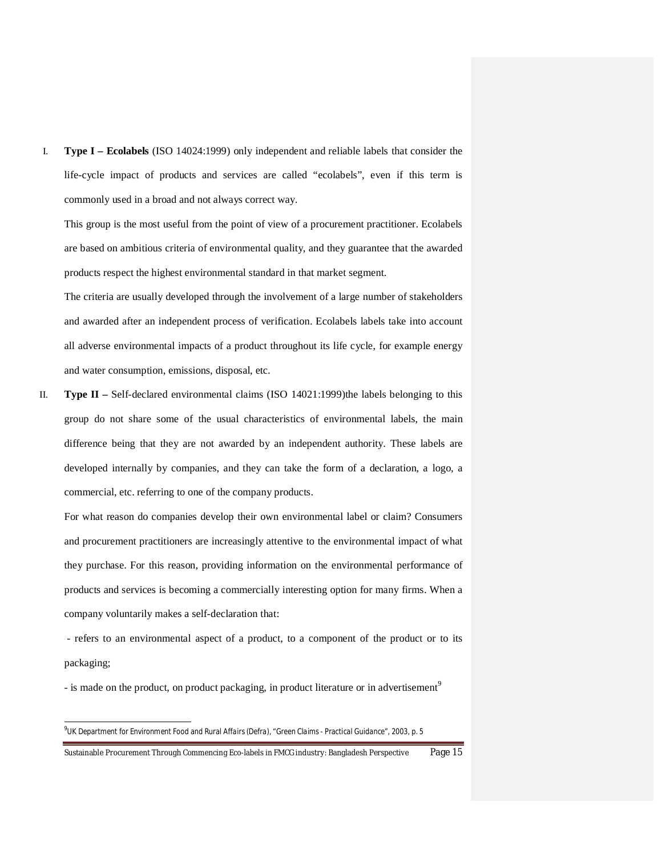I. **Type I – Ecolabels** (ISO 14024:1999) only independent and reliable labels that consider the life-cycle impact of products and services are called "ecolabels", even if this term is commonly used in a broad and not always correct way.

This group is the most useful from the point of view of a procurement practitioner. Ecolabels are based on ambitious criteria of environmental quality, and they guarantee that the awarded products respect the highest environmental standard in that market segment.

The criteria are usually developed through the involvement of a large number of stakeholders and awarded after an independent process of verification. Ecolabels labels take into account all adverse environmental impacts of a product throughout its life cycle, for example energy and water consumption, emissions, disposal, etc.

II. **Type II –** Self-declared environmental claims (ISO 14021:1999)the labels belonging to this group do not share some of the usual characteristics of environmental labels, the main difference being that they are not awarded by an independent authority. These labels are developed internally by companies, and they can take the form of a declaration, a logo, a commercial, etc. referring to one of the company products.

For what reason do companies develop their own environmental label or claim? Consumers and procurement practitioners are increasingly attentive to the environmental impact of what they purchase. For this reason, providing information on the environmental performance of products and services is becoming a commercially interesting option for many firms. When a company voluntarily makes a self-declaration that:

- refers to an environmental aspect of a product, to a component of the product or to its packaging;

- is made on the product, on product packaging, in product literature or in advertisement<sup>9</sup>

1

<sup>9</sup> *UK Department for Environment Food and Rural Affairs (Defra), "Green Claims - Practical Guidance", 2003, p. 5*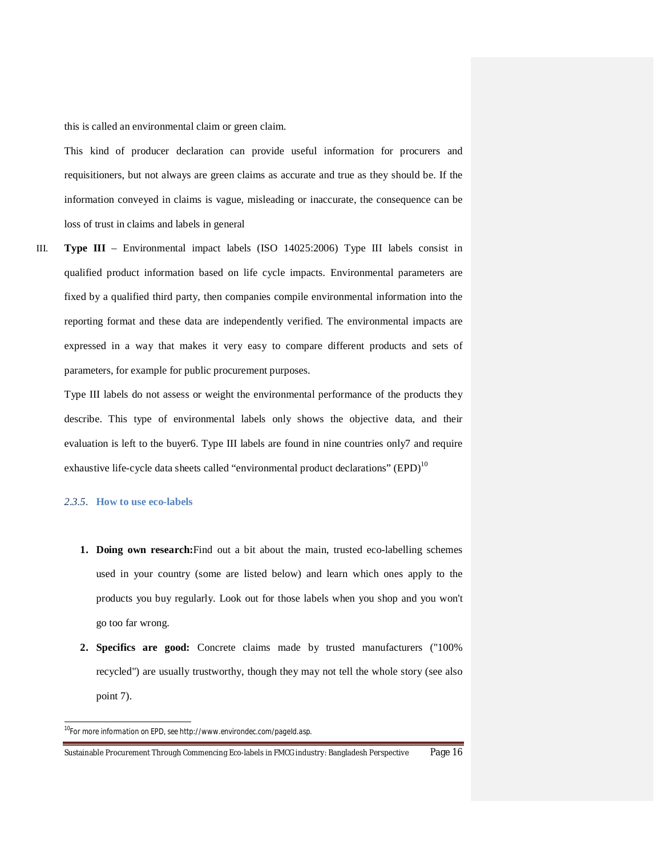this is called an environmental claim or green claim.

This kind of producer declaration can provide useful information for procurers and requisitioners, but not always are green claims as accurate and true as they should be. If the information conveyed in claims is vague, misleading or inaccurate, the consequence can be loss of trust in claims and labels in general

III. **Type III** – Environmental impact labels (ISO 14025:2006) Type III labels consist in qualified product information based on life cycle impacts. Environmental parameters are fixed by a qualified third party, then companies compile environmental information into the reporting format and these data are independently verified. The environmental impacts are expressed in a way that makes it very easy to compare different products and sets of parameters, for example for public procurement purposes.

Type III labels do not assess or weight the environmental performance of the products they describe. This type of environmental labels only shows the objective data, and their evaluation is left to the buyer6. Type III labels are found in nine countries only7 and require exhaustive life-cycle data sheets called "environmental product declarations"  $(EPD)$ <sup>10</sup>

## *2.3.5.* **How to use eco-labels**

1

- **1. Doing own research:**Find out a bit about the main, trusted eco-labelling schemes used in your country (some are listed below) and learn which ones apply to the products you buy regularly. Look out for those labels when you shop and you won't go too far wrong.
- **2. Specifics are good:** Concrete claims made by trusted manufacturers ("100% recycled") are usually trustworthy, though they may not tell the whole story (see also point 7).

<sup>10</sup>*For more information on EPD, see http://www.environdec.com/pageId.asp.*

Sustainable Procurement Through Commencing Eco-labels in FMCG industry: Bangladesh Perspective Page 16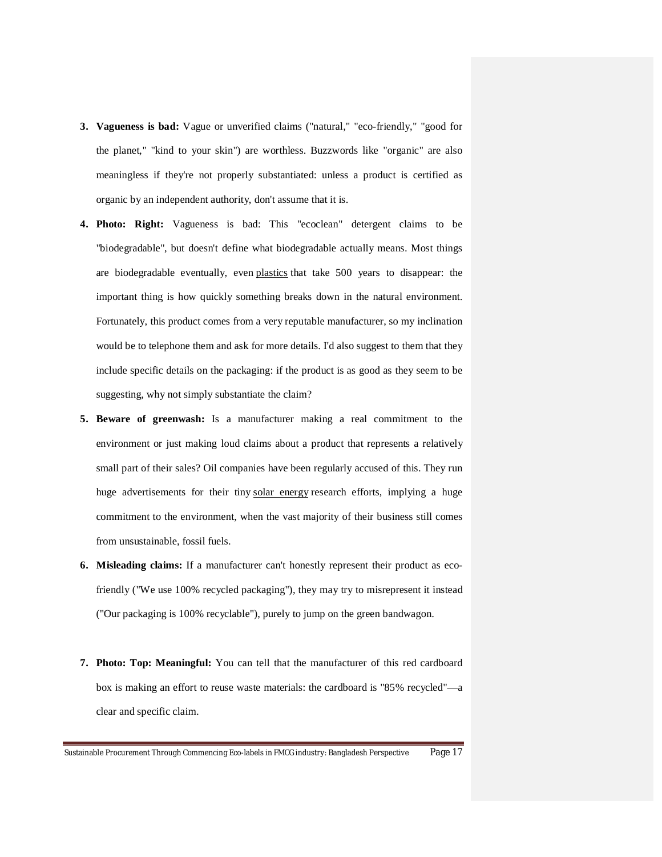- **3. Vagueness is bad:** Vague or unverified claims ("natural," "eco-friendly," "good for the planet," "kind to your skin") are worthless. Buzzwords like "organic" are also meaningless if they're not properly substantiated: unless a product is certified as organic by an independent authority, don't assume that it is.
- **4. Photo: Right:** Vagueness is bad: This "ecoclean" detergent claims to be "biodegradable", but doesn't define what biodegradable actually means. Most things are biodegradable eventually, even plastics that take 500 years to disappear: the important thing is how quickly something breaks down in the natural environment. Fortunately, this product comes from a very reputable manufacturer, so my inclination would be to telephone them and ask for more details. I'd also suggest to them that they include specific details on the packaging: if the product is as good as they seem to be suggesting, why not simply substantiate the claim?
- **5. Beware of greenwash:** Is a manufacturer making a real commitment to the environment or just making loud claims about a product that represents a relatively small part of their sales? Oil companies have been regularly accused of this. They run huge advertisements for their tiny solar energy research efforts, implying a huge commitment to the environment, when the vast majority of their business still comes from unsustainable, fossil fuels.
- **6. Misleading claims:** If a manufacturer can't honestly represent their product as ecofriendly ("We use 100% recycled packaging"), they may try to misrepresent it instead ("Our packaging is 100% recyclable"), purely to jump on the green bandwagon.
- **7. Photo: Top: Meaningful:** You can tell that the manufacturer of this red cardboard box is making an effort to reuse waste materials: the cardboard is "85% recycled"—a clear and specific claim.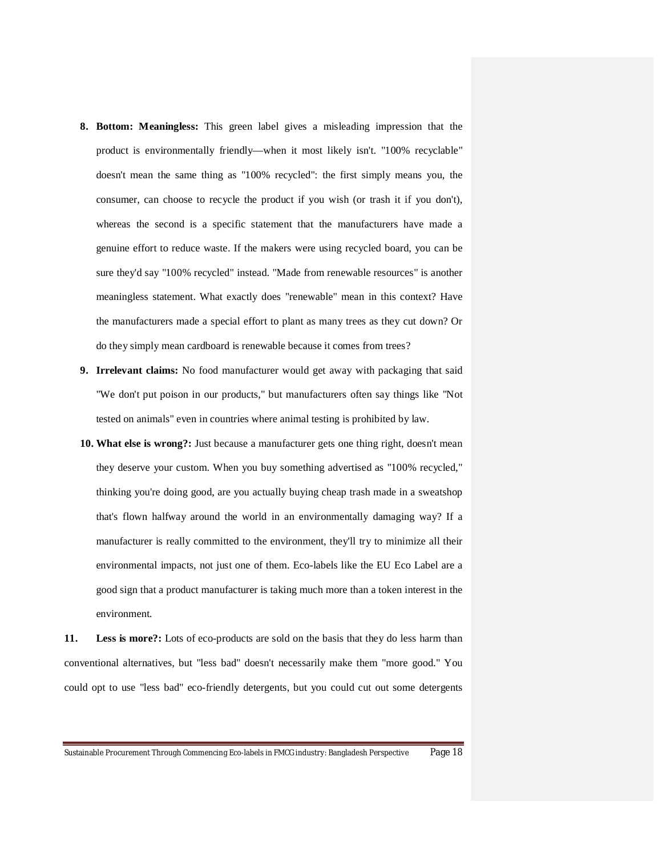- **8. Bottom: Meaningless:** This green label gives a misleading impression that the product is environmentally friendly—when it most likely isn't. "100% recyclable" doesn't mean the same thing as "100% recycled": the first simply means you, the consumer, can choose to recycle the product if you wish (or trash it if you don't), whereas the second is a specific statement that the manufacturers have made a genuine effort to reduce waste. If the makers were using recycled board, you can be sure they'd say "100% recycled" instead. "Made from renewable resources" is another meaningless statement. What exactly does "renewable" mean in this context? Have the manufacturers made a special effort to plant as many trees as they cut down? Or do they simply mean cardboard is renewable because it comes from trees?
- **9. Irrelevant claims:** No food manufacturer would get away with packaging that said "We don't put poison in our products," but manufacturers often say things like "Not tested on animals" even in countries where animal testing is prohibited by law.
- **10. What else is wrong?:** Just because a manufacturer gets one thing right, doesn't mean they deserve your custom. When you buy something advertised as "100% recycled," thinking you're doing good, are you actually buying cheap trash made in a sweatshop that's flown halfway around the world in an environmentally damaging way? If a manufacturer is really committed to the environment, they'll try to minimize all their environmental impacts, not just one of them. Eco-labels like the EU Eco Label are a good sign that a product manufacturer is taking much more than a token interest in the environment.

**11. Less is more?:** Lots of eco-products are sold on the basis that they do less harm than conventional alternatives, but "less bad" doesn't necessarily make them "more good." You could opt to use "less bad" eco-friendly detergents, but you could cut out some detergents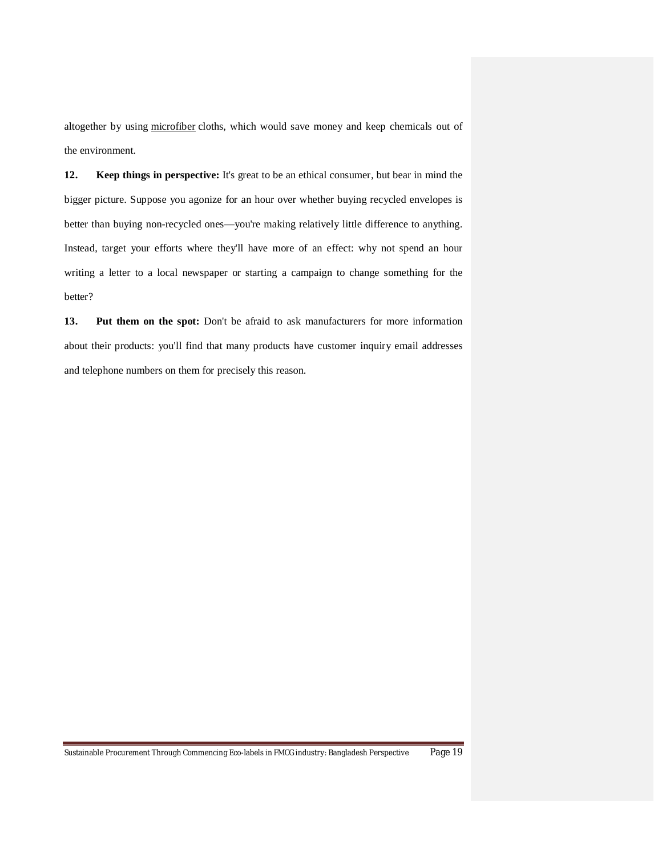altogether by using microfiber cloths, which would save money and keep chemicals out of the environment.

**12. Keep things in perspective:** It's great to be an ethical consumer, but bear in mind the bigger picture. Suppose you agonize for an hour over whether buying recycled envelopes is better than buying non-recycled ones—you're making relatively little difference to anything. Instead, target your efforts where they'll have more of an effect: why not spend an hour writing a letter to a local newspaper or starting a campaign to change something for the better?

**13. Put them on the spot:** Don't be afraid to ask manufacturers for more information about their products: you'll find that many products have customer inquiry email addresses and telephone numbers on them for precisely this reason.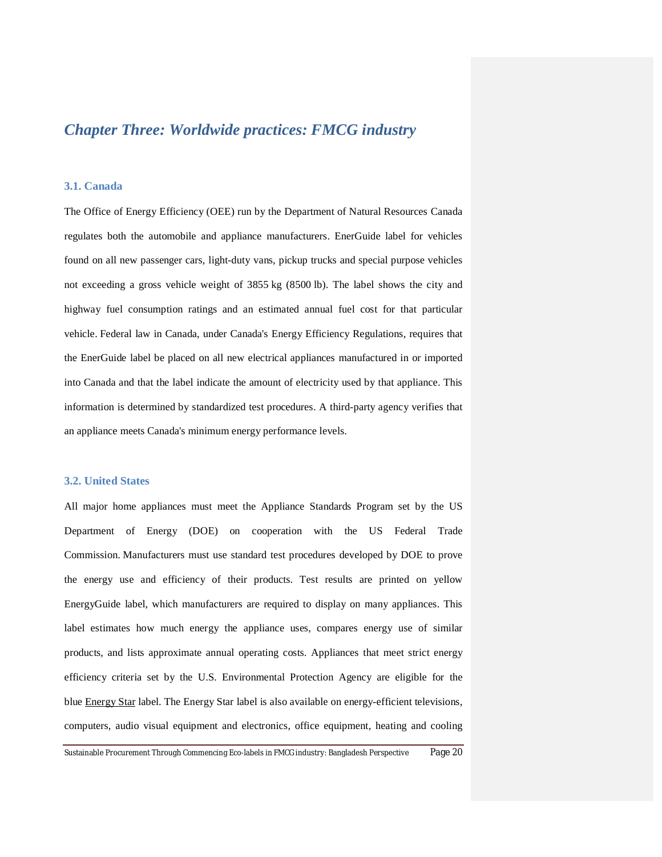## *Chapter Three: Worldwide practices: FMCG industry*

## **3.1. Canada**

The Office of Energy Efficiency (OEE) run by the Department of Natural Resources Canada regulates both the automobile and appliance manufacturers. EnerGuide label for vehicles found on all new passenger cars, light-duty vans, pickup trucks and special purpose vehicles not exceeding a gross vehicle weight of 3855 kg (8500 lb). The label shows the city and highway fuel consumption ratings and an estimated annual fuel cost for that particular vehicle. Federal law in Canada, under Canada's Energy Efficiency Regulations, requires that the EnerGuide label be placed on all new electrical appliances manufactured in or imported into Canada and that the label indicate the amount of electricity used by that appliance. This information is determined by standardized test procedures. A third-party agency verifies that an appliance meets Canada's minimum energy performance levels.

### **3.2. United States**

Sustainable Procurement Through Commencing Eco-labels in FMCG industry: Bangladesh Perspective Page 20 All major home appliances must meet the Appliance Standards Program set by the US Department of Energy (DOE) on cooperation with the US Federal Trade Commission. Manufacturers must use standard test procedures developed by DOE to prove the energy use and efficiency of their products. Test results are printed on yellow EnergyGuide label, which manufacturers are required to display on many appliances. This label estimates how much energy the appliance uses, compares energy use of similar products, and lists approximate annual operating costs. Appliances that meet strict energy efficiency criteria set by the U.S. Environmental Protection Agency are eligible for the blue **Energy Star** label. The Energy Star label is also available on energy-efficient televisions, computers, audio visual equipment and electronics, office equipment, heating and cooling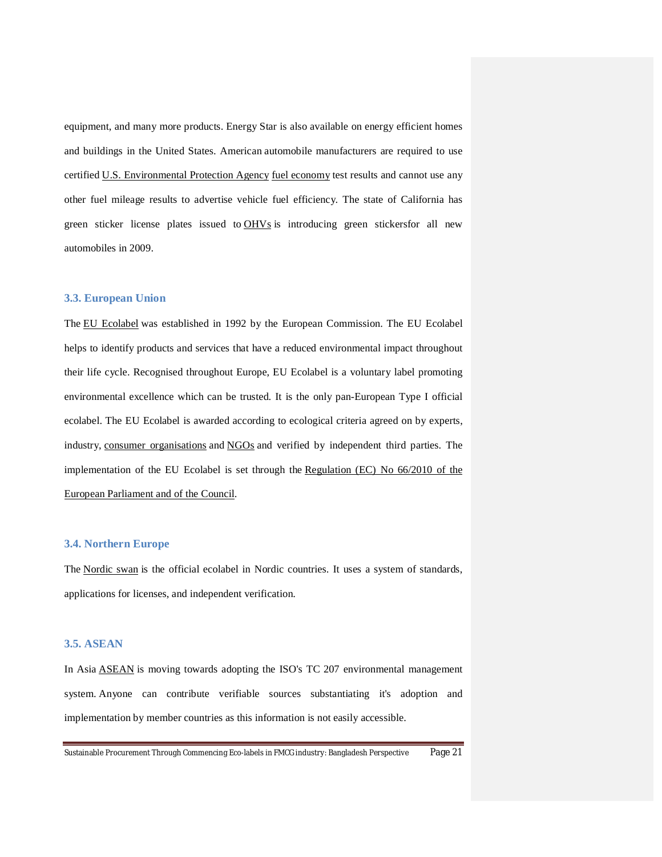equipment, and many more products. Energy Star is also available on energy efficient homes and buildings in the United States. American automobile manufacturers are required to use certified U.S. Environmental Protection Agency fuel economy test results and cannot use any other fuel mileage results to advertise vehicle fuel efficiency. The state of California has green sticker license plates issued to OHVs is introducing green stickersfor all new automobiles in 2009.

### **3.3. European Union**

The EU Ecolabel was established in 1992 by the European Commission. The EU Ecolabel helps to identify products and services that have a reduced environmental impact throughout their life cycle. Recognised throughout Europe, EU Ecolabel is a voluntary label promoting environmental excellence which can be trusted. It is the only pan-European Type I official ecolabel. The EU Ecolabel is awarded according to ecological criteria agreed on by experts, industry, consumer organisations and NGOs and verified by independent third parties. The implementation of the EU Ecolabel is set through the Regulation (EC) No 66/2010 of the European Parliament and of the Council.

## **3.4. Northern Europe**

The Nordic swan is the official ecolabel in Nordic countries. It uses a system of standards, applications for licenses, and independent verification.

## **3.5. ASEAN**

In Asia **ASEAN** is moving towards adopting the ISO's TC 207 environmental management system. Anyone can contribute verifiable sources substantiating it's adoption and implementation by member countries as this information is not easily accessible.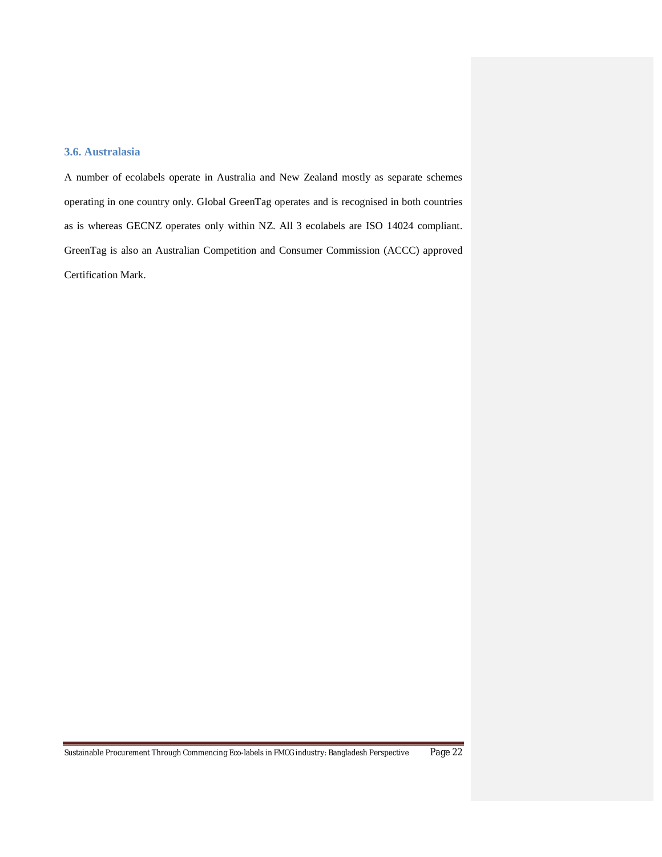## **3.6. Australasia**

A number of ecolabels operate in Australia and New Zealand mostly as separate schemes operating in one country only. Global GreenTag operates and is recognised in both countries as is whereas GECNZ operates only within NZ. All 3 ecolabels are ISO 14024 compliant. GreenTag is also an Australian Competition and Consumer Commission (ACCC) approved Certification Mark.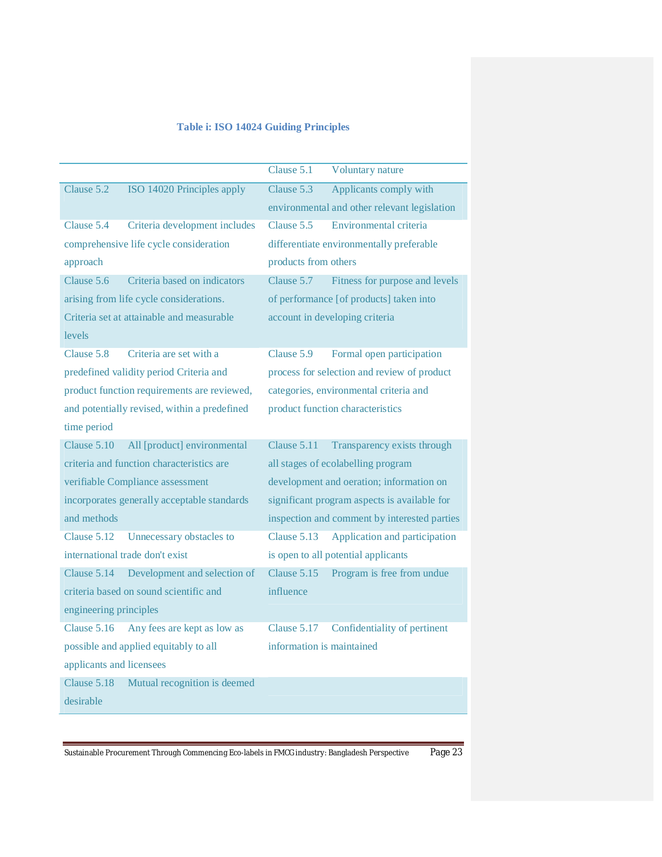## **Table i: ISO 14024 Guiding Principles**

|                                           |                                              | Clause 5.1                                   | Voluntary nature                             |  |
|-------------------------------------------|----------------------------------------------|----------------------------------------------|----------------------------------------------|--|
| Clause 5.2                                | ISO 14020 Principles apply                   | Clause 5.3                                   | Applicants comply with                       |  |
|                                           |                                              |                                              | environmental and other relevant legislation |  |
| Clause 5.4                                | Criteria development includes                | Clause 5.5                                   | Environmental criteria                       |  |
|                                           | comprehensive life cycle consideration       | differentiate environmentally preferable     |                                              |  |
| approach                                  |                                              | products from others                         |                                              |  |
| Clause 5.6                                | Criteria based on indicators                 | Clause 5.7                                   | Fitness for purpose and levels               |  |
|                                           | arising from life cycle considerations.      | of performance [of products] taken into      |                                              |  |
|                                           | Criteria set at attainable and measurable    | account in developing criteria               |                                              |  |
| levels                                    |                                              |                                              |                                              |  |
| Clause 5.8                                | Criteria are set with a                      | Clause 5.9                                   | Formal open participation                    |  |
| predefined validity period Criteria and   |                                              | process for selection and review of product  |                                              |  |
|                                           | product function requirements are reviewed,  | categories, environmental criteria and       |                                              |  |
|                                           | and potentially revised, within a predefined | product function characteristics             |                                              |  |
| time period                               |                                              |                                              |                                              |  |
| Clause 5.10                               | All [product] environmental                  | Clause 5.11                                  | Transparency exists through                  |  |
| criteria and function characteristics are |                                              | all stages of ecolabelling program           |                                              |  |
| verifiable Compliance assessment          |                                              | development and oeration; information on     |                                              |  |
|                                           | incorporates generally acceptable standards  | significant program aspects is available for |                                              |  |
| and methods                               |                                              | inspection and comment by interested parties |                                              |  |
| Clause 5.12                               | Unnecessary obstacles to                     | Clause 5.13                                  | Application and participation                |  |
| international trade don't exist           |                                              | is open to all potential applicants          |                                              |  |
| Clause 5.14                               | Development and selection of                 | Clause 5.15                                  | Program is free from undue                   |  |
| criteria based on sound scientific and    |                                              | influence                                    |                                              |  |
| engineering principles                    |                                              |                                              |                                              |  |
| Clause 5.16                               | Any fees are kept as low as                  | Clause 5.17                                  | Confidentiality of pertinent                 |  |
|                                           | possible and applied equitably to all        | information is maintained                    |                                              |  |
| applicants and licensees                  |                                              |                                              |                                              |  |
| Clause $5.18$                             | Mutual recognition is deemed                 |                                              |                                              |  |
| desirable                                 |                                              |                                              |                                              |  |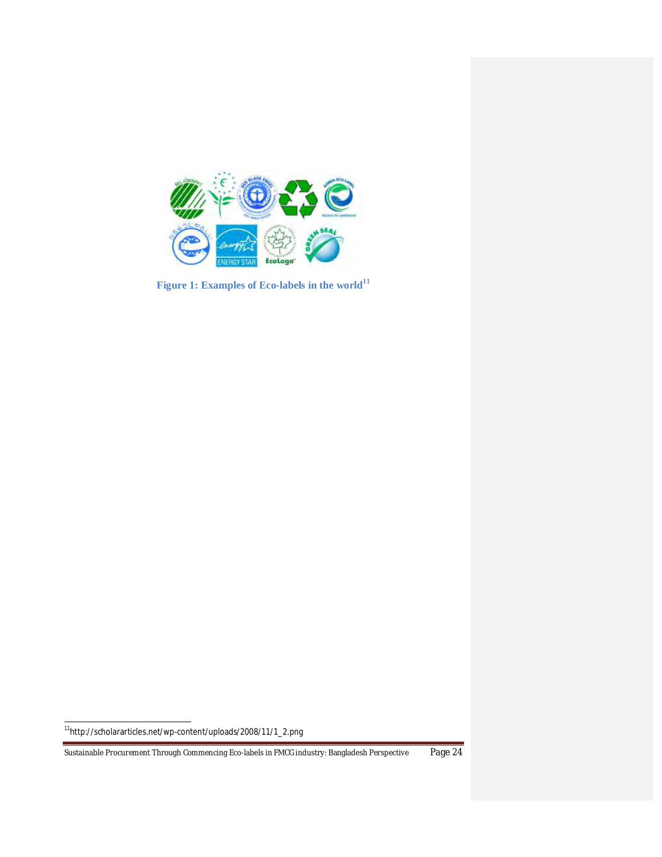

**Figure 1: Examples of Eco-labels in the world<sup>11</sup>**

1

<sup>&</sup>lt;sup>11</sup>http://scholararticles.net/wp-content/uploads/2008/11/1\_2.png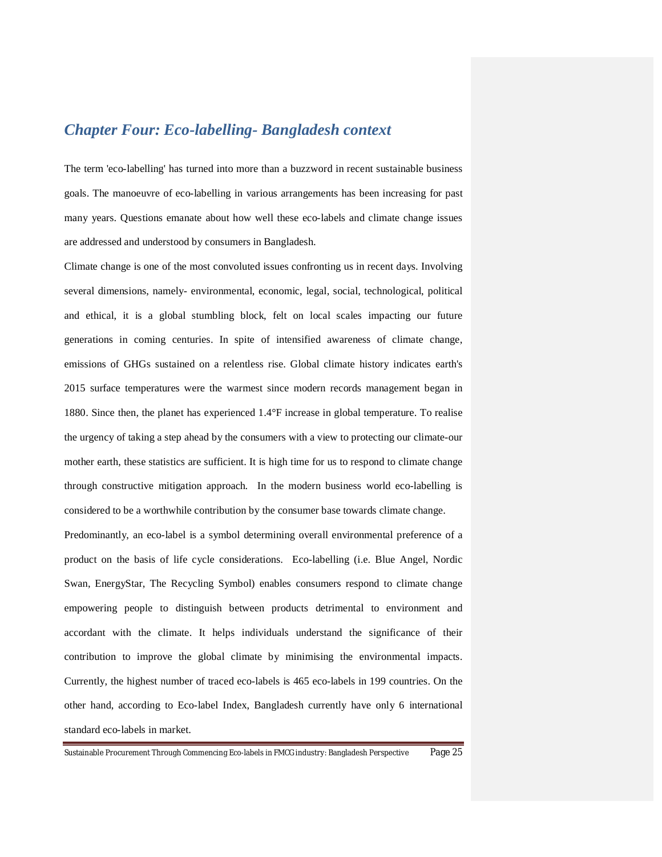## *Chapter Four: Eco-labelling- Bangladesh context*

The term 'eco-labelling' has turned into more than a buzzword in recent sustainable business goals. The manoeuvre of eco-labelling in various arrangements has been increasing for past many years. Questions emanate about how well these eco-labels and climate change issues are addressed and understood by consumers in Bangladesh.

Climate change is one of the most convoluted issues confronting us in recent days. Involving several dimensions, namely- environmental, economic, legal, social, technological, political and ethical, it is a global stumbling block, felt on local scales impacting our future generations in coming centuries. In spite of intensified awareness of climate change, emissions of GHGs sustained on a relentless rise. Global climate history indicates earth's 2015 surface temperatures were the warmest since modern records management began in 1880. Since then, the planet has experienced 1.4°F increase in global temperature. To realise the urgency of taking a step ahead by the consumers with a view to protecting our climate-our mother earth, these statistics are sufficient. It is high time for us to respond to climate change through constructive mitigation approach. In the modern business world eco-labelling is considered to be a worthwhile contribution by the consumer base towards climate change.

Predominantly, an eco-label is a symbol determining overall environmental preference of a product on the basis of life cycle considerations. Eco-labelling (i.e. Blue Angel, Nordic Swan, EnergyStar, The Recycling Symbol) enables consumers respond to climate change empowering people to distinguish between products detrimental to environment and accordant with the climate. It helps individuals understand the significance of their contribution to improve the global climate by minimising the environmental impacts. Currently, the highest number of traced eco-labels is 465 eco-labels in 199 countries. On the other hand, according to Eco-label Index, Bangladesh currently have only 6 international standard eco-labels in market.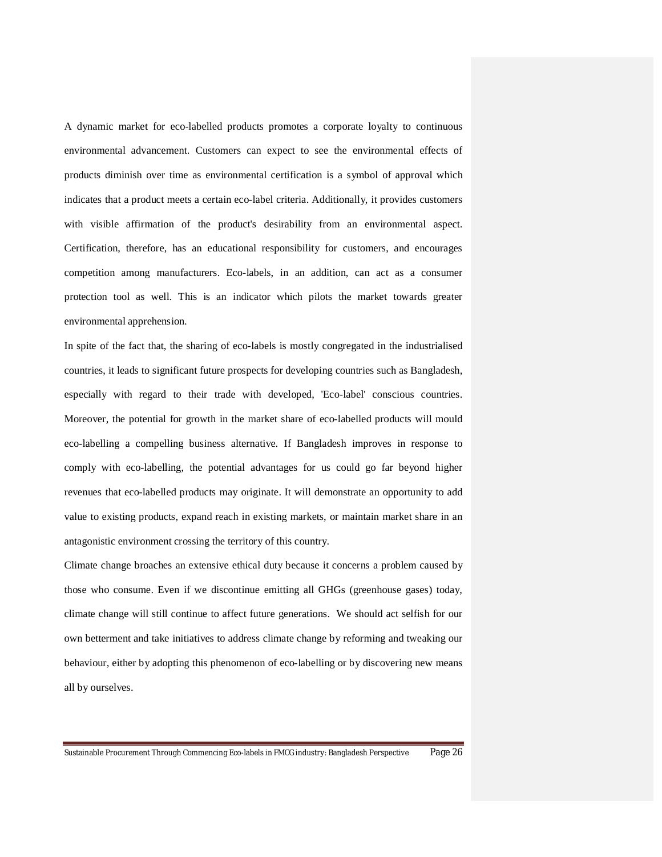A dynamic market for eco-labelled products promotes a corporate loyalty to continuous environmental advancement. Customers can expect to see the environmental effects of products diminish over time as environmental certification is a symbol of approval which indicates that a product meets a certain eco-label criteria. Additionally, it provides customers with visible affirmation of the product's desirability from an environmental aspect. Certification, therefore, has an educational responsibility for customers, and encourages competition among manufacturers. Eco-labels, in an addition, can act as a consumer protection tool as well. This is an indicator which pilots the market towards greater environmental apprehension.

In spite of the fact that, the sharing of eco-labels is mostly congregated in the industrialised countries, it leads to significant future prospects for developing countries such as Bangladesh, especially with regard to their trade with developed, 'Eco-label' conscious countries. Moreover, the potential for growth in the market share of eco-labelled products will mould eco-labelling a compelling business alternative. If Bangladesh improves in response to comply with eco-labelling, the potential advantages for us could go far beyond higher revenues that eco-labelled products may originate. It will demonstrate an opportunity to add value to existing products, expand reach in existing markets, or maintain market share in an antagonistic environment crossing the territory of this country.

Climate change broaches an extensive ethical duty because it concerns a problem caused by those who consume. Even if we discontinue emitting all GHGs (greenhouse gases) today, climate change will still continue to affect future generations. We should act selfish for our own betterment and take initiatives to address climate change by reforming and tweaking our behaviour, either by adopting this phenomenon of eco-labelling or by discovering new means all by ourselves.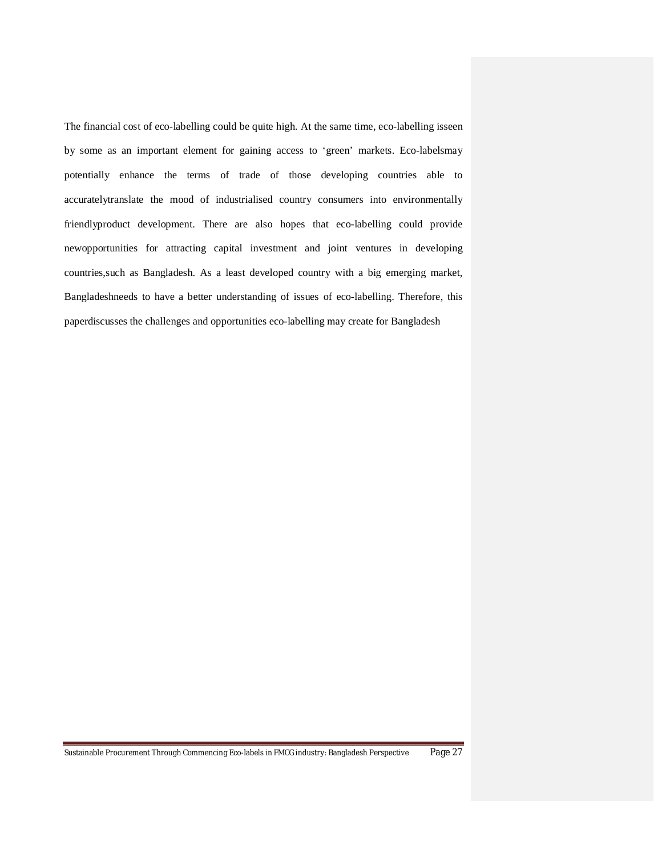The financial cost of eco-labelling could be quite high. At the same time, eco-labelling isseen by some as an important element for gaining access to 'green' markets. Eco-labelsmay potentially enhance the terms of trade of those developing countries able to accuratelytranslate the mood of industrialised country consumers into environmentally friendlyproduct development. There are also hopes that eco-labelling could provide newopportunities for attracting capital investment and joint ventures in developing countries,such as Bangladesh. As a least developed country with a big emerging market, Bangladeshneeds to have a better understanding of issues of eco-labelling. Therefore, this paperdiscusses the challenges and opportunities eco-labelling may create for Bangladesh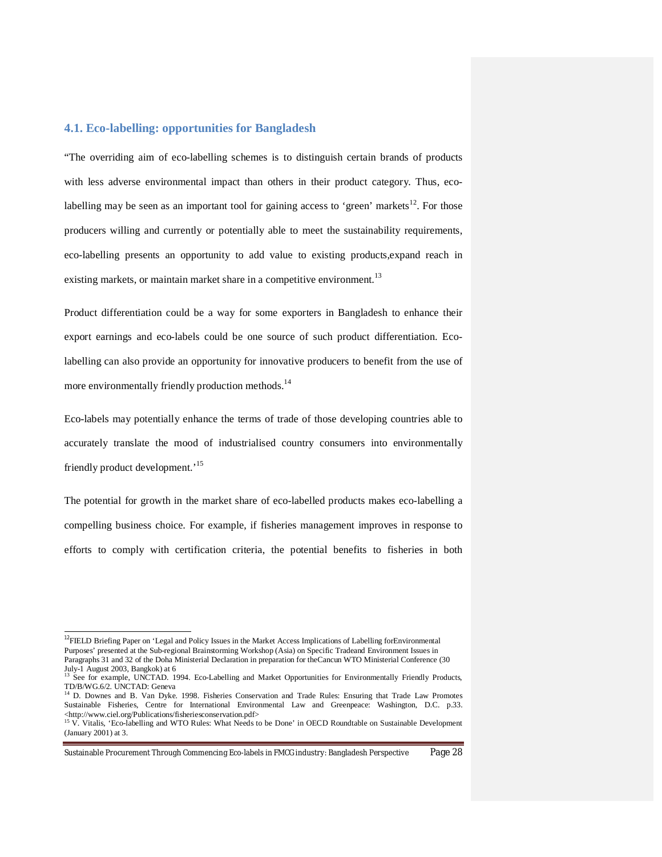### **4.1. Eco-labelling: opportunities for Bangladesh**

"The overriding aim of eco-labelling schemes is to distinguish certain brands of products with less adverse environmental impact than others in their product category. Thus, ecolabelling may be seen as an important tool for gaining access to 'green' markets<sup>12</sup>. For those producers willing and currently or potentially able to meet the sustainability requirements, eco-labelling presents an opportunity to add value to existing products,expand reach in existing markets, or maintain market share in a competitive environment.<sup>13</sup>

Product differentiation could be a way for some exporters in Bangladesh to enhance their export earnings and eco-labels could be one source of such product differentiation. Ecolabelling can also provide an opportunity for innovative producers to benefit from the use of more environmentally friendly production methods.<sup>14</sup>

Eco-labels may potentially enhance the terms of trade of those developing countries able to accurately translate the mood of industrialised country consumers into environmentally friendly product development.<sup>15</sup>

The potential for growth in the market share of eco-labelled products makes eco-labelling a compelling business choice. For example, if fisheries management improves in response to efforts to comply with certification criteria, the potential benefits to fisheries in both

<sup>&</sup>lt;sup>12</sup>FIELD Briefing Paper on 'Legal and Policy Issues in the Market Access Implications of Labelling forEnvironmental Purposes' presented at the Sub-regional Brainstorming Workshop (Asia) on Specific Tradeand Environment Issues in Paragraphs 31 and 32 of the Doha Ministerial Declaration in preparation for theCancun WTO Ministerial Conference (30 July-1 August 2003, Bangkok) at 6

<sup>&</sup>lt;sup>13</sup> See for example, UNCTAD. 1994. Eco-Labelling and Market Opportunities for Environmentally Friendly Products, TD/B/WG.6/2. UNCTAD: Geneva<sup>14</sup> D. Downes and B. *Marina L.* 

<sup>14</sup> D. Downes and B. Van Dyke. 1998. Fisheries Conservation and Trade Rules: Ensuring that Trade Law Promotes Sustainable Fisheries, Centre for International Environmental Law and Greenpeace: Washington, D.C. p.33. <http://www.ciel.org/Publications/fisheriesconservation.pdf> <sup>15</sup> V. Vitalis, 'Eco-labelling and WTO Rules: What Needs to be Done' in OECD Roundtable on Sustainable Development

<sup>(</sup>January 2001) at 3.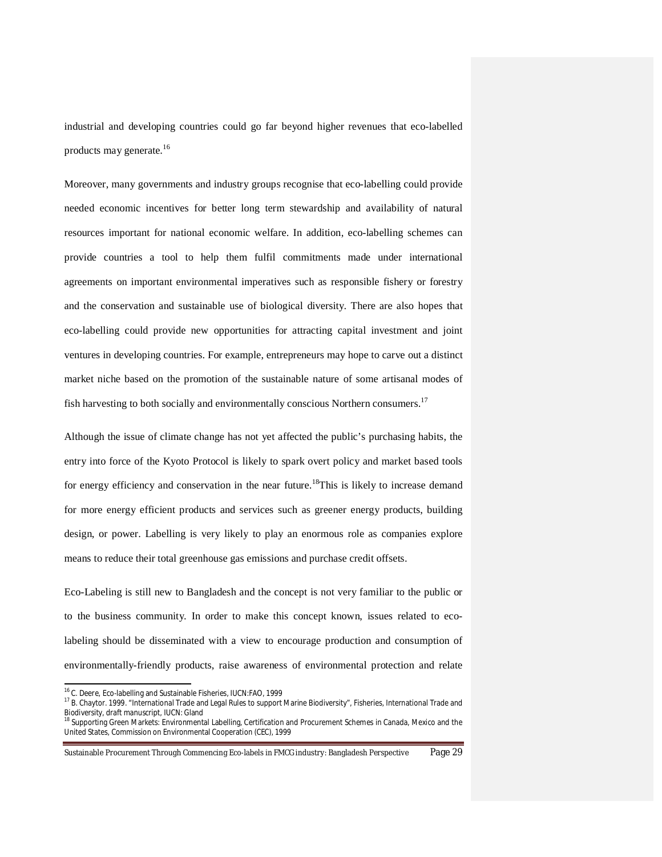industrial and developing countries could go far beyond higher revenues that eco-labelled products may generate.<sup>16</sup>

Moreover, many governments and industry groups recognise that eco-labelling could provide needed economic incentives for better long term stewardship and availability of natural resources important for national economic welfare. In addition, eco-labelling schemes can provide countries a tool to help them fulfil commitments made under international agreements on important environmental imperatives such as responsible fishery or forestry and the conservation and sustainable use of biological diversity. There are also hopes that eco-labelling could provide new opportunities for attracting capital investment and joint ventures in developing countries. For example, entrepreneurs may hope to carve out a distinct market niche based on the promotion of the sustainable nature of some artisanal modes of fish harvesting to both socially and environmentally conscious Northern consumers.<sup>17</sup>

Although the issue of climate change has not yet affected the public's purchasing habits, the entry into force of the Kyoto Protocol is likely to spark overt policy and market based tools for energy efficiency and conservation in the near future.<sup>18</sup>This is likely to increase demand for more energy efficient products and services such as greener energy products, building design, or power. Labelling is very likely to play an enormous role as companies explore means to reduce their total greenhouse gas emissions and purchase credit offsets.

Eco-Labeling is still new to Bangladesh and the concept is not very familiar to the public or to the business community. In order to make this concept known, issues related to ecolabeling should be disseminated with a view to encourage production and consumption of environmentally-friendly products, raise awareness of environmental protection and relate

<sup>&</sup>lt;sup>16</sup> C. Deere, Eco-labelling and Sustainable Fisheries, IUCN:FAO, 1999

<sup>&</sup>lt;sup>17</sup> B. Chaytor. 1999. "International Trade and Legal Rules to support Marine Biodiversity", Fisheries, International Trade and Biodiversity, draft manuscript, IUCN: Gland<br><sup>18</sup> Supporting Green Markets: Environmental Labelling, Certification and Procurement Schemes in Canada, Mexico and the

United States, Commission on Environmental Cooperation (CEC), 1999

Sustainable Procurement Through Commencing Eco-labels in FMCG industry: Bangladesh Perspective Page 29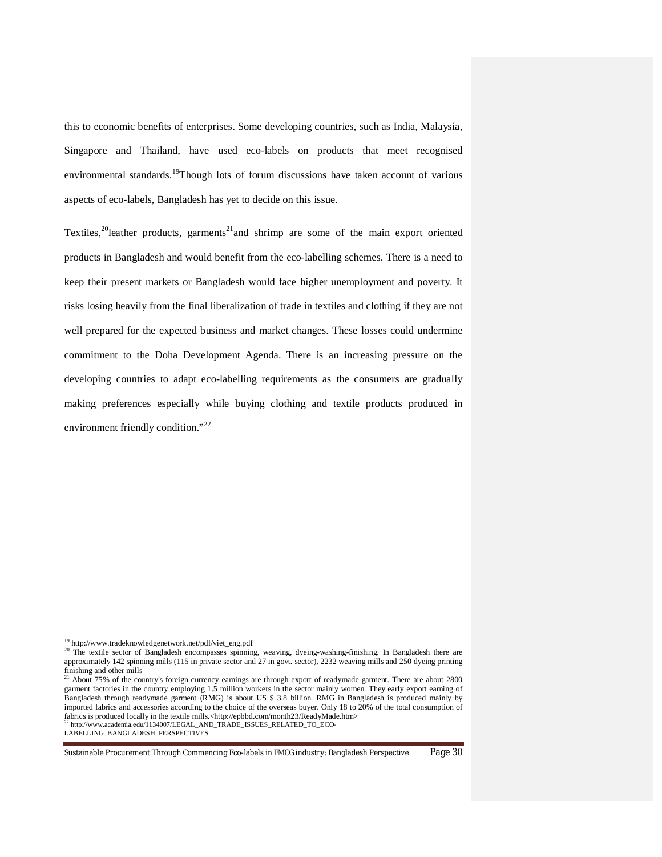this to economic benefits of enterprises. Some developing countries, such as India, Malaysia, Singapore and Thailand, have used eco-labels on products that meet recognised environmental standards.<sup>19</sup>Though lots of forum discussions have taken account of various aspects of eco-labels, Bangladesh has yet to decide on this issue.

Textiles,<sup>20</sup>leather products, garments<sup>21</sup>and shrimp are some of the main export oriented products in Bangladesh and would benefit from the eco-labelling schemes. There is a need to keep their present markets or Bangladesh would face higher unemployment and poverty. It risks losing heavily from the final liberalization of trade in textiles and clothing if they are not well prepared for the expected business and market changes. These losses could undermine commitment to the Doha Development Agenda. There is an increasing pressure on the developing countries to adapt eco-labelling requirements as the consumers are gradually making preferences especially while buying clothing and textile products produced in environment friendly condition."<sup>22</sup>

<sup>&</sup>lt;sup>19</sup> http://www.tradeknowledgenetwork.net/pdf/viet\_eng.pdf

 $20$  The textile sector of Bangladesh encompasses spinning, weaving, dyeing-washing-finishing. In Bangladesh there are approximately 142 spinning mills (115 in private sector and 27 in govt. sector), 2232 weaving mills and 250 dyeing printing finishing and other mills

<sup>21</sup> About 75% of the country's foreign currency earnings are through export of readymade garment. There are about 2800 garment factories in the country employing 1.5 million workers in the sector mainly women. They early export earning of Bangladesh through readymade garment (RMG) is about US \$ 3.8 billion. RMG in Bangladesh is produced mainly by imported fabrics and accessories according to the choice of the overseas buyer. Only 18 to 20% of the total consumption of fabrics is produced locally in the textile mills.<http://epbbd.com/month23/ReadyMade.htm>^2^ http://www.academia.edu/1134007/LEGAL\_AND\_TRADE\_ISSUES\_RELATED\_TO\_ECO-<br>LABELLING\_BANGLADESH\_PERSPECTIVES

Sustainable Procurement Through Commencing Eco-labels in FMCG industry: Bangladesh Perspective Page 30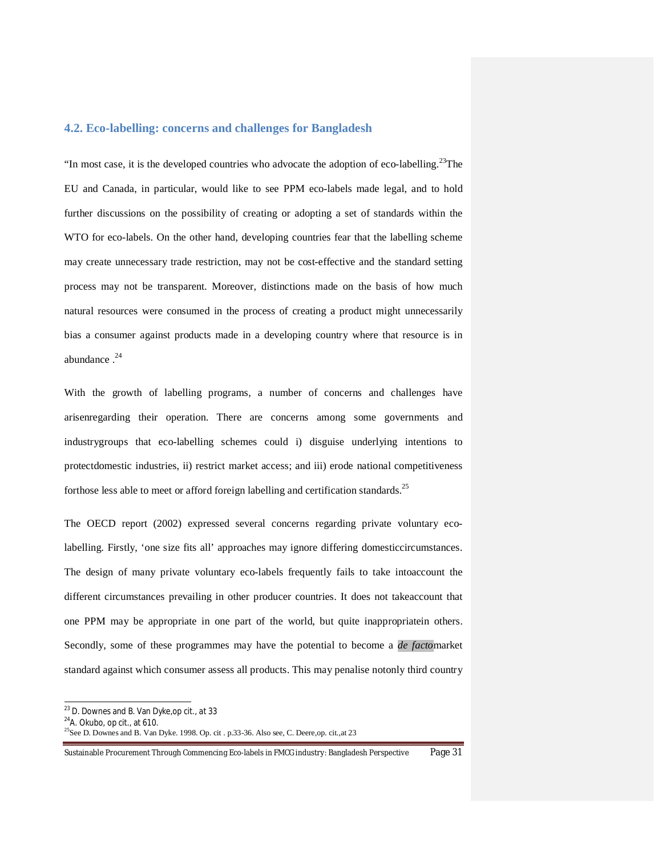### **4.2. Eco-labelling: concerns and challenges for Bangladesh**

"In most case, it is the developed countries who advocate the adoption of eco-labelling.<sup>23</sup>The EU and Canada, in particular, would like to see PPM eco-labels made legal, and to hold further discussions on the possibility of creating or adopting a set of standards within the WTO for eco-labels. On the other hand, developing countries fear that the labelling scheme may create unnecessary trade restriction, may not be cost-effective and the standard setting process may not be transparent. Moreover, distinctions made on the basis of how much natural resources were consumed in the process of creating a product might unnecessarily bias a consumer against products made in a developing country where that resource is in abundance .<sup>24</sup>

With the growth of labelling programs, a number of concerns and challenges have arisenregarding their operation. There are concerns among some governments and industrygroups that eco-labelling schemes could i) disguise underlying intentions to protectdomestic industries, ii) restrict market access; and iii) erode national competitiveness forthose less able to meet or afford foreign labelling and certification standards.<sup>25</sup>

The OECD report (2002) expressed several concerns regarding private voluntary ecolabelling. Firstly, 'one size fits all' approaches may ignore differing domesticcircumstances. The design of many private voluntary eco-labels frequently fails to take intoaccount the different circumstances prevailing in other producer countries. It does not takeaccount that one PPM may be appropriate in one part of the world, but quite inappropriatein others. Secondly, some of these programmes may have the potential to become a *de facto*market standard against which consumer assess all products. This may penalise notonly third country

1

 $^{23}$  D. Downes and B. Van Dyke,op cit., at 33

 $24$ A. Okubo, op cit., at 610.

<sup>25</sup>See D. Downes and B. Van Dyke. 1998. Op. cit . p.33-36. Also see, C. Deere,op. cit.,at 23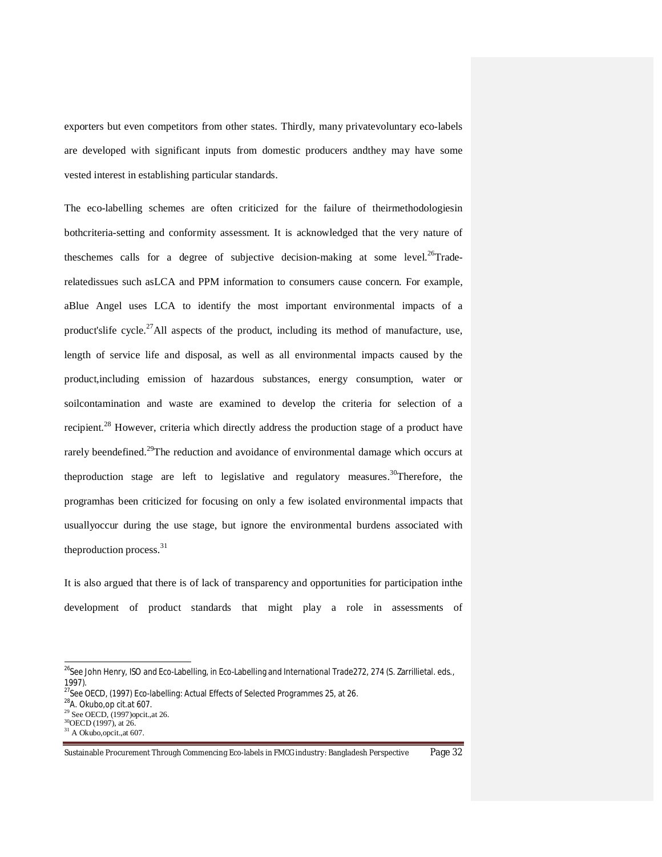exporters but even competitors from other states. Thirdly, many privatevoluntary eco-labels are developed with significant inputs from domestic producers andthey may have some vested interest in establishing particular standards.

The eco-labelling schemes are often criticized for the failure of theirmethodologiesin bothcriteria-setting and conformity assessment. It is acknowledged that the very nature of theschemes calls for a degree of subjective decision-making at some level.<sup>26</sup>Traderelatedissues such asLCA and PPM information to consumers cause concern. For example, aBlue Angel uses LCA to identify the most important environmental impacts of a product'slife cycle.<sup>27</sup>All aspects of the product, including its method of manufacture, use, length of service life and disposal, as well as all environmental impacts caused by the product,including emission of hazardous substances, energy consumption, water or soilcontamination and waste are examined to develop the criteria for selection of a recipient.<sup>28</sup> However, criteria which directly address the production stage of a product have rarely beendefined.<sup>29</sup>The reduction and avoidance of environmental damage which occurs at the production stage are left to legislative and regulatory measures.<sup>30</sup>Therefore, the programhas been criticized for focusing on only a few isolated environmental impacts that usuallyoccur during the use stage, but ignore the environmental burdens associated with theproduction process.<sup>31</sup>

It is also argued that there is of lack of transparency and opportunities for participation inthe development of product standards that might play a role in assessments of

<sup>&</sup>lt;sup>26</sup>See John Henry, ISO and Eco-Labelling, in Eco-Labelling and International Trade272, 274 (S. Zarrillietal. eds., 1997).

 $27$ See OECD, (1997) Eco-labelling: Actual Effects of Selected Programmes 25, at 26.

 $^{28}$ A. Okubo,op cit.at 607.

 $29$  See OECD, (1997)opcit., at 26.

<sup>30</sup>OECD (1997), at 26.

<sup>&</sup>lt;sup>31</sup> A Okubo, opcit., at 607.

Sustainable Procurement Through Commencing Eco-labels in FMCG industry: Bangladesh Perspective Page 32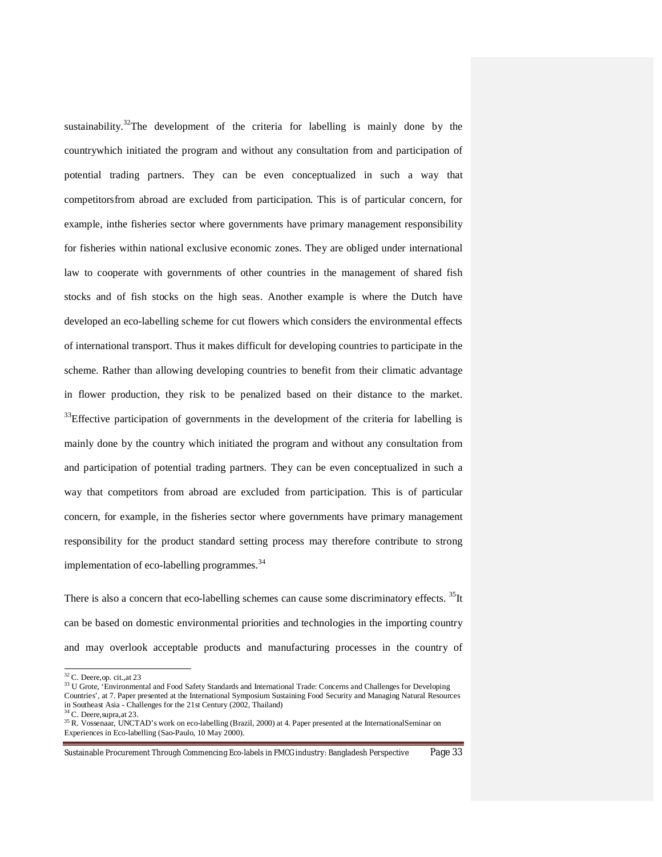sustainability.<sup>32</sup>The development of the criteria for labelling is mainly done by the countrywhich initiated the program and without any consultation from and participation of potential trading partners. They can be even conceptualized in such a way that competitorsfrom abroad are excluded from participation. This is of particular concern, for example, inthe fisheries sector where governments have primary management responsibility for fisheries within national exclusive economic zones. They are obliged under international law to cooperate with governments of other countries in the management of shared fish stocks and of fish stocks on the high seas. Another example is where the Dutch have developed an eco-labelling scheme for cut flowers which considers the environmental effects of international transport. Thus it makes difficult for developing countries to participate in the scheme. Rather than allowing developing countries to benefit from their climatic advantage in flower production, they risk to be penalized based on their distance to the market.  $33$ Effective participation of governments in the development of the criteria for labelling is mainly done by the country which initiated the program and without any consultation from and participation of potential trading partners. They can be even conceptualized in such a way that competitors from abroad are excluded from participation. This is of particular concern, for example, in the fisheries sector where governments have primary management responsibility for the product standard setting process may therefore contribute to strong implementation of eco-labelling programmes.<sup>34</sup>

There is also a concern that eco-labelling schemes can cause some discriminatory effects.  ${}^{35}$ It can be based on domestic environmental priorities and technologies in the importing country and may overlook acceptable products and manufacturing processes in the country of

1

 $32$  C. Deere, op. cit., at 23

<sup>&</sup>lt;sup>33</sup> U Grote, 'Environmental and Food Safety Standards and International Trade: Concerns and Challenges for Developing Countries', at 7. Paper presented at the International Symposium Sustaining Food Security and Managing Natural Resources in Southeast Asia - Challenges for the 21st Century (2002, Thailand)

 $34$  C. Deere, supra, at 23.

<sup>&</sup>lt;sup>35</sup> R. Vossenaar, UNCTAD's work on eco-labelling (Brazil, 2000) at 4. Paper presented at the InternationalSeminar on Experiences in Eco-labelling (Sao-Paulo, 10 May 2000).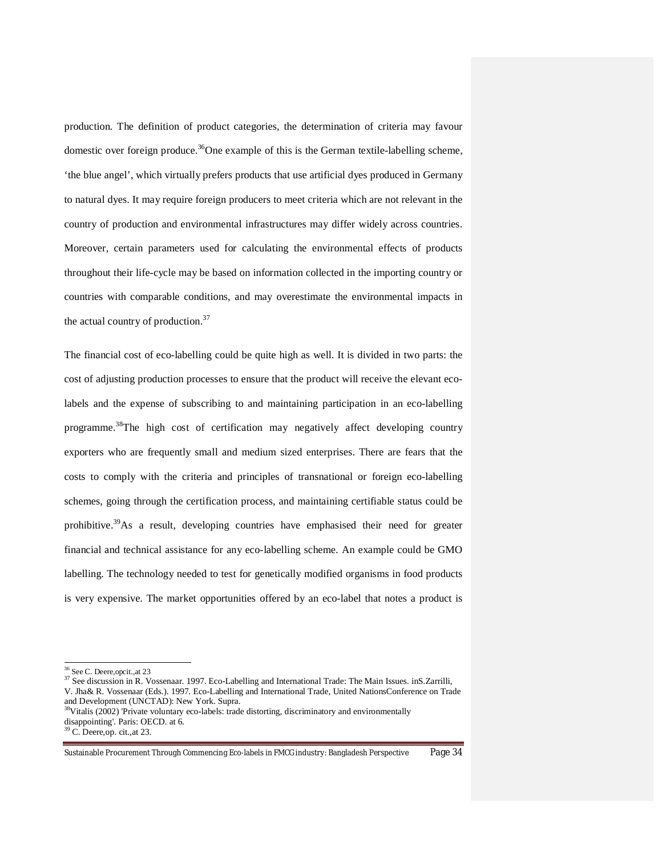production. The definition of product categories, the determination of criteria may favour domestic over foreign produce.<sup>36</sup>One example of this is the German textile-labelling scheme, 'the blue angel', which virtually prefers products that use artificial dyes produced in Germany to natural dyes. It may require foreign producers to meet criteria which are not relevant in the country of production and environmental infrastructures may differ widely across countries. Moreover, certain parameters used for calculating the environmental effects of products throughout their life-cycle may be based on information collected in the importing country or countries with comparable conditions, and may overestimate the environmental impacts in the actual country of production.<sup>37</sup>

The financial cost of eco-labelling could be quite high as well. It is divided in two parts: the cost of adjusting production processes to ensure that the product will receive the elevant ecolabels and the expense of subscribing to and maintaining participation in an eco-labelling programme.<sup>38</sup>The high cost of certification may negatively affect developing country exporters who are frequently small and medium sized enterprises. There are fears that the costs to comply with the criteria and principles of transnational or foreign eco-labelling schemes, going through the certification process, and maintaining certifiable status could be prohibitive.<sup>39</sup>As a result, developing countries have emphasised their need for greater financial and technical assistance for any eco-labelling scheme. An example could be GMO labelling. The technology needed to test for genetically modified organisms in food products is very expensive. The market opportunities offered by an eco-label that notes a product is

<sup>&</sup>lt;sup>36</sup> See C. Deere, opcit., at 23

<sup>&</sup>lt;sup>37</sup> See discussion in R. Vossenaar. 1997. Eco-Labelling and International Trade: The Main Issues. inS.Zarrilli, V. Jha& R. Vossenaar (Eds.). 1997. Eco-Labelling and International Trade, United NationsConference on Trade and Development (UNCTAD): New York. Supra.

<sup>&</sup>lt;sup>38</sup>Vitalis (2002) 'Private voluntary eco-labels: trade distorting, discriminatory and environmentally disappointing'. Paris: OECD. at 6.

C. Deere,op. cit.,at 23.

Sustainable Procurement Through Commencing Eco-labels in FMCG industry: Bangladesh Perspective Page 34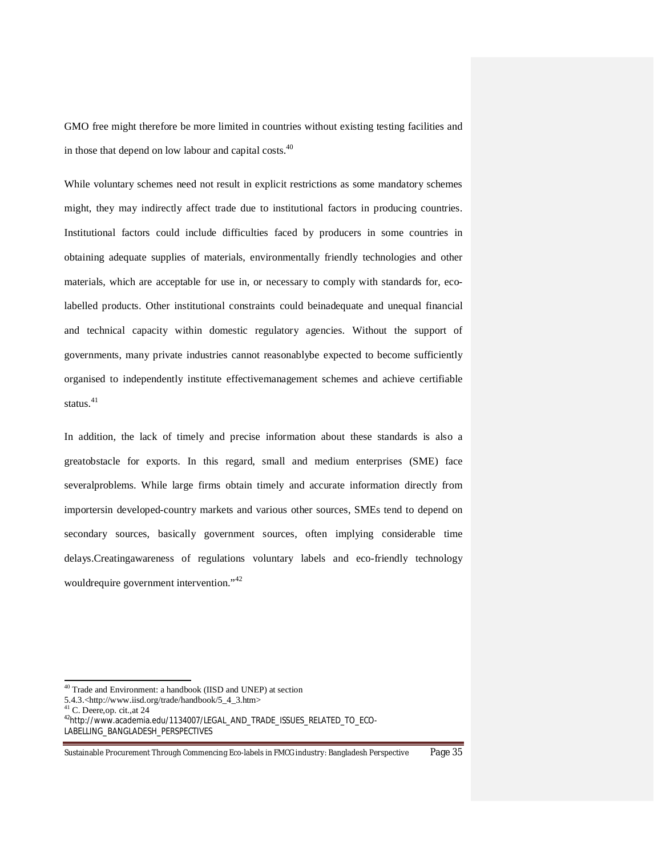GMO free might therefore be more limited in countries without existing testing facilities and in those that depend on low labour and capital costs. $40$ 

While voluntary schemes need not result in explicit restrictions as some mandatory schemes might, they may indirectly affect trade due to institutional factors in producing countries. Institutional factors could include difficulties faced by producers in some countries in obtaining adequate supplies of materials, environmentally friendly technologies and other materials, which are acceptable for use in, or necessary to comply with standards for, ecolabelled products. Other institutional constraints could beinadequate and unequal financial and technical capacity within domestic regulatory agencies. Without the support of governments, many private industries cannot reasonablybe expected to become sufficiently organised to independently institute effectivemanagement schemes and achieve certifiable status. $41$ 

In addition, the lack of timely and precise information about these standards is also a greatobstacle for exports. In this regard, small and medium enterprises (SME) face severalproblems. While large firms obtain timely and accurate information directly from importersin developed-country markets and various other sources, SMEs tend to depend on secondary sources, basically government sources, often implying considerable time delays.Creatingawareness of regulations voluntary labels and eco-friendly technology wouldrequire government intervention."<sup>42</sup>

<sup>&</sup>lt;sup>40</sup> Trade and Environment: a handbook (IISD and UNEP) at section

<sup>5.4.3.&</sup>lt;http://www.iisd.org/trade/handbook/5\_4\_3.htm>

<sup>41</sup> C. Deere,op. cit.,at 24

<sup>42</sup>http://www.academia.edu/1134007/LEGAL\_AND\_TRADE\_ISSUES\_RELATED\_TO\_ECO-LABELLING\_BANGLADESH\_PERSPECTIVES

Sustainable Procurement Through Commencing Eco-labels in FMCG industry: Bangladesh Perspective Page 35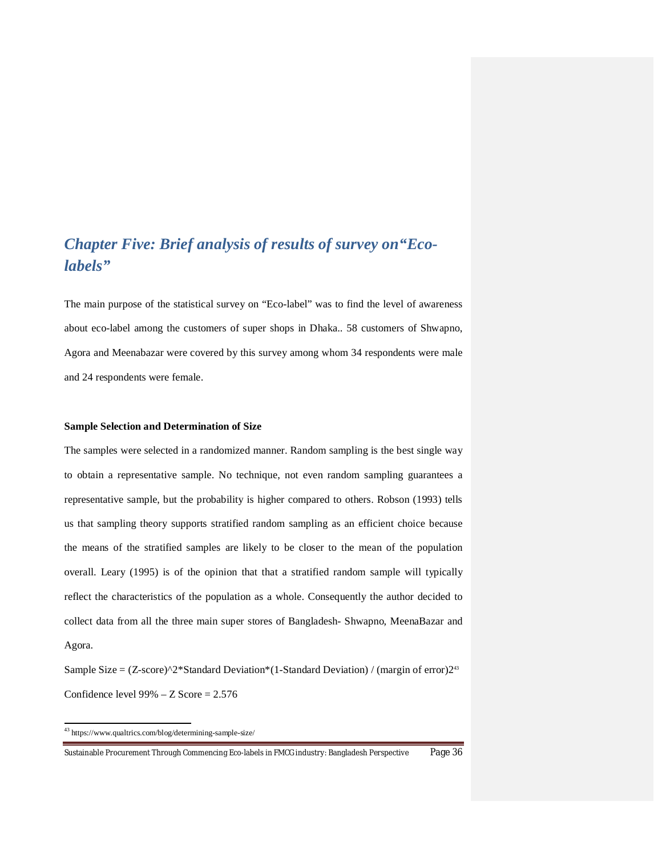# *Chapter Five: Brief analysis of results of survey on"Ecolabels"*

The main purpose of the statistical survey on "Eco-label" was to find the level of awareness about eco-label among the customers of super shops in Dhaka.. 58 customers of Shwapno, Agora and Meenabazar were covered by this survey among whom 34 respondents were male and 24 respondents were female.

### **Sample Selection and Determination of Size**

The samples were selected in a randomized manner. Random sampling is the best single way to obtain a representative sample. No technique, not even random sampling guarantees a representative sample, but the probability is higher compared to others. Robson (1993) tells us that sampling theory supports stratified random sampling as an efficient choice because the means of the stratified samples are likely to be closer to the mean of the population overall. Leary (1995) is of the opinion that that a stratified random sample will typically reflect the characteristics of the population as a whole. Consequently the author decided to collect data from all the three main super stores of Bangladesh- Shwapno, MeenaBazar and Agora.

Sample Size =  $(Z\text{-score})^2$ \*Standard Deviation\*(1-Standard Deviation) / (margin of error) $2^{43}$ Confidence level  $99\% - Z$  Score = 2.576

1

<sup>43</sup> https://www.qualtrics.com/blog/determining-sample-size/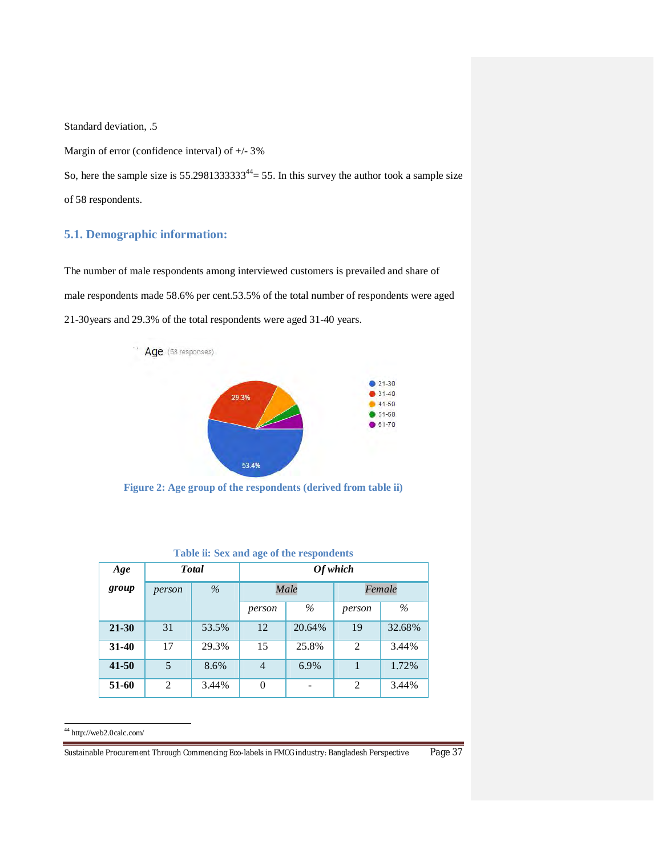Standard deviation, .5

Margin of error (confidence interval) of +/- 3%

So, here the sample size is  $55.298133333^{44} = 55$ . In this survey the author took a sample size of 58 respondents.

### **5.1. Demographic information:**

The number of male respondents among interviewed customers is prevailed and share of male respondents made 58.6% per cent.53.5% of the total number of respondents were aged 21-30years and 29.3% of the total respondents were aged 31-40 years.



**Figure 2: Age group of the respondents (derived from table ii)**

| Table ii: Sex and age of the respondents |        |              |                |        |        |        |  |  |
|------------------------------------------|--------|--------------|----------------|--------|--------|--------|--|--|
| Age                                      |        | <b>Total</b> | Of which       |        |        |        |  |  |
| group                                    | person | $\%$         | Male           |        |        | Female |  |  |
|                                          |        |              | person         | $\%$   | person | $\%$   |  |  |
| 21-30                                    | 31     | 53.5%        | 12             | 20.64% | 19     | 32.68% |  |  |
| 31-40                                    | 17     | 29.3%        | 15             | 25.8%  | 2      | 3.44%  |  |  |
| $41 - 50$                                | 5      | 8.6%         | $\overline{4}$ | 6.9%   |        | 1.72%  |  |  |
| 51-60                                    | 2      | 3.44%        | $\theta$       |        | 2      | 3.44%  |  |  |

<sup>44</sup> http://web2.0calc.com/

Sustainable Procurement Through Commencing Eco-labels in FMCG industry: Bangladesh Perspective Page 37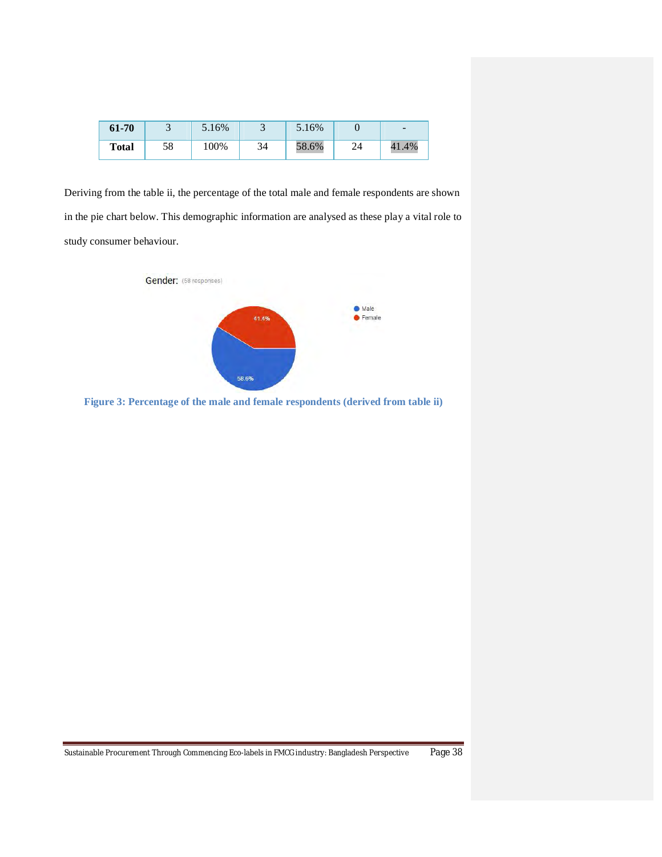| 61-70        |    | 5.16% |    | 5.16% |    | $\sim$ |
|--------------|----|-------|----|-------|----|--------|
| <b>Total</b> | 58 | 100%  | 34 | 58.6% | 24 | 41.4%  |

Deriving from the table ii, the percentage of the total male and female respondents are shown in the pie chart below. This demographic information are analysed as these play a vital role to study consumer behaviour.



**Figure 3: Percentage of the male and female respondents (derived from table ii)**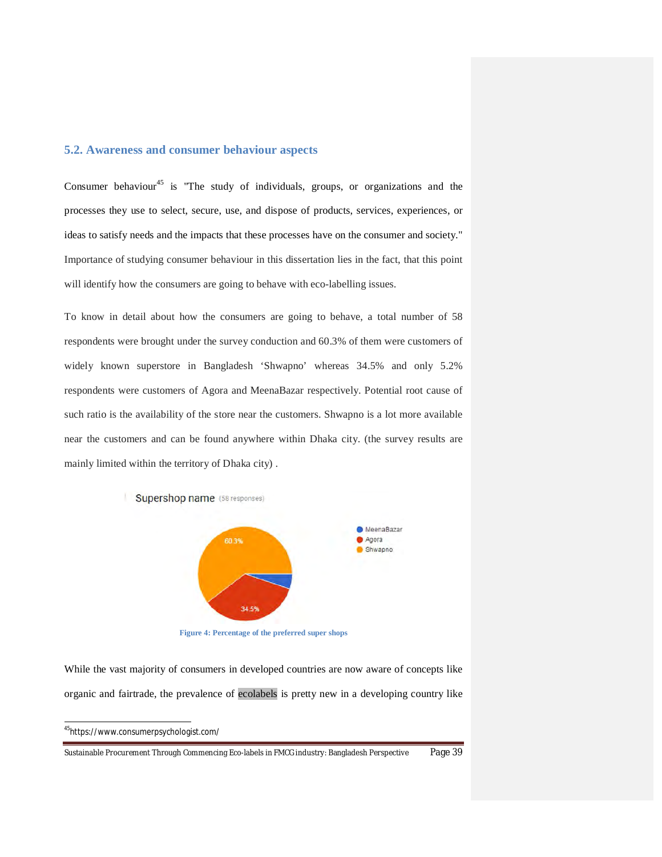### **5.2. Awareness and consumer behaviour aspects**

Consumer behaviour<sup>45</sup> is "The study of individuals, groups, or organizations and the processes they use to select, secure, use, and dispose of products, services, experiences, or ideas to satisfy needs and the impacts that these processes have on the consumer and society." Importance of studying consumer behaviour in this dissertation lies in the fact, that this point will identify how the consumers are going to behave with eco-labelling issues.

To know in detail about how the consumers are going to behave, a total number of 58 respondents were brought under the survey conduction and 60.3% of them were customers of widely known superstore in Bangladesh 'Shwapno' whereas 34.5% and only 5.2% respondents were customers of Agora and MeenaBazar respectively. Potential root cause of such ratio is the availability of the store near the customers. Shwapno is a lot more available near the customers and can be found anywhere within Dhaka city. (the survey results are mainly limited within the territory of Dhaka city) .



**Figure 4: Percentage of the preferred super shops**

While the vast majority of consumers in developed countries are now aware of concepts like organic and fairtrade, the prevalence of ecolabels is pretty new in a developing country like

1

<sup>45</sup>https://www.consumerpsychologist.com/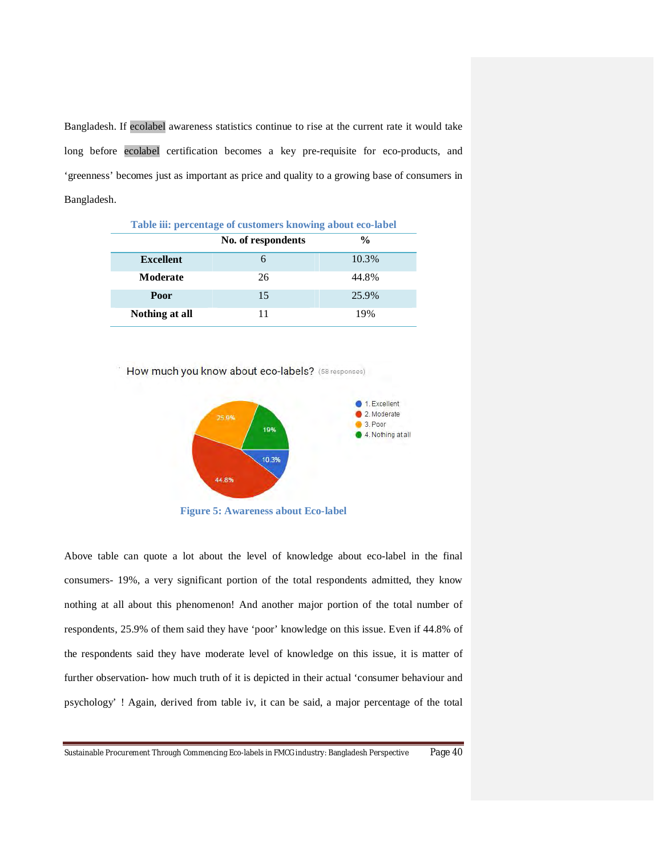Bangladesh. If ecolabel awareness statistics continue to rise at the current rate it would take long before ecolabel certification becomes a key pre-requisite for eco-products, and 'greenness' becomes just as important as price and quality to a growing base of consumers in Bangladesh.

|                  | THOIC III POLOGINIQU'OL CHOODILLED INIO HILE, HOOGO COO IHOOL<br>No. of respondents | $\frac{0}{0}$ |
|------------------|-------------------------------------------------------------------------------------|---------------|
| <b>Excellent</b> | 6                                                                                   | 10.3%         |
| Moderate         | 26                                                                                  | 44.8%         |
| Poor             | 15                                                                                  | 25.9%         |
| Nothing at all   | 11                                                                                  | 19%           |

**Table iii: percentage of customers knowing about eco-label**





**Figure 5: Awareness about Eco-label**

Above table can quote a lot about the level of knowledge about eco-label in the final consumers- 19%, a very significant portion of the total respondents admitted, they know nothing at all about this phenomenon! And another major portion of the total number of respondents, 25.9% of them said they have 'poor' knowledge on this issue. Even if 44.8% of the respondents said they have moderate level of knowledge on this issue, it is matter of further observation- how much truth of it is depicted in their actual 'consumer behaviour and psychology' ! Again, derived from table iv, it can be said, a major percentage of the total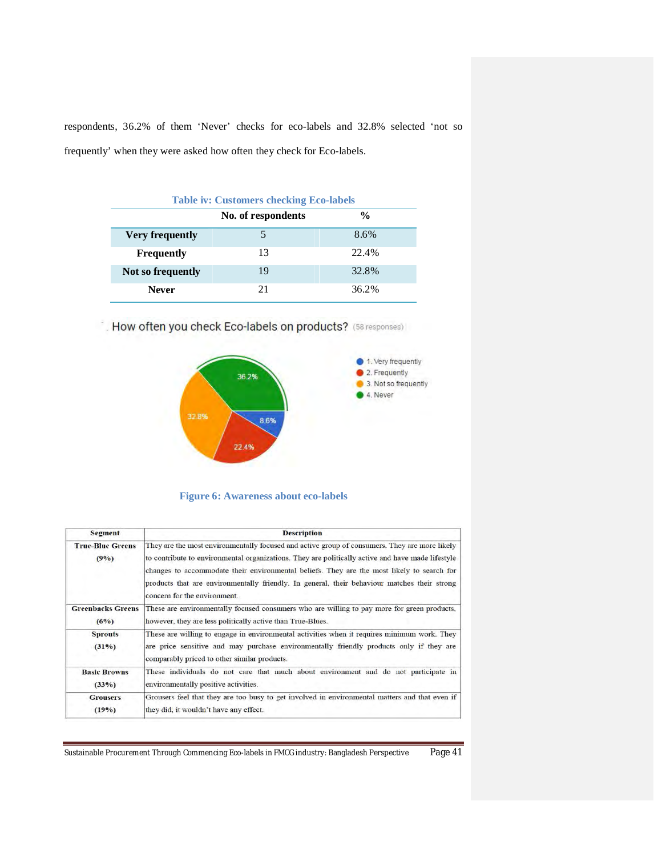respondents, 36.2% of them 'Never' checks for eco-labels and 32.8% selected 'not so frequently' when they were asked how often they check for Eco-labels.

| <b>Table iv: Customers checking Eco-labels</b> |    |       |  |  |  |  |  |
|------------------------------------------------|----|-------|--|--|--|--|--|
| $\frac{0}{0}$<br>No. of respondents            |    |       |  |  |  |  |  |
| <b>Very frequently</b>                         |    | 8.6%  |  |  |  |  |  |
| <b>Frequently</b>                              | 13 | 22.4% |  |  |  |  |  |
| Not so frequently                              | 19 | 32.8% |  |  |  |  |  |
| <b>Never</b>                                   | 21 | 36.2% |  |  |  |  |  |

. How often you check Eco-labels on products? (58 responses)



**Figure 6: Awareness about eco-labels**

| Segment                         | <b>Description</b>                                                                                                                                                                                                                                                                                                                                                                                                               |  |  |  |
|---------------------------------|----------------------------------------------------------------------------------------------------------------------------------------------------------------------------------------------------------------------------------------------------------------------------------------------------------------------------------------------------------------------------------------------------------------------------------|--|--|--|
| <b>True-Blue Greens</b><br>(9%) | They are the most environmentally focused and active group of consumers. They are more likely<br>to contribute to environmental organizations. They are politically active and have made lifestyle<br>changes to accommodate their environmental beliefs. They are the most likely to search for<br>products that are environmentally friendly. In general, their behaviour matches their strong<br>concern for the environment. |  |  |  |
| <b>Greenbacks Greens</b>        | These are environmentally focused consumers who are willing to pay more for green products,                                                                                                                                                                                                                                                                                                                                      |  |  |  |
| $(6\%)$                         | however, they are less politically active than True-Blues.                                                                                                                                                                                                                                                                                                                                                                       |  |  |  |
| <b>Sprouts</b><br>$(31\%)$      | These are willing to engage in environmental activities when it requires minimum work. They<br>are price sensitive and may purchase environmentally friendly products only if they are<br>comparably priced to other similar products.                                                                                                                                                                                           |  |  |  |
| <b>Basic Browns</b>             | These individuals do not care that much about environment and do not participate in                                                                                                                                                                                                                                                                                                                                              |  |  |  |
| $(33\%)$                        | environmentally positive activities.                                                                                                                                                                                                                                                                                                                                                                                             |  |  |  |
| <b>Grousers</b>                 | Grousers feel that they are too busy to get involved in environmental matters and that even if                                                                                                                                                                                                                                                                                                                                   |  |  |  |
| $(19\%)$                        | they did, it wouldn't have any effect.                                                                                                                                                                                                                                                                                                                                                                                           |  |  |  |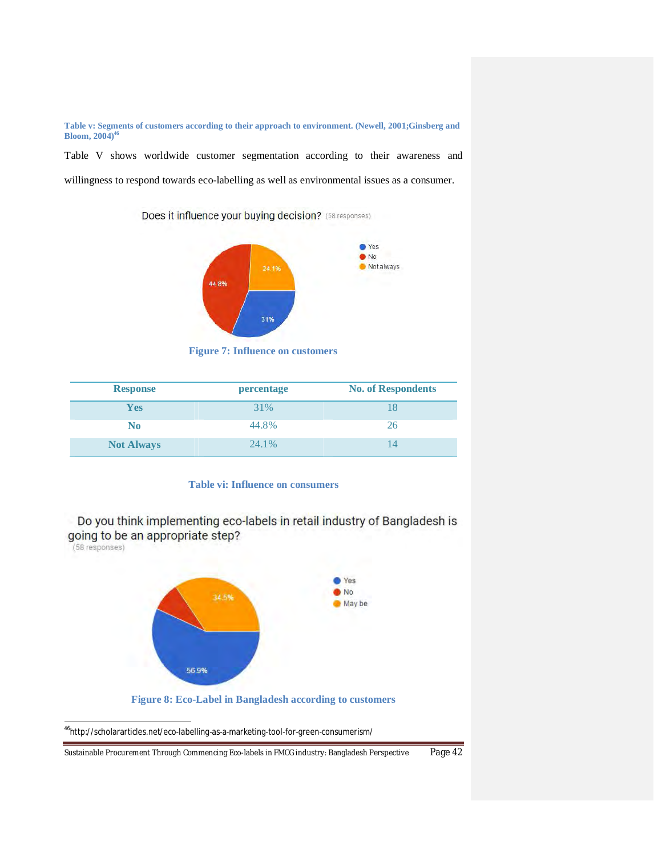**Table v: Segments of customers according to their approach to environment. (Newell, 2001;Ginsberg and Bloom, 2004)<sup>46</sup>**

Table V shows worldwide customer segmentation according to their awareness and willingness to respond towards eco-labelling as well as environmental issues as a consumer.



**Figure 7: Influence on customers**

| <b>Response</b>   | percentage | <b>No. of Respondents</b> |
|-------------------|------------|---------------------------|
| Yes               | 31%        |                           |
| N <sub>0</sub>    | 44.8%      | 26                        |
| <b>Not Always</b> | 24.1%      |                           |

### **Table vi: Influence on consumers**

Do you think implementing eco-labels in retail industry of Bangladesh is going to be an appropriate step?



1



**Figure 8: Eco-Label in Bangladesh according to customers**

<sup>46</sup>http://scholararticles.net/eco-labelling-as-a-marketing-tool-for-green-consumerism/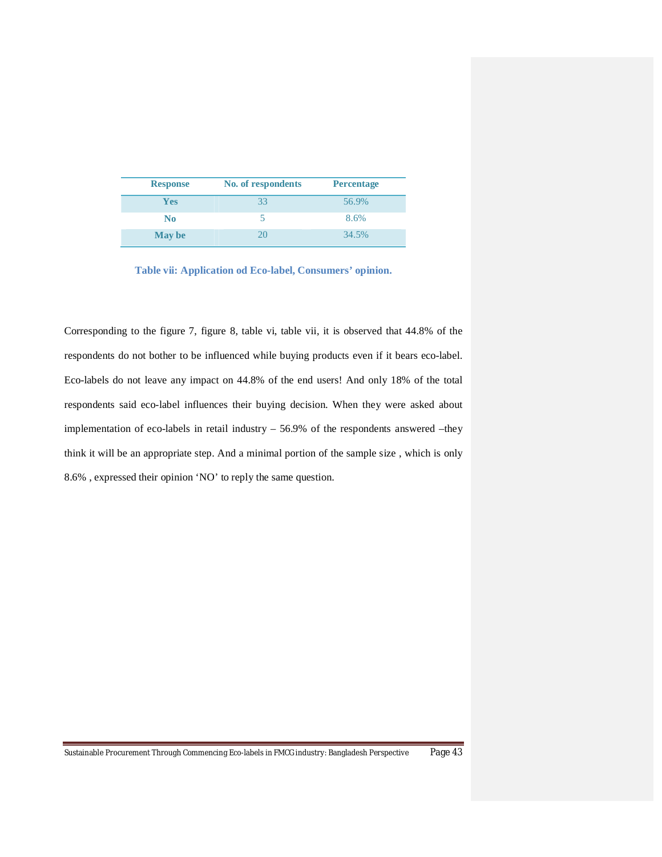| <b>Response</b> | No. of respondents | <b>Percentage</b> |
|-----------------|--------------------|-------------------|
| Yes             | 33                 | 56.9%             |
| N <sub>0</sub>  |                    | 8.6%              |
| <b>May be</b>   | ZП                 | 34.5%             |

**Table vii: Application od Eco-label, Consumers' opinion.**

Corresponding to the figure 7, figure 8, table vi, table vii, it is observed that 44.8% of the respondents do not bother to be influenced while buying products even if it bears eco-label. Eco-labels do not leave any impact on 44.8% of the end users! And only 18% of the total respondents said eco-label influences their buying decision. When they were asked about implementation of eco-labels in retail industry – 56.9% of the respondents answered –they think it will be an appropriate step. And a minimal portion of the sample size , which is only 8.6% , expressed their opinion 'NO' to reply the same question.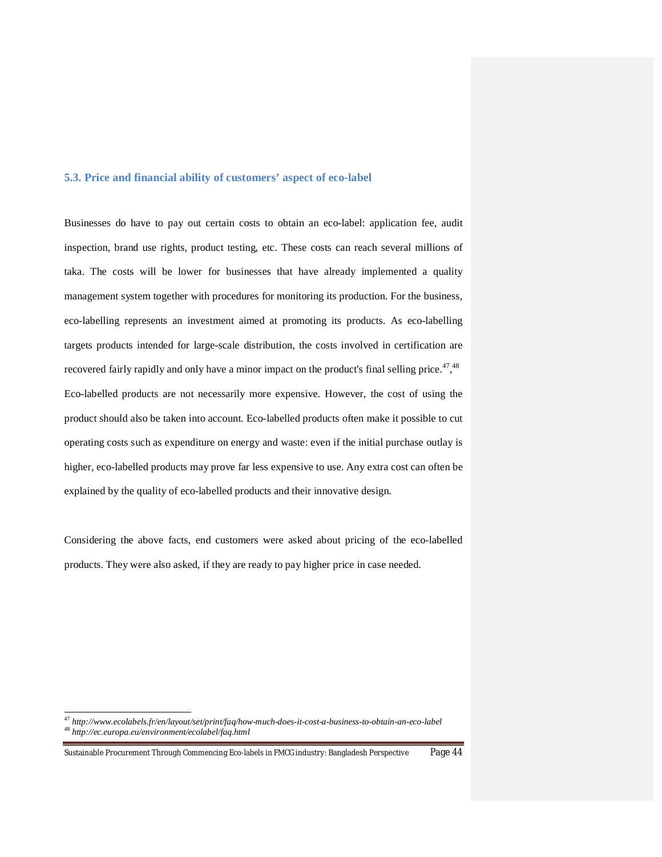### **5.3. Price and financial ability of customers' aspect of eco-label**

Businesses do have to pay out certain costs to obtain an eco-label: application fee, audit inspection, brand use rights, product testing, etc. These costs can reach several millions of taka. The costs will be lower for businesses that have already implemented a quality management system together with procedures for monitoring its production. For the business, eco-labelling represents an investment aimed at promoting its products. As eco-labelling targets products intended for large-scale distribution, the costs involved in certification are recovered fairly rapidly and only have a minor impact on the product's final selling price.<sup>47,48</sup> Eco-labelled products are not necessarily more expensive. However, the cost of using the product should also be taken into account. Eco-labelled products often make it possible to cut operating costs such as expenditure on energy and waste: even if the initial purchase outlay is higher, eco-labelled products may prove far less expensive to use. Any extra cost can often be explained by the quality of eco-labelled products and their innovative design.

Considering the above facts, end customers were asked about pricing of the eco-labelled products. They were also asked, if they are ready to pay higher price in case needed.

-

<sup>47</sup> *http://www.ecolabels.fr/en/layout/set/print/faq/how-much-does-it-cost-a-business-to-obtain-an-eco-label* <sup>48</sup> *http://ec.europa.eu/environment/ecolabel/faq.html*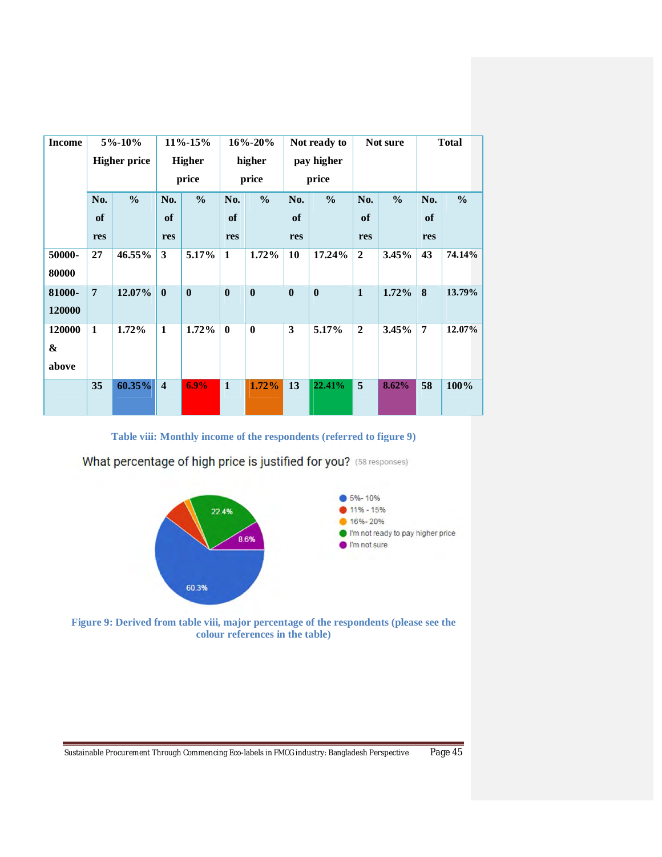| <b>Income</b> |                | 5%-10%              |                         | $11\% - 15\%$    |                  | $16\% - 20\%$ |                  | Not ready to  |                  | Not sure      |                | <b>Total</b>  |
|---------------|----------------|---------------------|-------------------------|------------------|------------------|---------------|------------------|---------------|------------------|---------------|----------------|---------------|
|               |                | <b>Higher price</b> |                         | <b>Higher</b>    |                  | higher        |                  | pay higher    |                  |               |                |               |
|               |                |                     |                         | price            |                  | price         |                  | price         |                  |               |                |               |
|               | No.            | $\frac{0}{0}$       | No.                     | $\frac{6}{6}$    | No.              | $\frac{6}{6}$ | No.              | $\frac{6}{6}$ | No.              | $\frac{0}{0}$ | No.            | $\frac{0}{0}$ |
|               | of             |                     | of                      |                  | of               |               | of               |               | <b>of</b>        |               | of             |               |
|               | res            |                     | res                     |                  | res              |               | res              |               | res              |               | res            |               |
| 50000-        | 27             | 46.55%              | 3                       | 5.17%            | $\mathbf{1}$     | 1.72%         | 10               | 17.24%        | $\overline{2}$   | 3.45%         | 43             | 74.14%        |
| 80000         |                |                     |                         |                  |                  |               |                  |               |                  |               |                |               |
| 81000-        | $\overline{7}$ | 12.07%              | $\mathbf{0}$            | $\boldsymbol{0}$ | $\boldsymbol{0}$ | $\mathbf{0}$  | $\boldsymbol{0}$ | $\bf{0}$      | $\mathbf{1}$     | $1.72\%$      | 8              | 13.79%        |
| 120000        |                |                     |                         |                  |                  |               |                  |               |                  |               |                |               |
| 120000        | $\mathbf{1}$   | 1.72%               | $\mathbf{1}$            | 1.72%            | $\mathbf 0$      | $\mathbf{0}$  | 3                | 5.17%         | $\boldsymbol{2}$ | 3.45%         | $\overline{7}$ | 12.07%        |
| &             |                |                     |                         |                  |                  |               |                  |               |                  |               |                |               |
| above         |                |                     |                         |                  |                  |               |                  |               |                  |               |                |               |
|               | 35             | 60.35%              | $\overline{\mathbf{4}}$ | 6.9%             | $\mathbf{1}$     | 1.72%         | 13               | 22.41%        | 5                | 8.62%         | 58             | 100%          |
|               |                |                     |                         |                  |                  |               |                  |               |                  |               |                |               |

**Table viii: Monthly income of the respondents (referred to figure 9)**

What percentage of high price is justified for you? (58 responses)



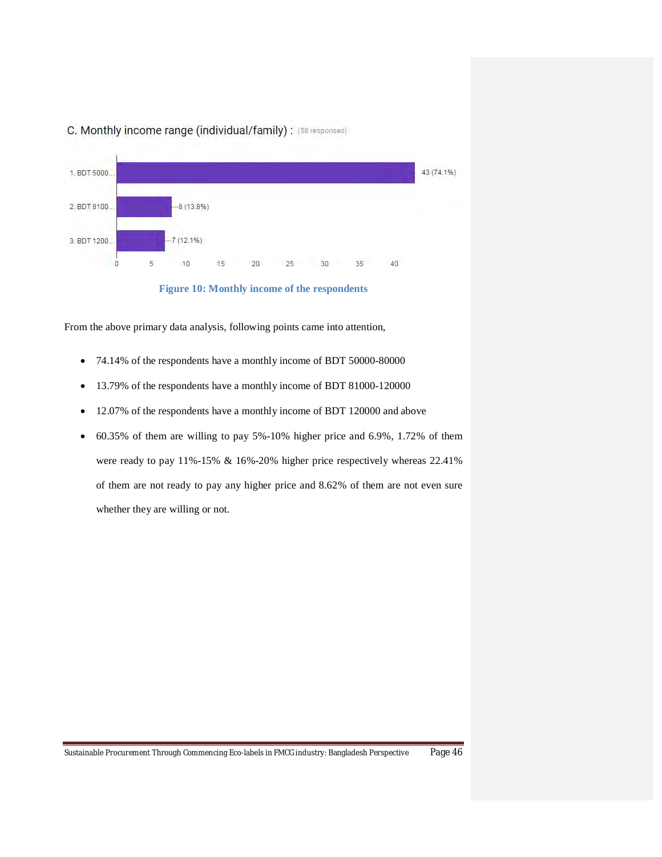

### C. Monthly income range (individual/family) : (58 responses)

From the above primary data analysis, following points came into attention,

- 74.14% of the respondents have a monthly income of BDT 50000-80000
- 13.79% of the respondents have a monthly income of BDT 81000-120000
- 12.07% of the respondents have a monthly income of BDT 120000 and above
- $\bullet$  60.35% of them are willing to pay 5%-10% higher price and 6.9%, 1.72% of them were ready to pay 11%-15% & 16%-20% higher price respectively whereas 22.41% of them are not ready to pay any higher price and 8.62% of them are not even sure whether they are willing or not.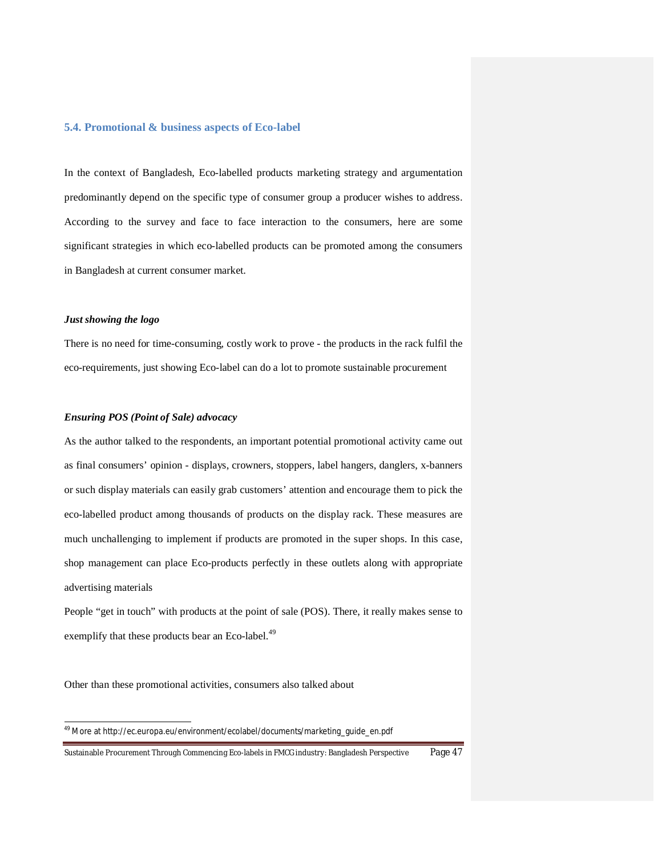#### **5.4. Promotional & business aspects of Eco-label**

In the context of Bangladesh, Eco-labelled products marketing strategy and argumentation predominantly depend on the specific type of consumer group a producer wishes to address. According to the survey and face to face interaction to the consumers, here are some significant strategies in which eco-labelled products can be promoted among the consumers in Bangladesh at current consumer market.

#### *Just showing the logo*

1

There is no need for time-consuming, costly work to prove - the products in the rack fulfil the eco-requirements, just showing Eco-label can do a lot to promote sustainable procurement

### *Ensuring POS (Point of Sale) advocacy*

As the author talked to the respondents, an important potential promotional activity came out as final consumers' opinion - displays, crowners, stoppers, label hangers, danglers, x-banners or such display materials can easily grab customers' attention and encourage them to pick the eco-labelled product among thousands of products on the display rack. These measures are much unchallenging to implement if products are promoted in the super shops. In this case, shop management can place Eco-products perfectly in these outlets along with appropriate advertising materials

People "get in touch" with products at the point of sale (POS). There, it really makes sense to exemplify that these products bear an Eco-label.<sup>49</sup>

Other than these promotional activities, consumers also talked about

<sup>&</sup>lt;sup>49</sup> More at http://ec.europa.eu/environment/ecolabel/documents/marketing\_guide\_en.pdf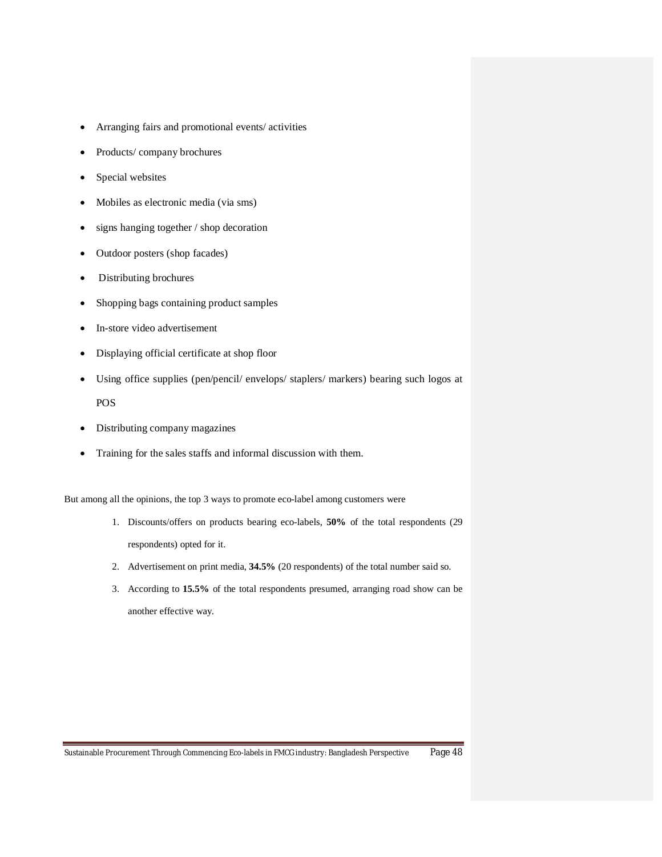- Arranging fairs and promotional events/ activities
- Products/ company brochures
- Special websites
- Mobiles as electronic media (via sms)
- signs hanging together / shop decoration
- Outdoor posters (shop facades)
- Distributing brochures
- Shopping bags containing product samples
- In-store video advertisement
- Displaying official certificate at shop floor
- Using office supplies (pen/pencil/ envelops/ staplers/ markers) bearing such logos at POS
- Distributing company magazines
- Training for the sales staffs and informal discussion with them.

But among all the opinions, the top 3 ways to promote eco-label among customers were

- 1. Discounts/offers on products bearing eco-labels, **50%** of the total respondents (29 respondents) opted for it.
- 2. Advertisement on print media, **34.5%** (20 respondents) of the total number said so.
- 3. According to **15.5%** of the total respondents presumed, arranging road show can be another effective way.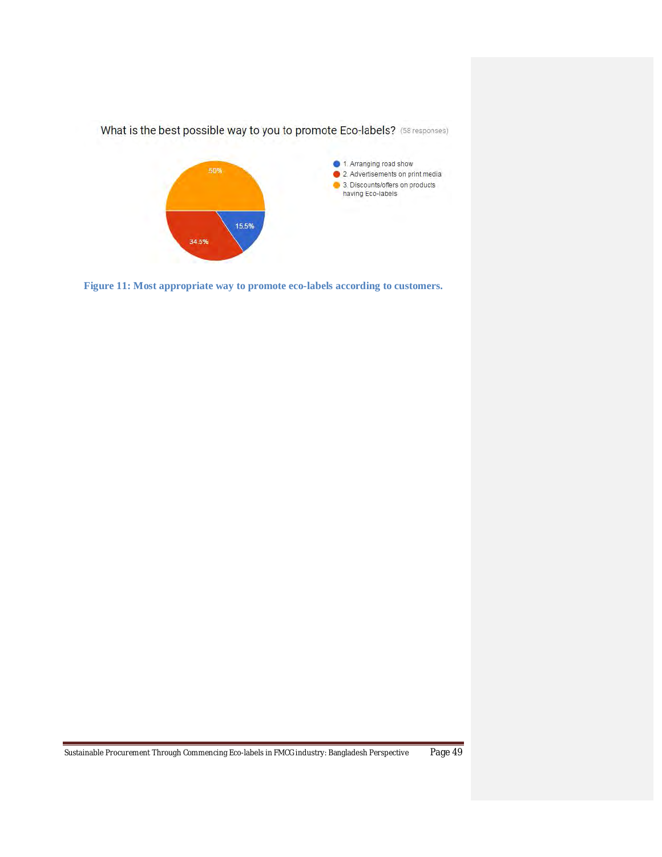

What is the best possible way to you to promote Eco-labels? (58 responses)

**Figure 11: Most appropriate way to promote eco-labels according to customers.**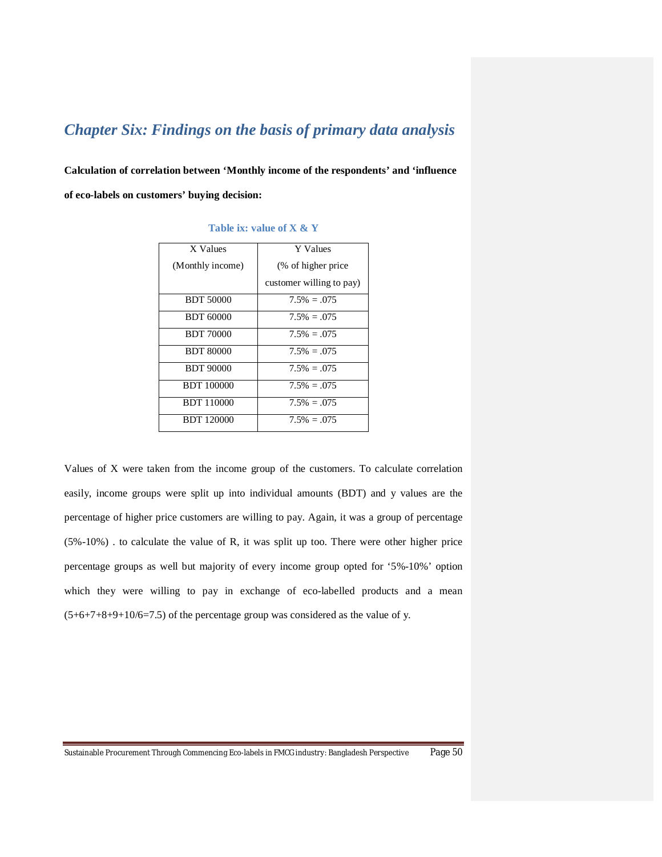## *Chapter Six: Findings on the basis of primary data analysis*

**Calculation of correlation between 'Monthly income of the respondents' and 'influence of eco-labels on customers' buying decision:**

| X Values          | <b>Y</b> Values          |
|-------------------|--------------------------|
| (Monthly income)  | (% of higher price)      |
|                   | customer willing to pay) |
| <b>BDT 50000</b>  | $7.5\% = .075$           |
| <b>BDT 60000</b>  | $7.5\% = .075$           |
| <b>BDT 70000</b>  | $7.5\% = .075$           |
| <b>BDT 80000</b>  | $7.5\% = .075$           |
| <b>BDT 90000</b>  | $7.5\% = .075$           |
| <b>BDT 100000</b> | $7.5\% = .075$           |
| <b>BDT 110000</b> | $7.5\% = .075$           |
| BDT 120000        | $7.5\% = .075$           |

### **Table ix: value of X & Y**

Values of X were taken from the income group of the customers. To calculate correlation easily, income groups were split up into individual amounts (BDT) and y values are the percentage of higher price customers are willing to pay. Again, it was a group of percentage (5%-10%) . to calculate the value of R, it was split up too. There were other higher price percentage groups as well but majority of every income group opted for '5%-10%' option which they were willing to pay in exchange of eco-labelled products and a mean  $(5+6+7+8+9+10/6=7.5)$  of the percentage group was considered as the value of y.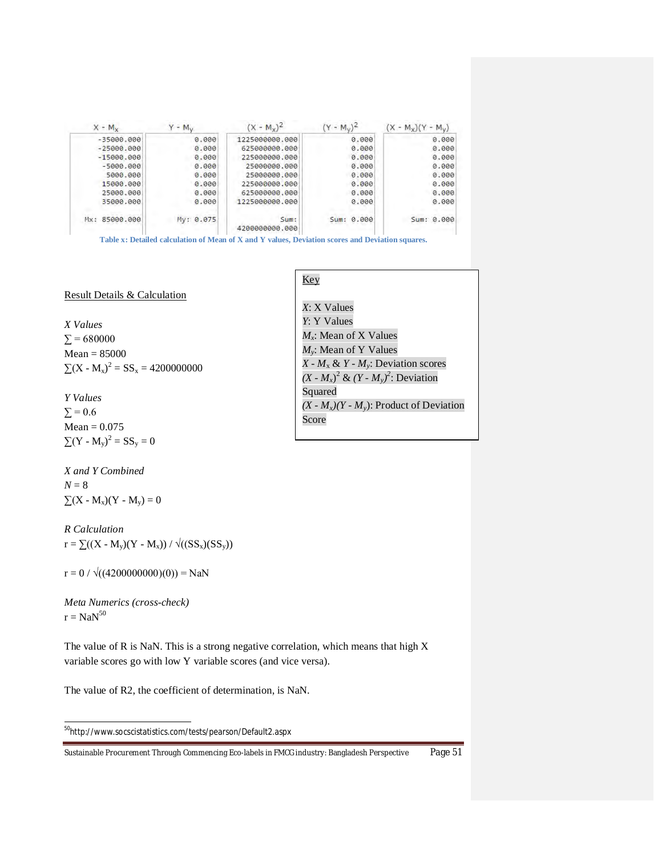| $X - M_x$     | $Y - M_{V}$ | $(X - M_x)^2$          | $Y - M_v$ <sup>2</sup> | $(X - M_X)(Y - M_V)$ |
|---------------|-------------|------------------------|------------------------|----------------------|
| $-35000.000$  | 0.000       | 1225000000.000         | 0.000                  | 0.000                |
| $-25000.000$  | 0.000       | 625000000.000          | 0.000                  | 0.000                |
| $-15000.000$  | 0.000       | 225000000,000          | 0.000                  | 0.000                |
| $-5000.000$   | 0.000       | 25000000.000           | 0.000                  | 0.000                |
| 5000.000      | 0.000       | 25000000.000           | 0.000                  | 0.000                |
| 15000.000     | 0.000       | 225000000.000          | 0.000                  | 0.000                |
| 25000.000     | 0.000       | 625000000,000          | 0.000                  | 0.000                |
| 35000.000     | 0.000       | 1225000000.000         | 0.000                  | 0.000                |
| Mx: 85000.000 | My: 0.075   | Sum:<br>4200000000,000 | Sum: 0.000             | Sum: 0.000           |

**Table x: Detailed calculation of Mean of X and Y values, Deviation scores and Deviation squares.**

### Result Details & Calculation

*X Values*  $\Sigma = 680000$ Mean = 85000  $\sum (X - M_x)^2 = SS_x = 4200000000$ 

*Y Values*  $\Sigma = 0.6$  $Mean = 0.075$  $\sum (Y - M_y)^2 = SS_y = 0$ 

*X and Y Combined*  $N = 8$  $\sum (X - M_x)(Y - M_y) = 0$ 

*R Calculation*  $r = \sum((X - M_y)(Y - M_x)) / \sqrt{((SS_x)(SS_y))}$ 

 $r = 0 / \sqrt{(4200000000)(0)} = NaN$ 

*Meta Numerics (cross-check)*  $r = \text{NaN}^{50}$ 

1

The value of R is NaN. This is a strong negative correlation, which means that high X variable scores go with low Y variable scores (and vice versa).

The value of R2, the coefficient of determination, is NaN.

### Sustainable Procurement Through Commencing Eco-labels in FMCG industry: Bangladesh Perspective Page 51

### Key

*X*: X Values *Y*: Y Values *Mx*: Mean of X Values *My*: Mean of Y Values  $X - M_x \& Y - M_y$ : Deviation scores  $(X - M_x)^2 \& (Y - M_y)^2$ : Deviation Squared  $(X - M_x)(Y - M_y)$ : Product of Deviation Score

<sup>50</sup>http://www.socscistatistics.com/tests/pearson/Default2.aspx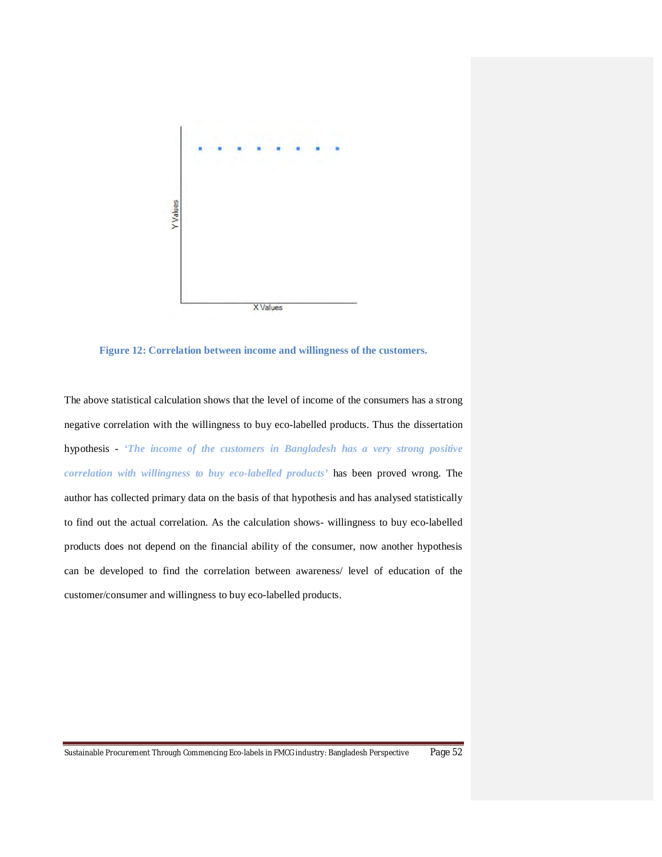

**Figure 12: Correlation between income and willingness of the customers.**

The above statistical calculation shows that the level of income of the consumers has a strong negative correlation with the willingness to buy eco-labelled products. Thus the dissertation hypothesis - *'The income of the customers in Bangladesh has a very strong positive correlation with willingness to buy eco-labelled products'* has been proved wrong. The author has collected primary data on the basis of that hypothesis and has analysed statistically to find out the actual correlation. As the calculation shows- willingness to buy eco-labelled products does not depend on the financial ability of the consumer, now another hypothesis can be developed to find the correlation between awareness/ level of education of the customer/consumer and willingness to buy eco-labelled products.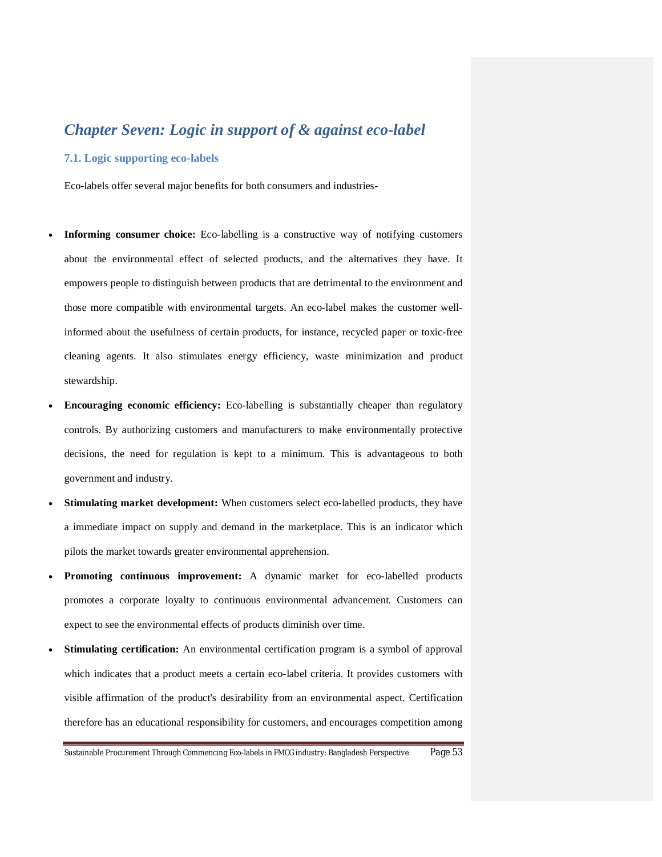## *Chapter Seven: Logic in support of & against eco-label*

### **7.1. Logic supporting eco-labels**

Eco-labels offer several major benefits for both consumers and industries-

- **Informing consumer choice:** Eco-labelling is a constructive way of notifying customers about the environmental effect of selected products, and the alternatives they have. It empowers people to distinguish between products that are detrimental to the environment and those more compatible with environmental targets. An eco-label makes the customer wellinformed about the usefulness of certain products, for instance, recycled paper or toxic-free cleaning agents. It also stimulates energy efficiency, waste minimization and product stewardship.
- **Encouraging economic efficiency:** Eco-labelling is substantially cheaper than regulatory controls. By authorizing customers and manufacturers to make environmentally protective decisions, the need for regulation is kept to a minimum. This is advantageous to both government and industry.
- **Stimulating market development:** When customers select eco-labelled products, they have a immediate impact on supply and demand in the marketplace. This is an indicator which pilots the market towards greater environmental apprehension.
- **Promoting continuous improvement:** A dynamic market for eco-labelled products promotes a corporate loyalty to continuous environmental advancement. Customers can expect to see the environmental effects of products diminish over time.
- **Stimulating certification:** An environmental certification program is a symbol of approval which indicates that a product meets a certain eco-label criteria. It provides customers with visible affirmation of the product's desirability from an environmental aspect. Certification therefore has an educational responsibility for customers, and encourages competition among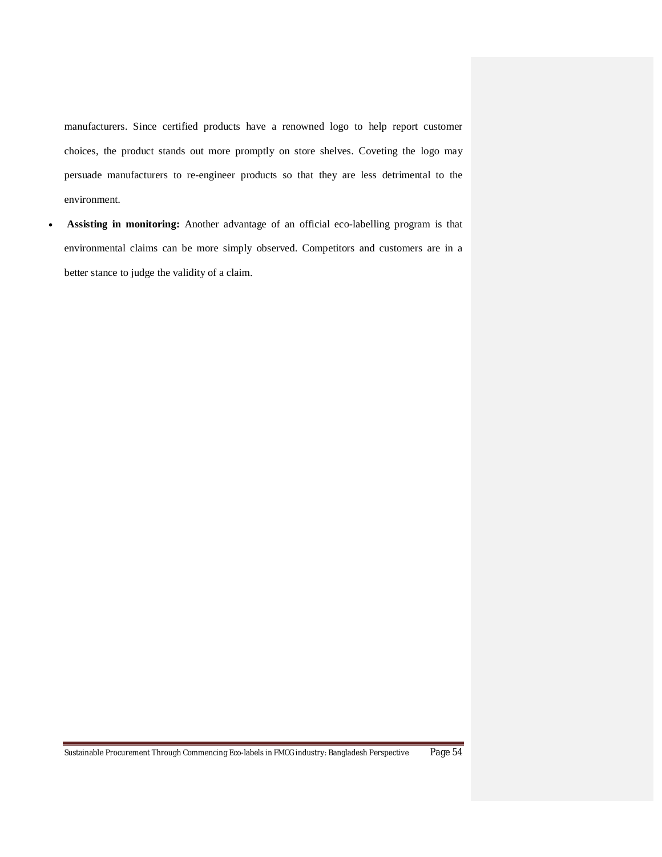manufacturers. Since certified products have a renowned logo to help report customer choices, the product stands out more promptly on store shelves. Coveting the logo may persuade manufacturers to re-engineer products so that they are less detrimental to the environment.

 **Assisting in monitoring:** Another advantage of an official eco-labelling program is that environmental claims can be more simply observed. Competitors and customers are in a better stance to judge the validity of a claim.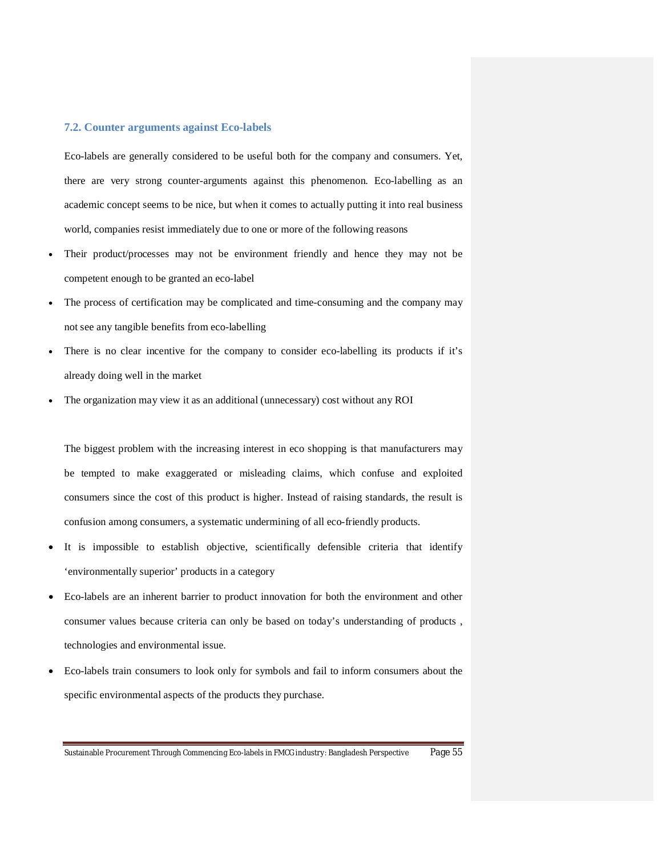#### **7.2. Counter arguments against Eco-labels**

Eco-labels are generally considered to be useful both for the company and consumers. Yet, there are very strong counter-arguments against this phenomenon. Eco-labelling as an academic concept seems to be nice, but when it comes to actually putting it into real business world, companies resist immediately due to one or more of the following reasons

- Their product/processes may not be environment friendly and hence they may not be competent enough to be granted an eco-label
- The process of certification may be complicated and time-consuming and the company may not see any tangible benefits from eco-labelling
- There is no clear incentive for the company to consider eco-labelling its products if it's already doing well in the market
- The organization may view it as an additional (unnecessary) cost without any ROI

The biggest problem with the increasing interest in eco shopping is that manufacturers may be tempted to make exaggerated or misleading claims, which confuse and exploited consumers since the cost of this product is higher. Instead of raising standards, the result is confusion among consumers, a systematic undermining of all eco-friendly products.

- It is impossible to establish objective, scientifically defensible criteria that identify 'environmentally superior' products in a category
- Eco-labels are an inherent barrier to product innovation for both the environment and other consumer values because criteria can only be based on today's understanding of products , technologies and environmental issue.
- Eco-labels train consumers to look only for symbols and fail to inform consumers about the specific environmental aspects of the products they purchase.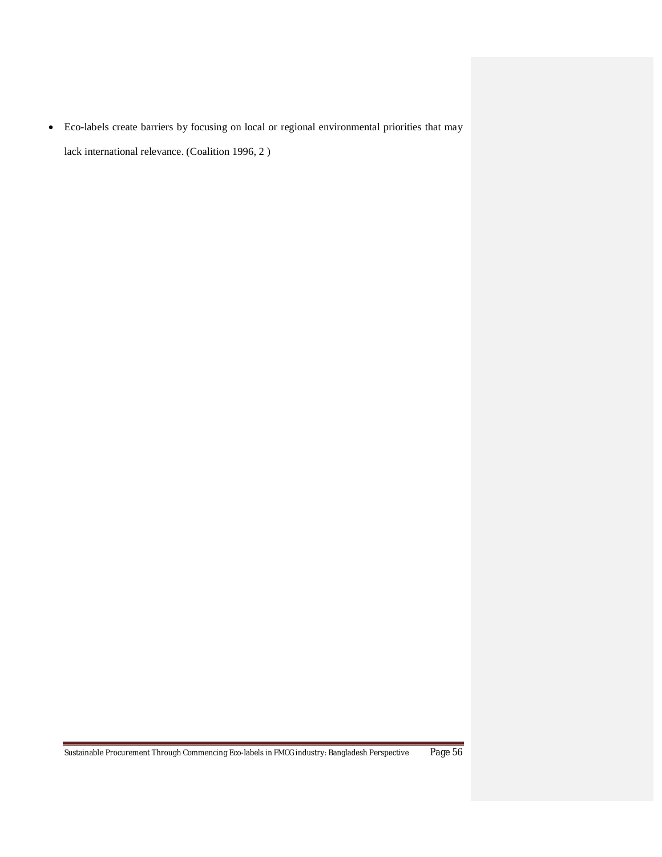Eco-labels create barriers by focusing on local or regional environmental priorities that may lack international relevance. (Coalition 1996, 2 )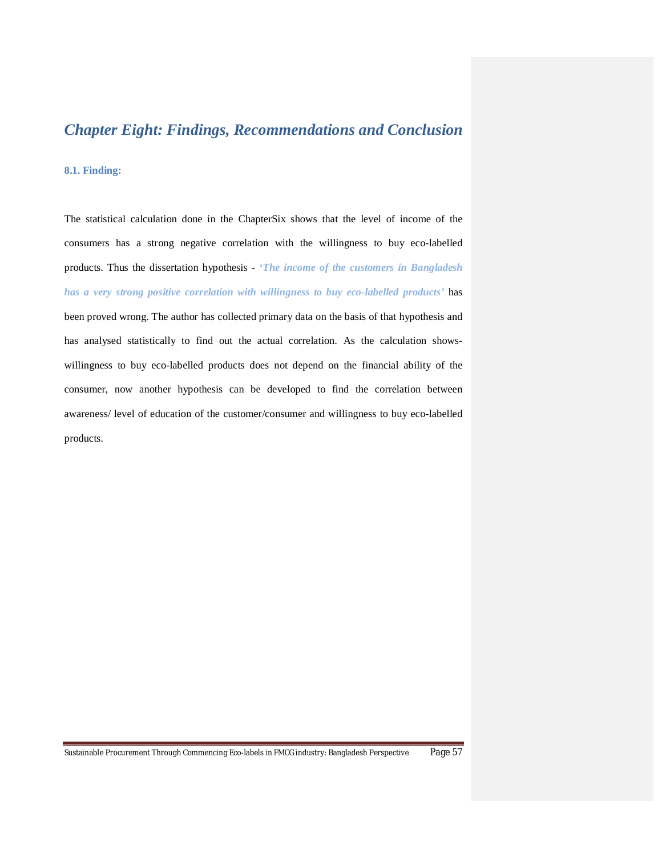## *Chapter Eight: Findings, Recommendations and Conclusion*

### **8.1. Finding:**

The statistical calculation done in the ChapterSix shows that the level of income of the consumers has a strong negative correlation with the willingness to buy eco-labelled products. Thus the dissertation hypothesis - *'The income of the customers in Bangladesh*  has a very strong positive correlation with willingness to buy eco-labelled products' has

been proved wrong. The author has collected primary data on the basis of that hypothesis and has analysed statistically to find out the actual correlation. As the calculation showswillingness to buy eco-labelled products does not depend on the financial ability of the consumer, now another hypothesis can be developed to find the correlation between awareness/ level of education of the customer/consumer and willingness to buy eco-labelled products.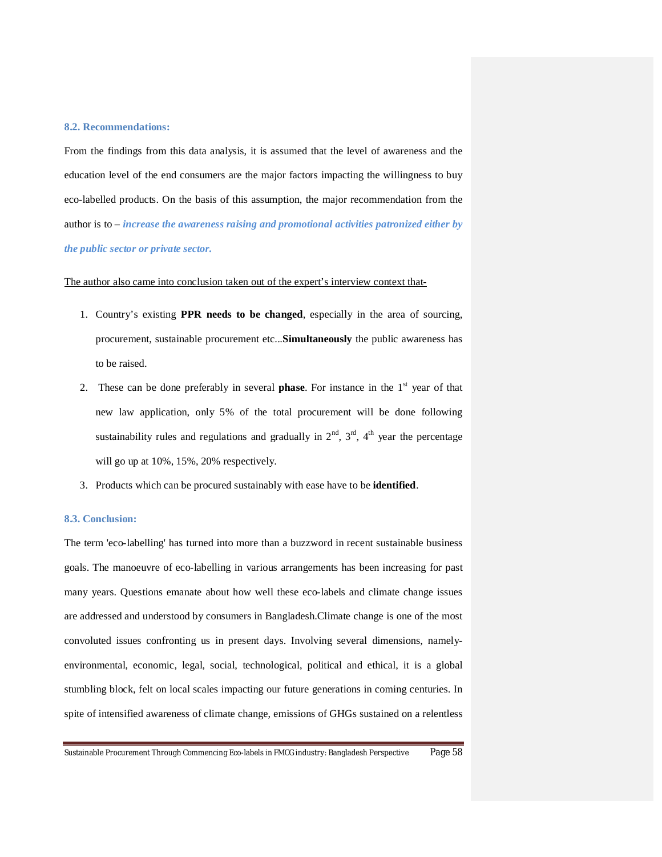### **8.2. Recommendations:**

From the findings from this data analysis, it is assumed that the level of awareness and the education level of the end consumers are the major factors impacting the willingness to buy eco-labelled products. On the basis of this assumption, the major recommendation from the author is to – *increase the awareness raising and promotional activities patronized either by the public sector or private sector.*

The author also came into conclusion taken out of the expert's interview context that-

- 1. Country's existing **PPR needs to be changed**, especially in the area of sourcing, procurement, sustainable procurement etc...**Simultaneously** the public awareness has to be raised.
- 2. These can be done preferably in several **phase**. For instance in the  $1<sup>st</sup>$  year of that new law application, only 5% of the total procurement will be done following sustainability rules and regulations and gradually in  $2<sup>nd</sup>$ ,  $3<sup>rd</sup>$ ,  $4<sup>th</sup>$  year the percentage will go up at 10%, 15%, 20% respectively.
- 3. Products which can be procured sustainably with ease have to be **identified**.

#### **8.3. Conclusion:**

The term 'eco-labelling' has turned into more than a buzzword in recent sustainable business goals. The manoeuvre of eco-labelling in various arrangements has been increasing for past many years. Questions emanate about how well these eco-labels and climate change issues are addressed and understood by consumers in Bangladesh.Climate change is one of the most convoluted issues confronting us in present days. Involving several dimensions, namelyenvironmental, economic, legal, social, technological, political and ethical, it is a global stumbling block, felt on local scales impacting our future generations in coming centuries. In spite of intensified awareness of climate change, emissions of GHGs sustained on a relentless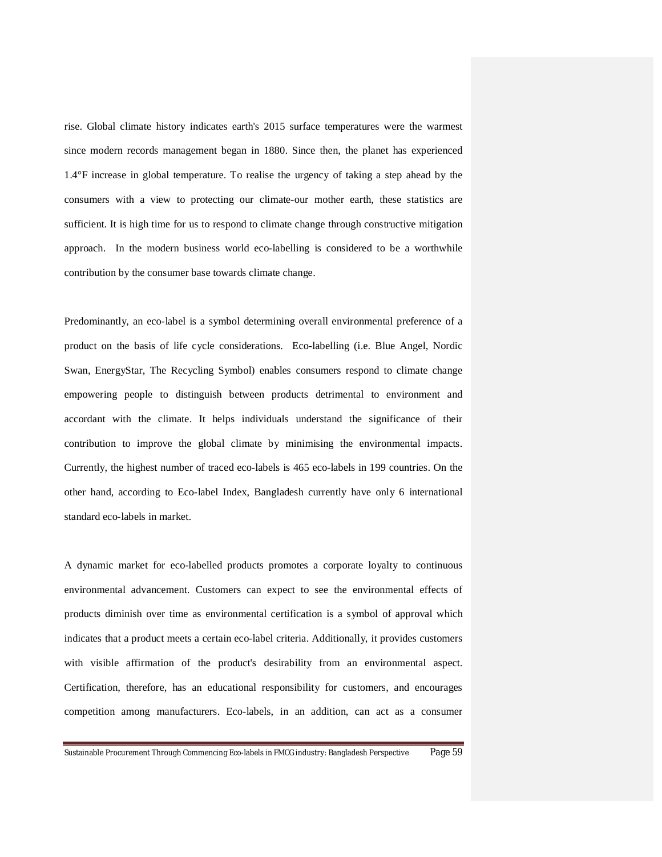rise. Global climate history indicates earth's 2015 surface temperatures were the warmest since modern records management began in 1880. Since then, the planet has experienced 1.4°F increase in global temperature. To realise the urgency of taking a step ahead by the consumers with a view to protecting our climate-our mother earth, these statistics are sufficient. It is high time for us to respond to climate change through constructive mitigation approach. In the modern business world eco-labelling is considered to be a worthwhile contribution by the consumer base towards climate change.

Predominantly, an eco-label is a symbol determining overall environmental preference of a product on the basis of life cycle considerations. Eco-labelling (i.e. Blue Angel, Nordic Swan, EnergyStar, The Recycling Symbol) enables consumers respond to climate change empowering people to distinguish between products detrimental to environment and accordant with the climate. It helps individuals understand the significance of their contribution to improve the global climate by minimising the environmental impacts. Currently, the highest number of traced eco-labels is 465 eco-labels in 199 countries. On the other hand, according to Eco-label Index, Bangladesh currently have only 6 international standard eco-labels in market.

A dynamic market for eco-labelled products promotes a corporate loyalty to continuous environmental advancement. Customers can expect to see the environmental effects of products diminish over time as environmental certification is a symbol of approval which indicates that a product meets a certain eco-label criteria. Additionally, it provides customers with visible affirmation of the product's desirability from an environmental aspect. Certification, therefore, has an educational responsibility for customers, and encourages competition among manufacturers. Eco-labels, in an addition, can act as a consumer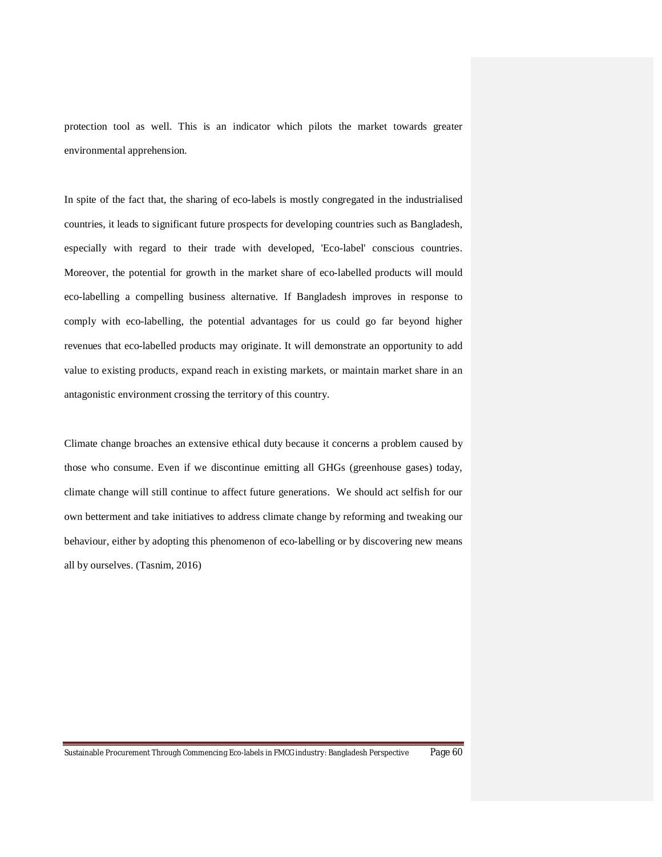protection tool as well. This is an indicator which pilots the market towards greater environmental apprehension.

In spite of the fact that, the sharing of eco-labels is mostly congregated in the industrialised countries, it leads to significant future prospects for developing countries such as Bangladesh, especially with regard to their trade with developed, 'Eco-label' conscious countries. Moreover, the potential for growth in the market share of eco-labelled products will mould eco-labelling a compelling business alternative. If Bangladesh improves in response to comply with eco-labelling, the potential advantages for us could go far beyond higher revenues that eco-labelled products may originate. It will demonstrate an opportunity to add value to existing products, expand reach in existing markets, or maintain market share in an antagonistic environment crossing the territory of this country.

Climate change broaches an extensive ethical duty because it concerns a problem caused by those who consume. Even if we discontinue emitting all GHGs (greenhouse gases) today, climate change will still continue to affect future generations. We should act selfish for our own betterment and take initiatives to address climate change by reforming and tweaking our behaviour, either by adopting this phenomenon of eco-labelling or by discovering new means all by ourselves. (Tasnim, 2016)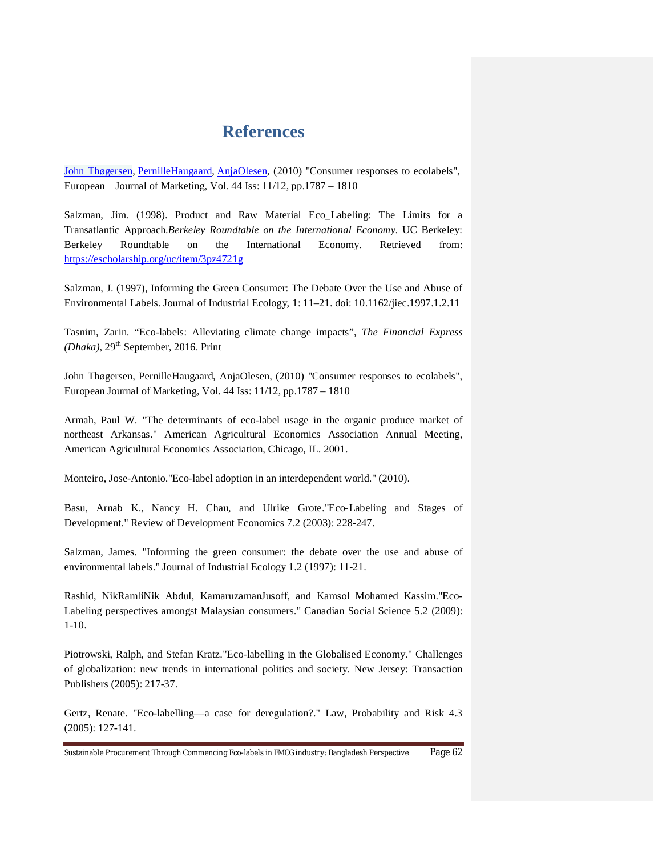# **References**

John Thøgersen, PernilleHaugaard, AnjaOlesen, (2010) "Consumer responses to ecolabels", European Journal of Marketing, Vol. 44 Iss: 11/12, pp.1787 – 1810

Salzman, Jim. (1998). Product and Raw Material Eco\_Labeling: The Limits for a Transatlantic Approach.*Berkeley Roundtable on the International Economy*. UC Berkeley: Berkeley Roundtable on the International Economy. Retrieved from: https://escholarship.org/uc/item/3pz4721g

Salzman, J. (1997), Informing the Green Consumer: The Debate Over the Use and Abuse of Environmental Labels. Journal of Industrial Ecology, 1: 11–21. doi: 10.1162/jiec.1997.1.2.11

Tasnim, Zarin. "Eco-labels: Alleviating climate change impacts", *The Financial Express (Dhaka),* 29th September, 2016. Print

John Thøgersen, PernilleHaugaard, AnjaOlesen, (2010) "Consumer responses to ecolabels", European Journal of Marketing, Vol. 44 Iss: 11/12, pp.1787 – 1810

Armah, Paul W. "The determinants of eco-label usage in the organic produce market of northeast Arkansas." American Agricultural Economics Association Annual Meeting, American Agricultural Economics Association, Chicago, IL. 2001.

Monteiro, Jose-Antonio."Eco-label adoption in an interdependent world." (2010).

Basu, Arnab K., Nancy H. Chau, and Ulrike Grote."Eco-Labeling and Stages of Development." Review of Development Economics 7.2 (2003): 228-247.

Salzman, James. "Informing the green consumer: the debate over the use and abuse of environmental labels." Journal of Industrial Ecology 1.2 (1997): 11-21.

Rashid, NikRamliNik Abdul, KamaruzamanJusoff, and Kamsol Mohamed Kassim."Eco-Labeling perspectives amongst Malaysian consumers." Canadian Social Science 5.2 (2009): 1-10.

Piotrowski, Ralph, and Stefan Kratz."Eco-labelling in the Globalised Economy." Challenges of globalization: new trends in international politics and society. New Jersey: Transaction Publishers (2005): 217-37.

Gertz, Renate. "Eco-labelling—a case for deregulation?." Law, Probability and Risk 4.3 (2005): 127-141.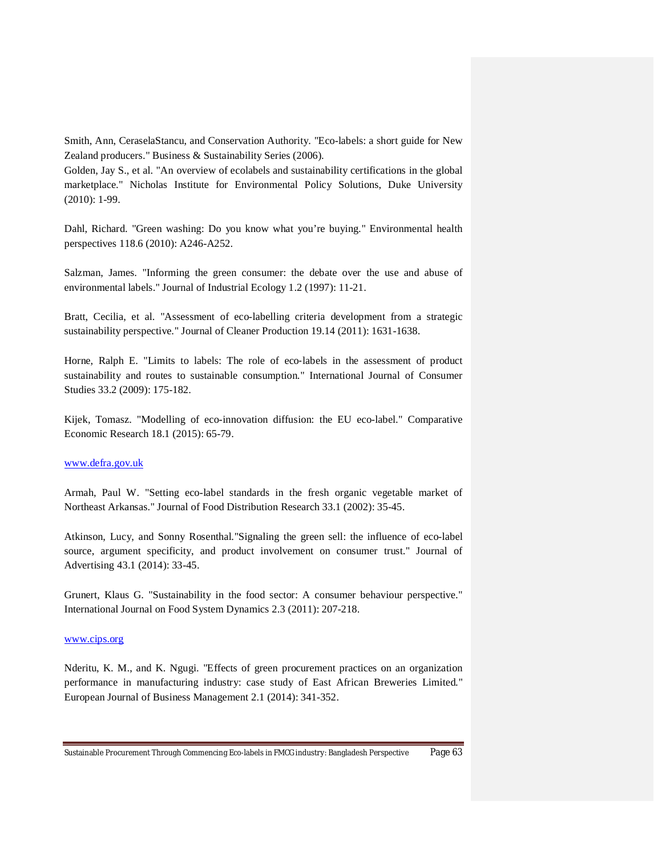Smith, Ann, CeraselaStancu, and Conservation Authority. "Eco-labels: a short guide for New Zealand producers." Business & Sustainability Series (2006).

Golden, Jay S., et al. "An overview of ecolabels and sustainability certifications in the global marketplace." Nicholas Institute for Environmental Policy Solutions, Duke University (2010): 1-99.

Dahl, Richard. "Green washing: Do you know what you're buying." Environmental health perspectives 118.6 (2010): A246-A252.

Salzman, James. "Informing the green consumer: the debate over the use and abuse of environmental labels." Journal of Industrial Ecology 1.2 (1997): 11-21.

Bratt, Cecilia, et al. "Assessment of eco-labelling criteria development from a strategic sustainability perspective." Journal of Cleaner Production 19.14 (2011): 1631-1638.

Horne, Ralph E. "Limits to labels: The role of eco-labels in the assessment of product sustainability and routes to sustainable consumption." International Journal of Consumer Studies 33.2 (2009): 175-182.

Kijek, Tomasz. "Modelling of eco-innovation diffusion: the EU eco-label." Comparative Economic Research 18.1 (2015): 65-79.

#### www.defra.gov.uk

Armah, Paul W. "Setting eco-label standards in the fresh organic vegetable market of Northeast Arkansas." Journal of Food Distribution Research 33.1 (2002): 35-45.

Atkinson, Lucy, and Sonny Rosenthal."Signaling the green sell: the influence of eco-label source, argument specificity, and product involvement on consumer trust." Journal of Advertising 43.1 (2014): 33-45.

Grunert, Klaus G. "Sustainability in the food sector: A consumer behaviour perspective." International Journal on Food System Dynamics 2.3 (2011): 207-218.

#### www.cips.org

Nderitu, K. M., and K. Ngugi. "Effects of green procurement practices on an organization performance in manufacturing industry: case study of East African Breweries Limited." European Journal of Business Management 2.1 (2014): 341-352.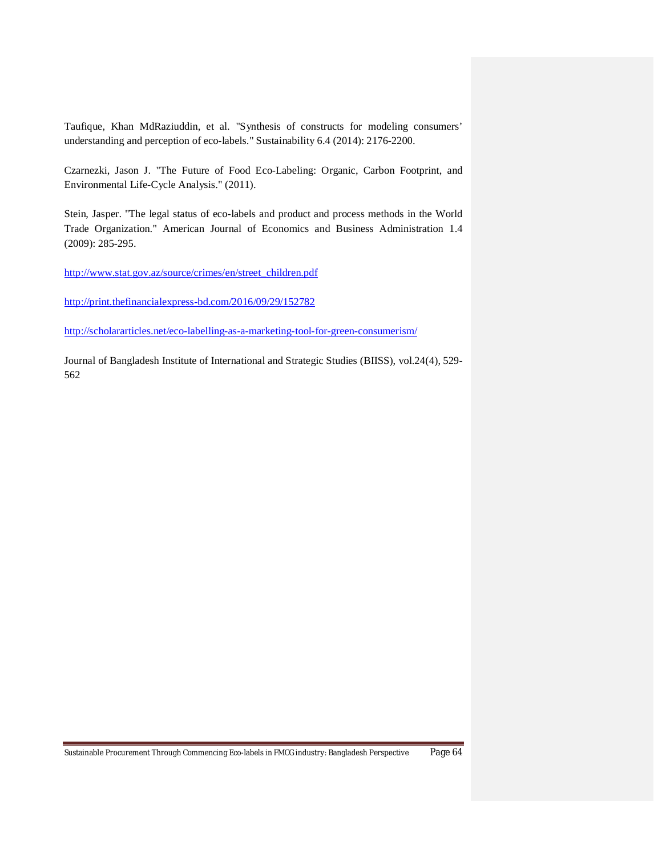Taufique, Khan MdRaziuddin, et al. "Synthesis of constructs for modeling consumers' understanding and perception of eco-labels." Sustainability 6.4 (2014): 2176-2200.

Czarnezki, Jason J. "The Future of Food Eco-Labeling: Organic, Carbon Footprint, and Environmental Life-Cycle Analysis." (2011).

Stein, Jasper. "The legal status of eco-labels and product and process methods in the World Trade Organization." American Journal of Economics and Business Administration 1.4 (2009): 285-295.

http://www.stat.gov.az/source/crimes/en/street\_children.pdf

http://print.thefinancialexpress-bd.com/2016/09/29/152782

http://scholararticles.net/eco-labelling-as-a-marketing-tool-for-green-consumerism/

Journal of Bangladesh Institute of International and Strategic Studies (BIISS), vol.24(4), 529- 562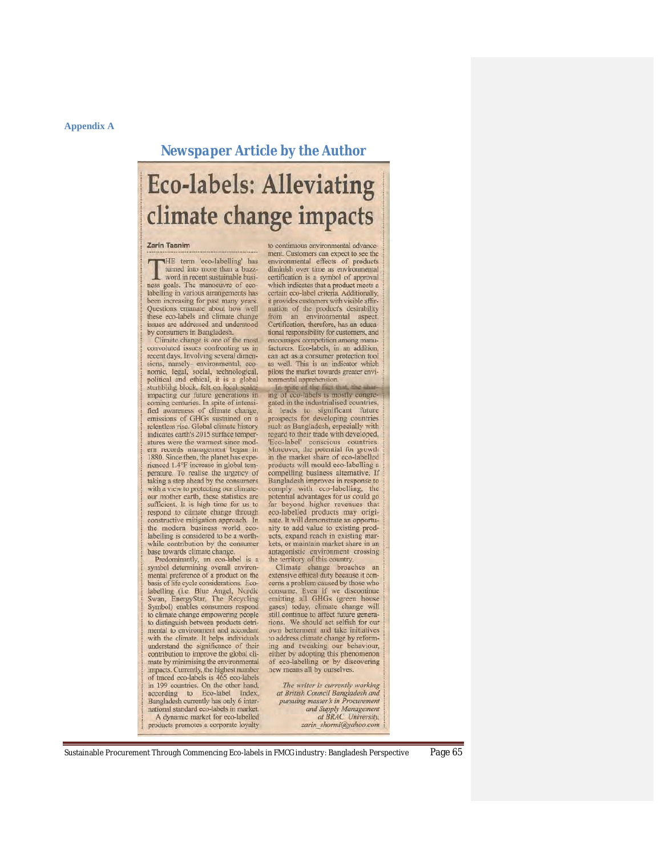### *Newspaper Article by the Author*

# **Eco-labels: Alleviating** climate change impacts

#### Zarin Tasnim

HE term 'eco-labelling' has turned into more than a buzzword in recent sustainable business goals. The manoeuvre of ecolabelling in various arrangements has been increasing for past many years. Questions emanate about how well these eco-labels and climate change<br>issues are addressed and understood by consumers in Bangladesh.

Climate change is one of the most convoluted issues confronting us in recent days. Involving several dimensions, namely-environmental, economic, legal, social, technological, political and ethical, it is a global<br>sturtiblity block, felt on local scales<br>impacting our future generations in coming centuries. In spite of intensified awareness of climate change, emissions of GHGs sustained on a relentless rise. Global climate history indicates earth's 2015 surface temperatures were the warmest since modern records management began in 1880. Since then, the planet has experienced 1.4°F increase in global temperature. To realise the urgency of taking a step ahead by the consumers with a view to protecting our climateour mother earth, these statistics are sufficient. It is high time for us to<br>respond to climate change through constructive mitigation approach. In the modern business world ecolabelling is considered to be a worthwhile contribution by the consumer base towards climate change

Predominantly, an eco-label is a symbol determining overall environ-<br>mental preference of a product on the basis of life cycle considerations. Ecolabelling (i.e. Blue Angel, Nordic Swan, EnergyStar, The Recycling Symbol) enables consumers respond to climate change empowering people to distinguish between products detrimental to environment and accordant<br>with the climate. It helps individuals understand the significance of their contribution to improve the global climate by minimising the environmental impacts. Currently, the highest number<br>of traced eco-labels is 465 eco-labels in 199 countries. On the other hand, according to Eco-label Index,<br>Bangladesh currently has only 6 international standard eco-labels in market. A dynamic market for eco-labelled products promotes a corporate loyalty

to continuous environmental advancement. Customers can expect to see the<br>environmental effects of products diminish over time as environmental certification is a symbol of approval which indicates that a product meets a certain eco-label criteria. Additionally, it provides customers with visible affirmation of the product's desirability from an environmental aspect. Certification, therefore, has an educational responsibility for customers, and encourages competition among manufacturers. Eco-labels, in an addition, can act as a consumer protection tool<br>as well. This is an indicator which pilots the market towards greater environmental apprehension.

In spite of the East that the chan-<br>ing of eco-labels is mostly congregated in the industrialised countries, it leads to significant future prospects for developing countries<br>such as Bangladesh, especially with regard to their trade with developed, 'Eco-label' conscious countries.<br>Moreover, the potential for growth in the market share of eco-labelled products will mould eco-labelling a compelling business alternative. If Bangladesh improves in response to comply with eco-labelling, the potential advantages for us could go far beyond higher revenues that<br>eco-labelled products may originate. It will demonstrate an opportunity to add value to existing products, expand reach in existing markets, or maintain market share in an antagonistic environment crossing the territory of this country.

Climate change broaches an<br>extensive ethical duty because it concerns a problem caused by those who consume. Even if we discontinue<br>emitting all GHGs (green house<br>gases) today, climate change will<br>still continue to affect future generations. We should act selfish for our own betterment and take initiatives to address climate change by reforming and tweaking our behaviour, either by adopting this phenomenon of eco-labelling or by discovering new means all by ourselves.

The writer is currently working at British Council Bangladesh and<br>pursuing master's in Procurement and Supply Management at BRAC University, zarin shormi@yahoo.com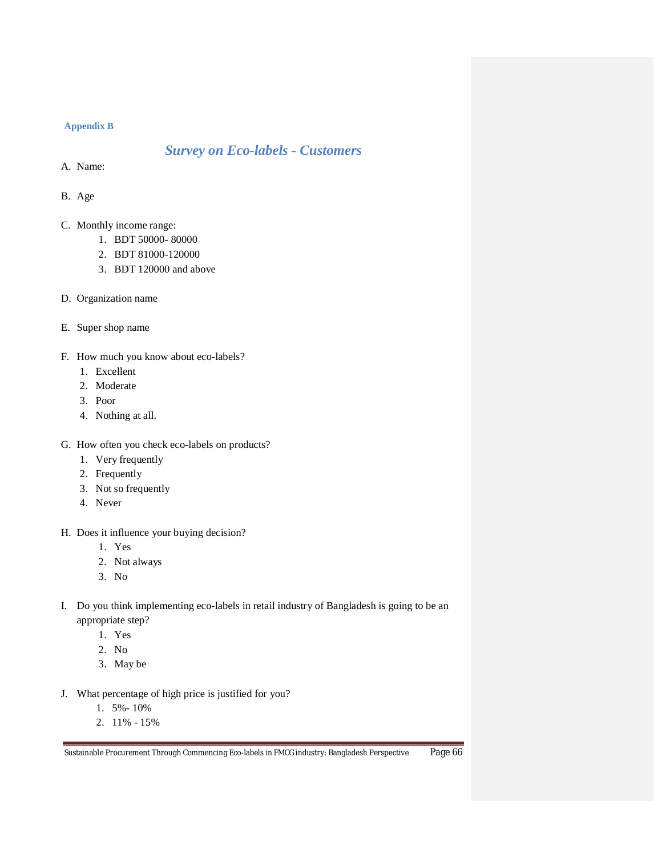### **Appendix B**

### *Survey on Eco-labels - Customers*

- A. Name:
- B. Age
- C. Monthly income range:
	- 1. BDT 50000- 80000
	- 2. BDT 81000-120000
	- 3. BDT 120000 and above
- D. Organization name
- E. Super shop name
- F. How much you know about eco-labels?
	- 1. Excellent
	- 2. Moderate
	- 3. Poor
	- 4. Nothing at all.
- G. How often you check eco-labels on products?
	- 1. Very frequently
	- 2. Frequently
	- 3. Not so frequently
	- 4. Never
- H. Does it influence your buying decision?
	- 1. Yes
	- 2. Not always
	- 3. No
- I. Do you think implementing eco-labels in retail industry of Bangladesh is going to be an appropriate step?
	- 1. Yes
	- 2. No
	- 3. May be
- J. What percentage of high price is justified for you?
	- 1. 5%- 10%
	- 2. 11% 15%

Sustainable Procurement Through Commencing Eco-labels in FMCG industry: Bangladesh Perspective Page 66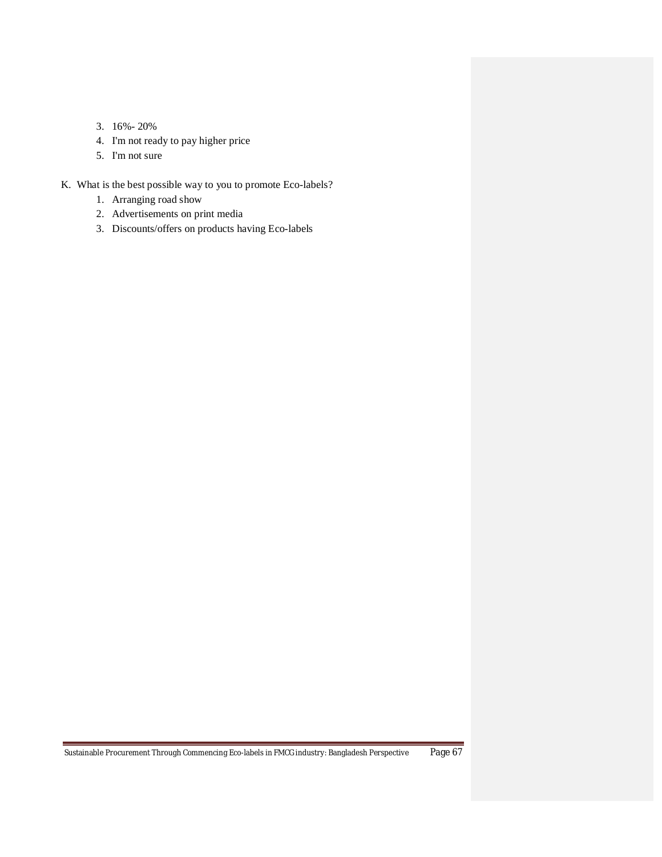- 3. 16%- 20%
- 4. I'm not ready to pay higher price
- 5. I'm not sure
- K. What is the best possible way to you to promote Eco-labels?
	- 1. Arranging road show
	- 2. Advertisements on print media
	- 3. Discounts/offers on products having Eco-labels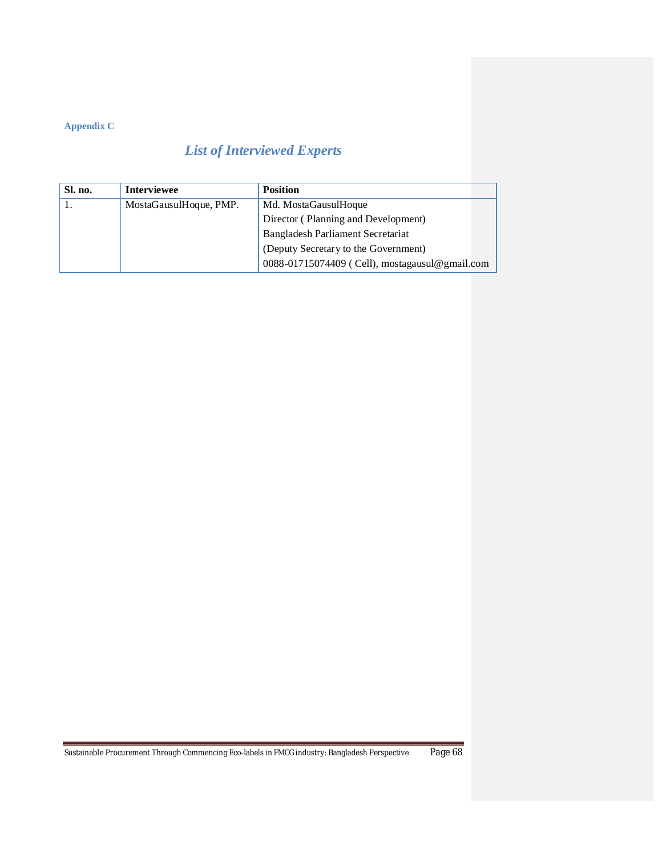### **Appendix C**

# *List of Interviewed Experts*

| Sl. no. | <b>Interviewee</b>     | <b>Position</b>                                |
|---------|------------------------|------------------------------------------------|
|         | MostaGausulHoque, PMP. | Md. MostaGausulHoque                           |
|         |                        | Director (Planning and Development)            |
|         |                        | <b>Bangladesh Parliament Secretariat</b>       |
|         |                        | (Deputy Secretary to the Government)           |
|         |                        | 0088-01715074409 (Cell), mostagausul@gmail.com |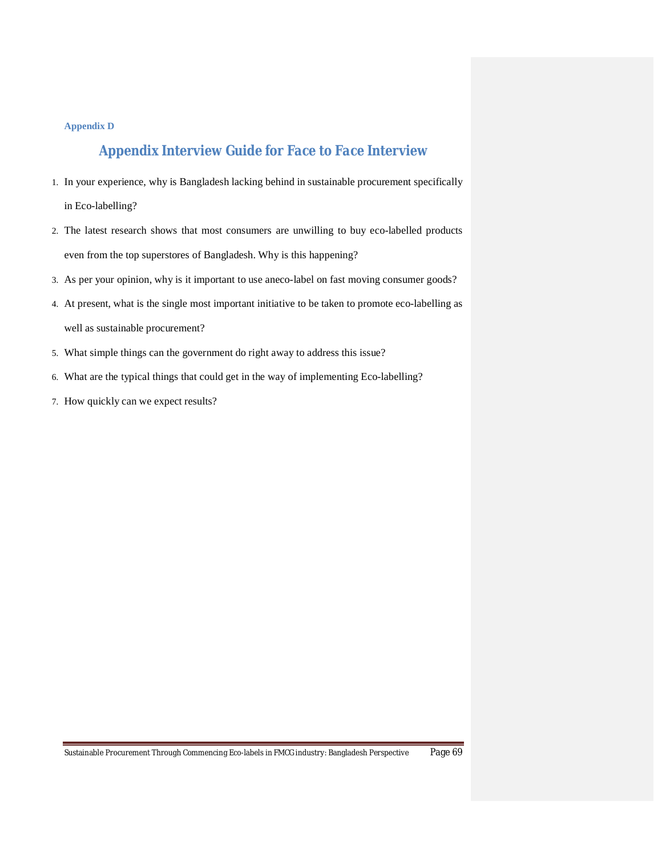#### **Appendix D**

# *Appendix Interview Guide for Face to Face Interview*

- 1. In your experience, why is Bangladesh lacking behind in sustainable procurement specifically in Eco-labelling?
- 2. The latest research shows that most consumers are unwilling to buy eco-labelled products even from the top superstores of Bangladesh. Why is this happening?
- 3. As per your opinion, why is it important to use aneco-label on fast moving consumer goods?
- 4. At present, what is the single most important initiative to be taken to promote eco-labelling as well as sustainable procurement?
- 5. What simple things can the government do right away to address this issue?
- 6. What are the typical things that could get in the way of implementing Eco-labelling?
- 7. How quickly can we expect results?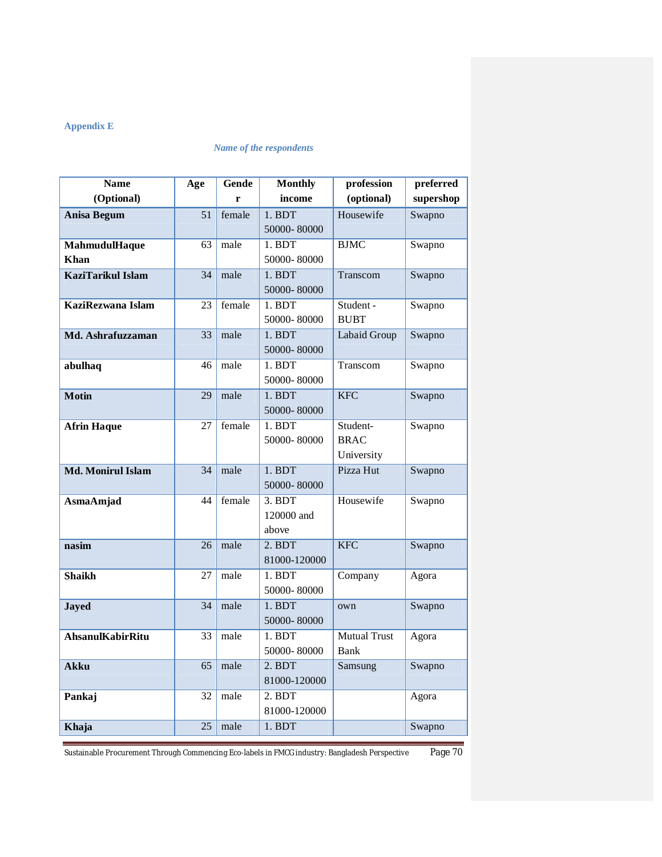# **Appendix E**

### *Name of the respondents*

| <b>Name</b>             | Age             | Gende  | <b>Monthly</b>        | profession          | preferred |
|-------------------------|-----------------|--------|-----------------------|---------------------|-----------|
| (Optional)              |                 |        | income                | (optional)          | supershop |
| <b>Anisa Begum</b>      | $\overline{51}$ | female | $1.$ BDT              | Housewife           | Swapno    |
|                         |                 |        | 50000-80000           |                     |           |
| MahmudulHaque           | 63              | male   | 1. BDT                | <b>BJMC</b>         | Swapno    |
| Khan                    |                 |        | 50000-80000           |                     |           |
| KaziTarikul Islam       | 34              | male   | 1. BDT                | Transcom            | Swapno    |
|                         |                 |        | 50000-80000           |                     |           |
| KaziRezwana Islam       | 23              | female | 1. BDT                | Student -           | Swapno    |
|                         |                 |        | 50000-80000           | <b>BUBT</b>         |           |
| Md. Ashrafuzzaman       | 33              | male   | 1. BDT                | Labaid Group        | Swapno    |
|                         |                 |        | 50000-80000           |                     |           |
| abulhaq                 | 46              | male   | 1. BDT                | Transcom            | Swapno    |
|                         |                 |        | 50000-80000           |                     |           |
| <b>Motin</b>            | 29              | male   | 1. BDT                | <b>KFC</b>          | Swapno    |
|                         |                 |        | 50000-80000           |                     |           |
| <b>Afrin Haque</b>      | 27              | female | 1. BDT                | Student-            | Swapno    |
|                         |                 |        | 50000-80000           | <b>BRAC</b>         |           |
|                         |                 |        |                       | University          |           |
| Md. Monirul Islam       | 34              | male   | $1.$ BDT              | Pizza Hut           | Swapno    |
|                         | 44              | female | 50000-80000<br>3. BDT | Housewife           | Swapno    |
| AsmaAmjad               |                 |        | 120000 and            |                     |           |
|                         |                 |        | above                 |                     |           |
| nasim                   | 26              | male   | 2. BDT                | <b>KFC</b>          | Swapno    |
|                         |                 |        | 81000-120000          |                     |           |
| <b>Shaikh</b>           | 27              | male   | 1. BDT                | Company             | Agora     |
|                         |                 |        | 50000-80000           |                     |           |
| <b>Jayed</b>            | 34              | male   | 1. BDT                | own                 | Swapno    |
|                         |                 |        | 50000-80000           |                     |           |
| <b>AhsanulKabirRitu</b> | 33              | male   | 1. BDT                | <b>Mutual Trust</b> | Agora     |
|                         |                 |        | 50000-80000           | <b>Bank</b>         |           |
| Akku                    | 65              | male   | 2. BDT                | Samsung             | Swapno    |
|                         |                 |        | 81000-120000          |                     |           |
| Pankaj                  | 32              | male   | 2. BDT                |                     | Agora     |
|                         |                 |        | 81000-120000          |                     |           |
| Khaja                   | 25              | male   | 1. BDT                |                     | Swapno    |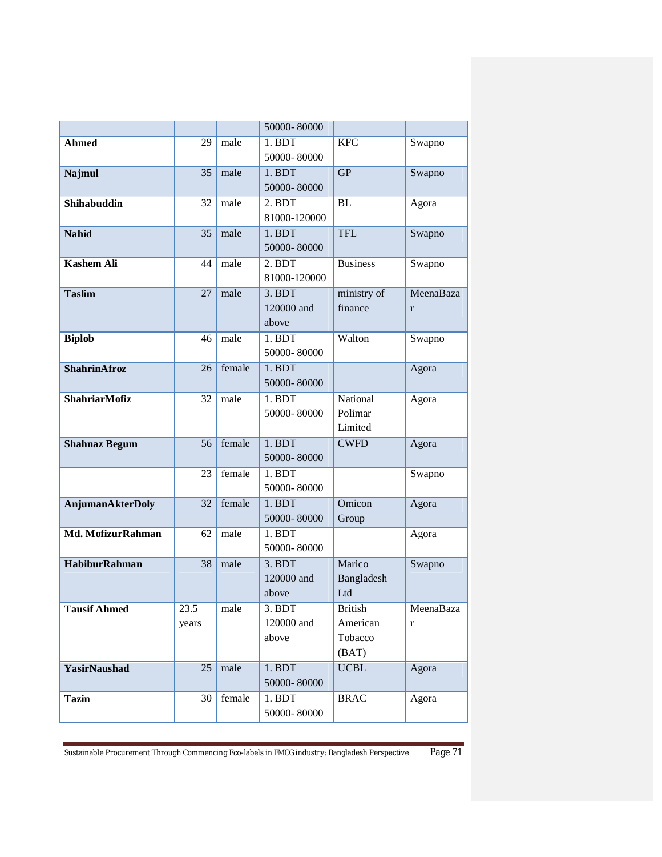|                      |               |        | 50000-80000                     |                                                |                           |
|----------------------|---------------|--------|---------------------------------|------------------------------------------------|---------------------------|
| <b>Ahmed</b>         | 29            | male   | 1. BDT<br>50000-80000           | <b>KFC</b>                                     | Swapno                    |
| <b>Najmul</b>        | 35            | male   | 1. BDT<br>50000-80000           | <b>GP</b>                                      | Swapno                    |
| Shihabuddin          | 32            | male   | 2. BDT<br>81000-120000          | <b>BL</b>                                      | Agora                     |
| <b>Nahid</b>         | 35            | male   | 1. BDT<br>50000-80000           | <b>TFL</b>                                     | Swapno                    |
| <b>Kashem Ali</b>    | 44            | male   | 2. BDT<br>81000-120000          | <b>Business</b>                                | Swapno                    |
| <b>Taslim</b>        | 27            | male   | 3. BDT<br>120000 and<br>above   | ministry of<br>finance                         | MeenaBaza<br>$\mathbf{r}$ |
| <b>Biplob</b>        | 46            | male   | 1. BDT<br>50000-80000           | Walton                                         | Swapno                    |
| <b>ShahrinAfroz</b>  | 26            | female | 1. BDT<br>50000-80000           |                                                | Agora                     |
| ShahriarMofiz        | 32            | male   | 1. BDT<br>50000-80000           | National<br>Polimar<br>Limited                 | Agora                     |
| <b>Shahnaz Begum</b> | 56            | female | 1. BDT<br>50000-80000           | <b>CWFD</b>                                    | Agora                     |
|                      | 23            | female | 1. BDT<br>50000-80000           |                                                | Swapno                    |
| AnjumanAkterDoly     | 32            | female | 1. BDT<br>50000-80000           | Omicon<br>Group                                | Agora                     |
| Md. MofizurRahman    | 62            | male   | 1. BDT<br>50000-80000           |                                                | Agora                     |
| <b>HabiburRahman</b> | 38            | male   | $3.$ BDT<br>120000 and<br>above | Marico<br>Bangladesh<br>Ltd                    | Swapno                    |
| <b>Tausif Ahmed</b>  | 23.5<br>years | male   | 3. BDT<br>120000 and<br>above   | <b>British</b><br>American<br>Tobacco<br>(BAT) | MeenaBaza<br>$\mathbf{r}$ |
| <b>YasirNaushad</b>  | 25            | male   | 1. BDT<br>50000-80000           | <b>UCBL</b>                                    | Agora                     |
| <b>Tazin</b>         | 30            | female | 1. BDT<br>50000-80000           | <b>BRAC</b>                                    | Agora                     |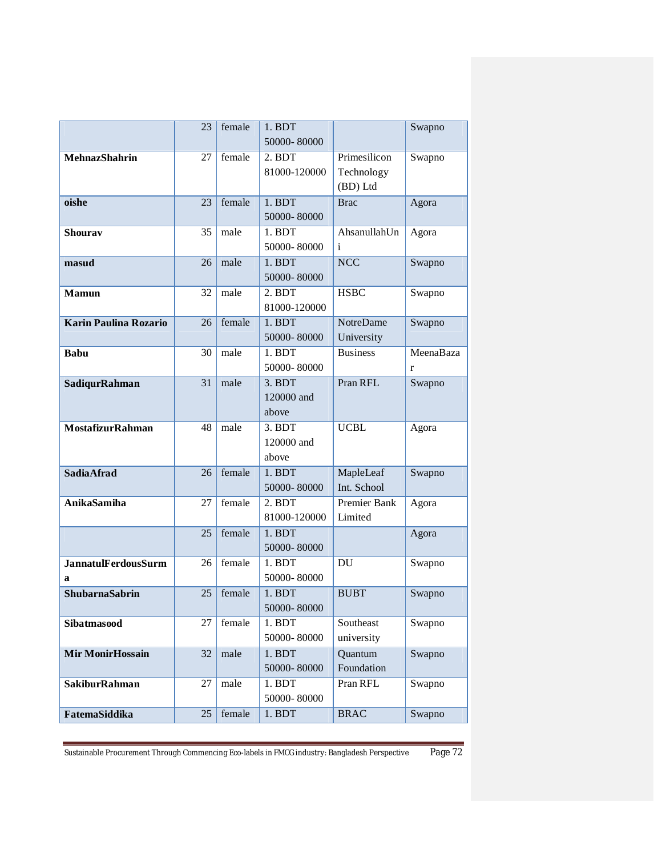|                                 | 23 | female | 1. BDT                                |                            | Swapno                    |
|---------------------------------|----|--------|---------------------------------------|----------------------------|---------------------------|
| <b>MehnazShahrin</b>            | 27 | female | 50000-80000<br>2. BDT<br>81000-120000 | Primesilicon<br>Technology | Swapno                    |
|                                 |    |        |                                       | (BD) Ltd                   |                           |
| oishe                           | 23 | female | 1. BDT<br>50000-80000                 | <b>Brac</b>                | Agora                     |
| <b>Shourav</b>                  | 35 | male   | 1. BDT<br>50000-80000                 | AhsanullahUn<br>i          | Agora                     |
| masud                           | 26 | male   | 1. BDT<br>50000-80000                 | <b>NCC</b>                 | Swapno                    |
| <b>Mamun</b>                    | 32 | male   | 2. BDT<br>81000-120000                | <b>HSBC</b>                | Swapno                    |
| <b>Karin Paulina Rozario</b>    | 26 | female | 1. BDT<br>50000-80000                 | NotreDame<br>University    | Swapno                    |
| <b>Babu</b>                     | 30 | male   | 1. BDT<br>50000-80000                 | <b>Business</b>            | MeenaBaza<br>$\mathbf{r}$ |
| SadiqurRahman                   | 31 | male   | 3. BDT<br>120000 and<br>above         | Pran RFL                   | Swapno                    |
| <b>MostafizurRahman</b>         | 48 | male   | 3. BDT<br>120000 and<br>above         | <b>UCBL</b>                | Agora                     |
| <b>SadiaAfrad</b>               | 26 | female | 1. BDT<br>50000-80000                 | MapleLeaf<br>Int. School   | Swapno                    |
| <b>AnikaSamiha</b>              | 27 | female | 2. BDT<br>81000-120000                | Premier Bank<br>Limited    | Agora                     |
|                                 | 25 | female | 1. BDT<br>50000-80000                 |                            | Agora                     |
| <b>JannatulFerdousSurm</b><br>a | 26 | female | 1. BDT<br>50000-80000                 | DU                         | Swapno                    |
| <b>ShubarnaSabrin</b>           | 25 | female | 1. BDT<br>50000-80000                 | <b>BUBT</b>                | Swapno                    |
| Sibatmasood                     | 27 | female | 1. BDT<br>50000-80000                 | Southeast<br>university    | Swapno                    |
| <b>Mir MonirHossain</b>         | 32 | male   | 1. BDT<br>50000-80000                 | Quantum<br>Foundation      | Swapno                    |
| <b>SakiburRahman</b>            | 27 | male   | 1. BDT<br>50000-80000                 | Pran RFL                   | Swapno                    |
| FatemaSiddika                   | 25 | female | 1. BDT                                | <b>BRAC</b>                | Swapno                    |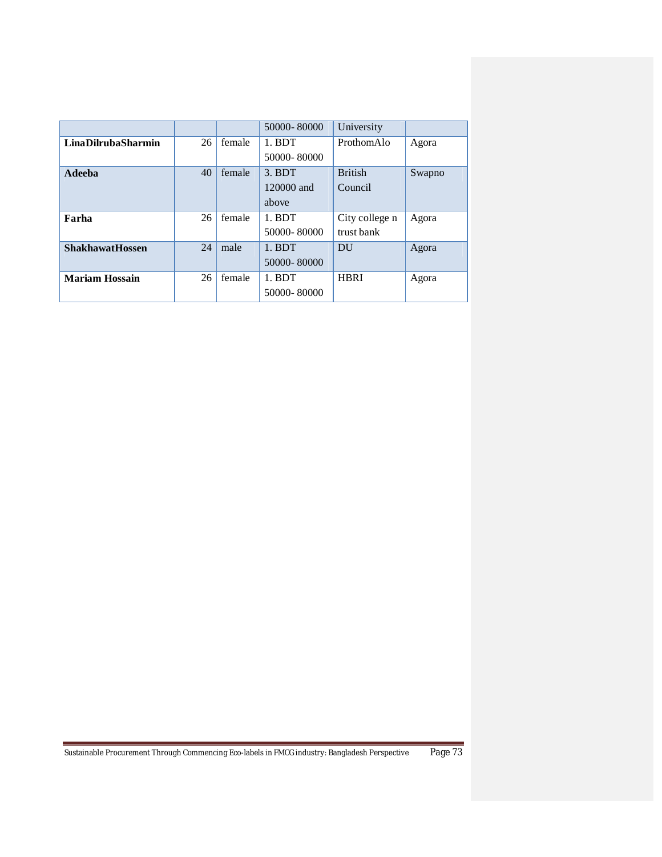|                           |    |        | 50000-80000 | University     |        |
|---------------------------|----|--------|-------------|----------------|--------|
| <b>LinaDilrubaSharmin</b> | 26 | female | 1. BDT      | ProthomAlo     | Agora  |
|                           |    |        | 50000-80000 |                |        |
| Adeeba                    | 40 | female | $3.$ BDT    | <b>British</b> | Swapno |
|                           |    |        | 120000 and  | Council        |        |
|                           |    |        | above       |                |        |
| Farha                     | 26 | female | 1. BDT      | City college n | Agora  |
|                           |    |        | 50000-80000 | trust bank     |        |
| <b>ShakhawatHossen</b>    | 24 | male   | $1.$ BDT    | DU             | Agora  |
|                           |    |        | 50000-80000 |                |        |
| <b>Mariam Hossain</b>     | 26 | female | 1. BDT      | <b>HBRI</b>    | Agora  |
|                           |    |        | 50000-80000 |                |        |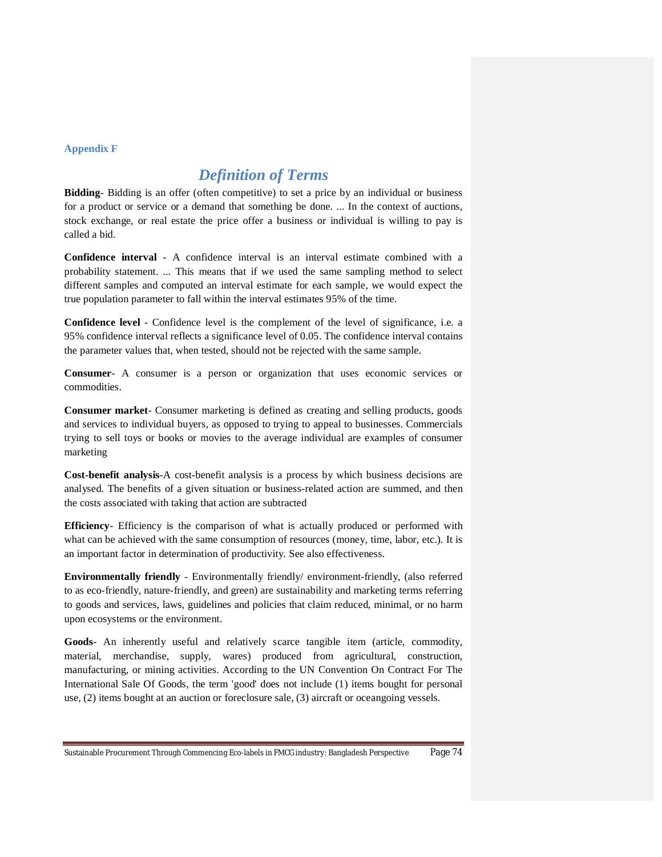### **Appendix F**

# *Definition of Terms*

**Bidding**- Bidding is an offer (often competitive) to set a price by an individual or business for a product or service or a demand that something be done. ... In the context of auctions, stock exchange, or real estate the price offer a business or individual is willing to pay is called a bid.

**Confidence interval** - A confidence interval is an interval estimate combined with a probability statement. ... This means that if we used the same sampling method to select different samples and computed an interval estimate for each sample, we would expect the true population parameter to fall within the interval estimates 95% of the time.

**Confidence level** - Confidence level is the complement of the level of significance, i.e. a 95% confidence interval reflects a significance level of 0.05. The confidence interval contains the parameter values that, when tested, should not be rejected with the same sample.

**Consumer**- A consumer is a person or organization that uses economic services or commodities.

**Consumer market**- Consumer marketing is defined as creating and selling products, goods and services to individual buyers, as opposed to trying to appeal to businesses. Commercials trying to sell toys or books or movies to the average individual are examples of consumer marketing

**Cost-benefit analysis**-A cost-benefit analysis is a process by which business decisions are analysed. The benefits of a given situation or business-related action are summed, and then the costs associated with taking that action are subtracted

**Efficiency**- Efficiency is the comparison of what is actually produced or performed with what can be achieved with the same consumption of resources (money, time, labor, etc.). It is an important factor in determination of productivity. See also effectiveness.

**Environmentally friendly** - Environmentally friendly/ environment-friendly, (also referred to as eco-friendly, nature-friendly, and green) are sustainability and marketing terms referring to goods and services, laws, guidelines and policies that claim reduced, minimal, or no harm upon ecosystems or the environment.

**Goods-** An inherently useful and relatively scarce tangible item (article, commodity, material, merchandise, supply, wares) produced from agricultural, construction, manufacturing, or mining activities. According to the UN Convention On Contract For The International Sale Of Goods, the term 'good' does not include (1) items bought for personal use, (2) items bought at an auction or foreclosure sale, (3) aircraft or oceangoing vessels.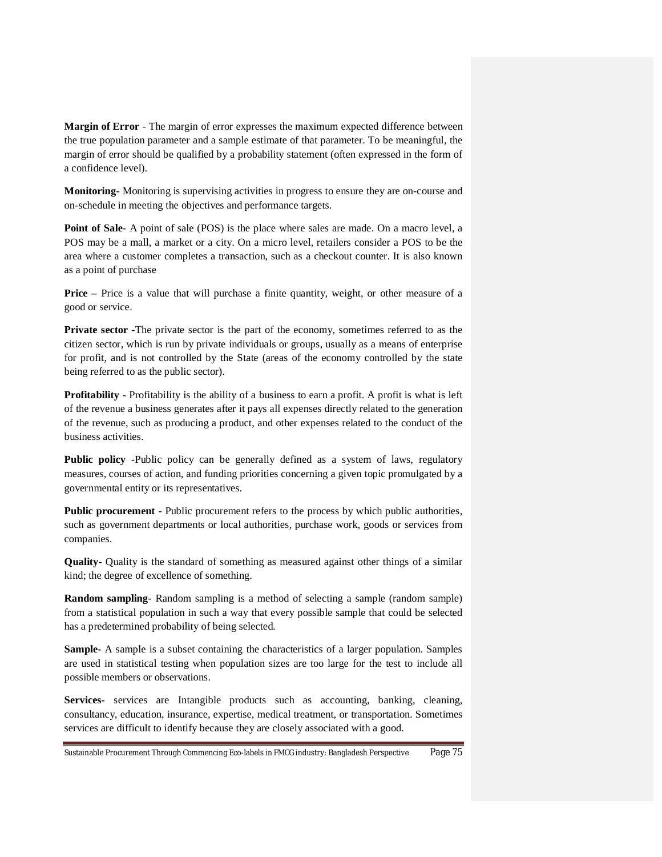**Margin of Error** - The margin of error expresses the maximum expected difference between the true population parameter and a sample estimate of that parameter. To be meaningful, the margin of error should be qualified by a probability statement (often expressed in the form of a confidence level).

**Monitoring-** Monitoring is supervising activities in progress to ensure they are on-course and on-schedule in meeting the objectives and performance targets.

**Point of Sale-** A point of sale (POS) is the place where sales are made. On a macro level, a POS may be a mall, a market or a city. On a micro level, retailers consider a POS to be the area where a customer completes a transaction, such as a checkout counter. It is also known as a point of purchase

**Price** – Price is a value that will purchase a finite quantity, weight, or other measure of a good or service.

**Private sector -**The private sector is the part of the economy, sometimes referred to as the citizen sector, which is run by private individuals or groups, usually as a means of enterprise for profit, and is not controlled by the State (areas of the economy controlled by the state being referred to as the public sector).

**Profitability -** Profitability is the ability of a business to earn a profit. A profit is what is left of the revenue a business generates after it pays all expenses directly related to the generation of the revenue, such as producing a product, and other expenses related to the conduct of the business activities.

**Public policy** -Public policy can be generally defined as a system of laws, regulatory measures, courses of action, and funding priorities concerning a given topic promulgated by a governmental entity or its representatives.

**Public procurement -** Public procurement refers to the process by which public authorities, such as government departments or local authorities, purchase work, goods or services from companies.

**Quality-** Quality is the standard of something as measured against other things of a similar kind; the degree of excellence of something.

**Random sampling-** Random sampling is a method of selecting a sample (random sample) from a statistical population in such a way that every possible sample that could be selected has a predetermined probability of being selected.

**Sample-** A sample is a subset containing the characteristics of a larger population. Samples are used in statistical testing when population sizes are too large for the test to include all possible members or observations.

**Services-** services are Intangible products such as accounting, banking, cleaning, consultancy, education, insurance, expertise, medical treatment, or transportation. Sometimes services are difficult to identify because they are closely associated with a good.

```
Sustainable Procurement Through Commencing Eco-labels in FMCG industry: Bangladesh Perspective Page 75
```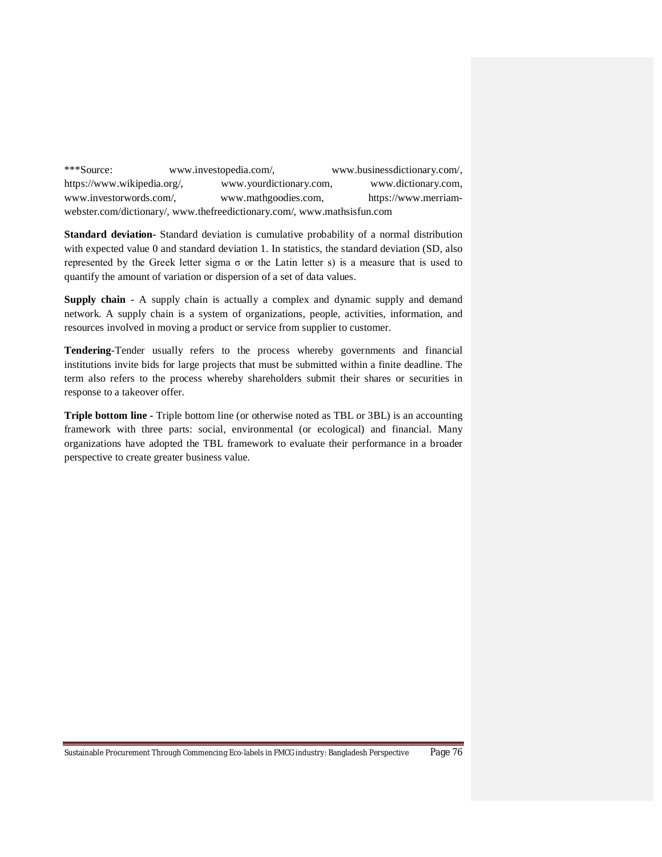\*\*\*Source: www.investopedia.com/, www.businessdictionary.com/, https://www.wikipedia.org/, www.yourdictionary.com, www.dictionary.com, www.investorwords.com/, www.mathgoodies.com, https://www.merriamwebster.com/dictionary/, www.thefreedictionary.com/, www.mathsisfun.com

**Standard deviation-** Standard deviation is cumulative probability of a normal distribution with expected value 0 and standard deviation 1. In statistics, the standard deviation (SD, also represented by the Greek letter sigma  $\sigma$  or the Latin letter s) is a measure that is used to quantify the amount of variation or dispersion of a set of data values.

**Supply chain -** A supply chain is actually a complex and dynamic supply and demand network. A supply chain is a system of organizations, people, activities, information, and resources involved in moving a product or service from supplier to customer.

**Tendering**-Tender usually refers to the process whereby governments and financial institutions invite bids for large projects that must be submitted within a finite deadline. The term also refers to the process whereby shareholders submit their shares or securities in response to a takeover offer.

**Triple bottom line -** Triple bottom line (or otherwise noted as TBL or 3BL) is an accounting framework with three parts: social, environmental (or ecological) and financial. Many organizations have adopted the TBL framework to evaluate their performance in a broader perspective to create greater business value.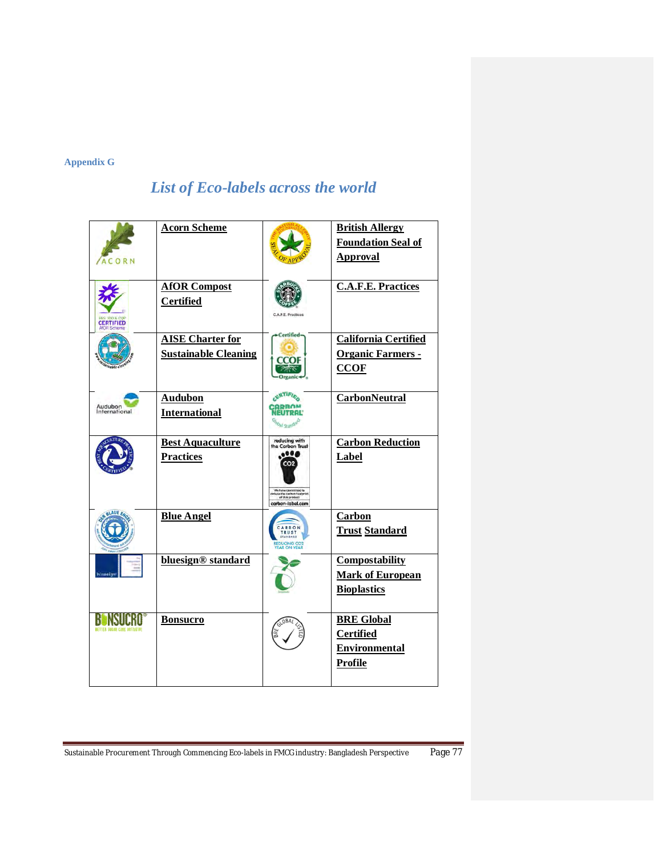## **Appendix G**

# *List of Eco-labels across the world*

| <b>ACORN</b>                             | <b>Acorn Scheme</b>                                    |                                                                                                                                                       | <b>British Allergy</b><br><b>Foundation Seal of</b><br><b>Approval</b>          |
|------------------------------------------|--------------------------------------------------------|-------------------------------------------------------------------------------------------------------------------------------------------------------|---------------------------------------------------------------------------------|
| <b>CERTIFIED</b><br><b>ANTIP Scharma</b> | <b>AfOR Compost</b><br><b>Certified</b>                | <b>C.A.F.E. Practices</b>                                                                                                                             | <b>C.A.F.E. Practices</b>                                                       |
|                                          | <b>AISE Charter for</b><br><b>Sustainable Cleaning</b> | Certified-<br>CCOF                                                                                                                                    | <b>California Certified</b><br><b>Organic Farmers -</b><br><b>CCOF</b>          |
| Audubon<br>International                 | <b>Audubon</b><br><b>International</b>                 | <b>CERTIFIE</b><br>CARROM<br><b>NEUTRAL</b><br><b>Dobal Starsts</b>                                                                                   | <b>CarbonNeutral</b>                                                            |
|                                          | <b>Best Aquaculture</b><br><b>Practices</b>            | reducing with<br>the Carbon Trust<br>.<br>CO <sub>2</sub><br>We have committed to<br>educe the carbon footprin<br>of this product<br>carbon-label.com | <b>Carbon Reduction</b><br>Label                                                |
|                                          | <b>Blue Angel</b>                                      | <b>ARBON</b><br><b>TRUST</b><br><b>STANDARD</b><br>REDUCING COZ                                                                                       | Carbon<br><b>Trust Standard</b>                                                 |
|                                          | bluesign® standard                                     |                                                                                                                                                       | <b>Compostability</b><br><b>Mark of European</b><br><b>Bioplastics</b>          |
| <b>BETTER SHOAR CARE INITIATIVE</b>      | <b>Bonsucro</b>                                        |                                                                                                                                                       | <b>BRE Global</b><br><b>Certified</b><br><b>Environmental</b><br><b>Profile</b> |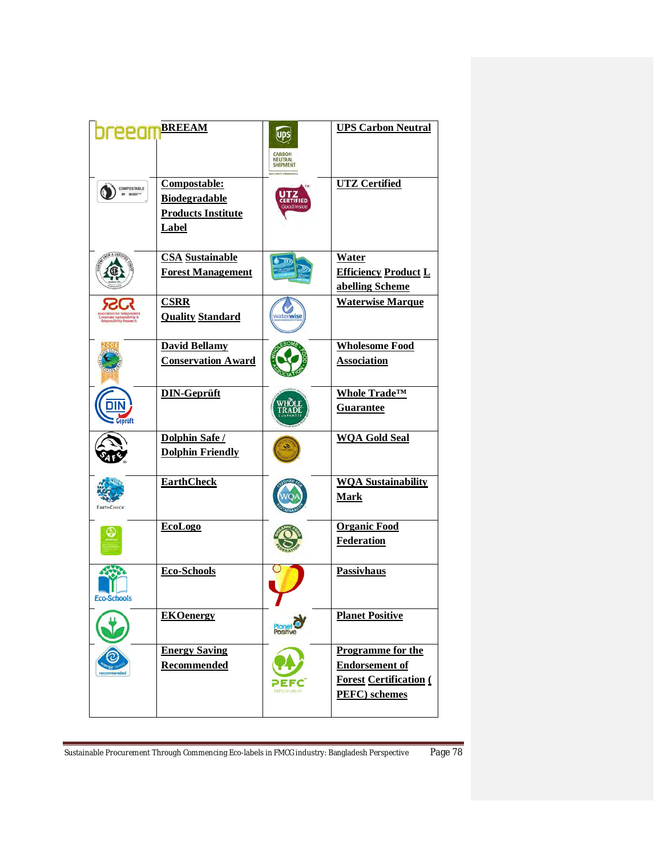| <b>DFEEQITIEREEAM</b>                 |                                                                                   | ups)<br>CARBON<br>NEUTRAL<br>SHIPMENT         | <b>UPS Carbon Neutral</b>                                                                           |
|---------------------------------------|-----------------------------------------------------------------------------------|-----------------------------------------------|-----------------------------------------------------------------------------------------------------|
| COMPOSTABLE                           | Compostable:<br><b>Biodegradable</b><br><b>Products Institute</b><br><b>Label</b> | JTZ<br><b>CERTIFIED</b><br><b>Good inside</b> | <b>UTZ</b> Certified                                                                                |
|                                       | <b>CSA</b> Sustainable<br><b>Forest Management</b>                                |                                               | Water<br><b>Efficiency Product L</b><br>abelling Scheme                                             |
| e Sustainability &<br>Joshty Research | <b>CSRR</b><br><b>Quality Standard</b>                                            | <i>raterwise</i>                              | <b>Waterwise Marque</b>                                                                             |
|                                       | <b>David Bellamy</b><br><b>Conservation Award</b>                                 |                                               | <b>Wholesome Food</b><br><b>Association</b>                                                         |
| Geprüft                               | <b>DIN-Geprüft</b>                                                                |                                               | Whole Trade™<br><b>Guarantee</b>                                                                    |
|                                       | Dolphin Safe /<br><b>Dolphin Friendly</b>                                         |                                               | <b>WQA Gold Seal</b>                                                                                |
| EARTHCHECK                            | <b>EarthCheck</b>                                                                 |                                               | <b>WOA Sustainability</b><br><u>Mark</u>                                                            |
|                                       | <b>EcoLogo</b>                                                                    |                                               | <b>Organic Food</b><br><b>Federation</b>                                                            |
| <b>Eco-Schools</b>                    | <b>Eco-Schools</b>                                                                |                                               | <b>Passivhaus</b>                                                                                   |
|                                       | <b>EKOenergy</b>                                                                  | Planet <sup>*</sup><br>Positive               | <b>Planet Positive</b>                                                                              |
| ecommended                            | <b>Energy Saving</b><br>Recommended                                               |                                               | <b>Programme for the</b><br><b>Endorsement of</b><br><b>Forest Certification (</b><br>PEFC) schemes |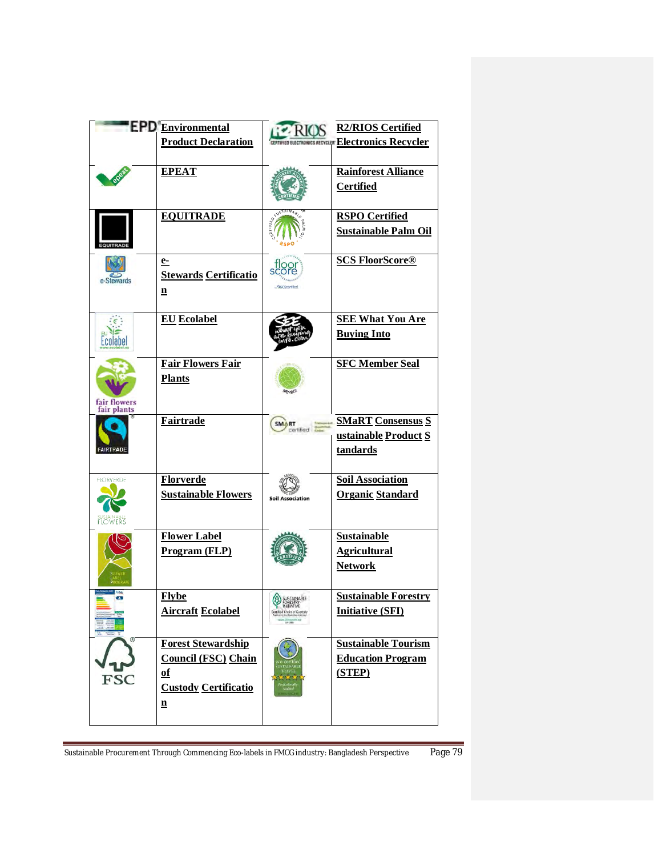| FPD                                        | <b>Environmental</b>                                                                                    |                                                                       | <b>R2/RIOS Certified</b>                                         |
|--------------------------------------------|---------------------------------------------------------------------------------------------------------|-----------------------------------------------------------------------|------------------------------------------------------------------|
|                                            | <b>Product Declaration</b>                                                                              |                                                                       | THEO ELECTRONICS RECYCLER Electronics Recycler                   |
|                                            | <b>EPEAT</b>                                                                                            |                                                                       | <b>Rainforest Alliance</b><br><b>Certified</b>                   |
|                                            | <b>EQUITRADE</b>                                                                                        |                                                                       | <b>RSPO</b> Certified<br><b>Sustainable Palm Oil</b>             |
| e Stewards                                 | e-<br><b>Stewards Certificatio</b><br>$\underline{\mathbf{n}}$                                          | score<br><b>OSCScertified</b>                                         | <b>SCS FloorScore®</b>                                           |
| Ecolabel                                   | <b>EU</b> Ecolabel                                                                                      |                                                                       | <b>SEE What You Are</b><br><b>Buying Into</b>                    |
| fair flowers<br>fair plants                | <b>Fair Flowers Fair</b><br><b>Plants</b>                                                               | <b>MEMBER</b>                                                         | <b>SFC Member Seal</b>                                           |
| AIRTRADE                                   | <b>Fairtrade</b>                                                                                        | <b>SMART</b><br>certified                                             | <b>SMaRT</b> Consensus S<br>ustainable Product S<br>tandards     |
| <b>FLORVERDE</b><br>SUSTAINABLE<br>FLOWERS | Florverde<br><b>Sustainable Flowers</b>                                                                 | <b>Soil Association</b>                                               | <b>Soil Association</b><br><b>Organic Standard</b>               |
|                                            | <b>Flower Label</b><br><b>Program (FLP)</b>                                                             |                                                                       | <b>Sustainable</b><br><b>Agricultural</b><br><b>Network</b>      |
|                                            | <b>Flybe</b><br><b>Aircraft Ecolabel</b>                                                                | SUSTAINABLE<br>INITIATIVE<br>Certified Chain of Custody<br>ting Susta | <b>Sustainable Forestry</b><br><b>Initiative (SFI)</b>           |
| <b>FSC</b>                                 | <b>Forest Stewardship</b><br><b>Council (FSC) Chain</b><br>$\Omega$<br><b>Custody Certificatio</b><br>n |                                                                       | <b>Sustainable Tourism</b><br><b>Education Program</b><br>(STEP) |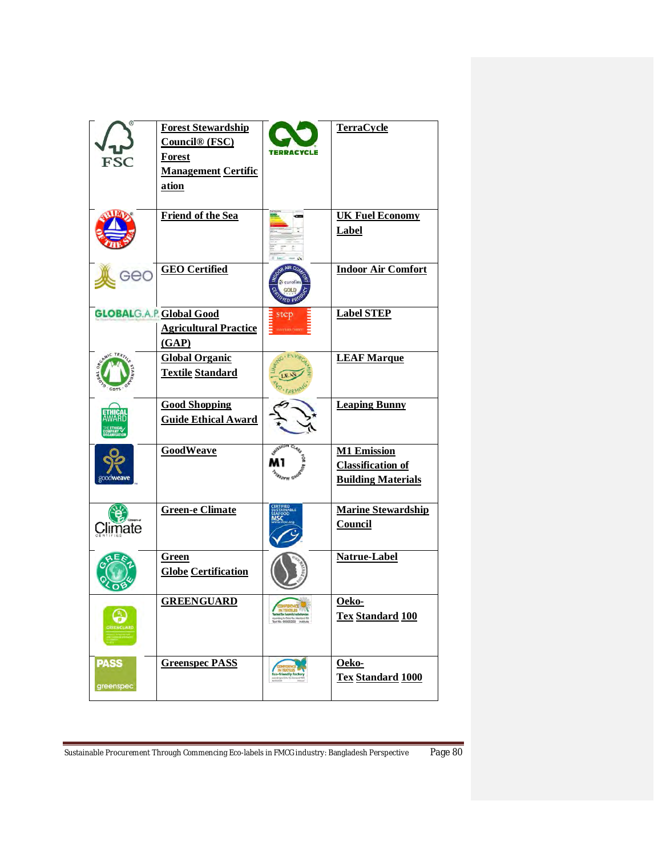| <b>FSC</b>               | <b>Forest Stewardship</b><br>Council <sup>®</sup> (FSC)<br>Forest<br><b>Management Certific</b><br>ation |                                                                                  | <b>TerraCycle</b>                                                           |
|--------------------------|----------------------------------------------------------------------------------------------------------|----------------------------------------------------------------------------------|-----------------------------------------------------------------------------|
|                          | <b>Friend of the Sea</b>                                                                                 |                                                                                  | <b>UK Fuel Economy</b><br><b>Label</b>                                      |
| Geo                      | <b>GEO</b> Certified                                                                                     |                                                                                  | <b>Indoor Air Comfort</b>                                                   |
|                          | <b>GLOBALG.A.P. Global Good</b><br><b>Agricultural Practice</b><br>(GAP)                                 | step<br><b><i><u>ALTERNATION</u></i></b>                                         | <b>Label STEP</b>                                                           |
| GOT5                     | <b>Global Organic</b><br><b>Textile Standard</b>                                                         |                                                                                  | <b>LEAF Marque</b>                                                          |
|                          | <b>Good Shopping</b><br><b>Guide Ethical Award</b>                                                       |                                                                                  | <b>Leaping Bunny</b>                                                        |
| goodweave                | <b>GoodWeave</b>                                                                                         |                                                                                  | <b>M1 Emission</b><br><b>Classification of</b><br><b>Building Materials</b> |
| Climate                  | <b>Green-e Climate</b>                                                                                   |                                                                                  | <b>Marine Stewardship</b><br>Council                                        |
|                          | <b>Green</b><br><b>Globe Certification</b>                                                               |                                                                                  | Natrue-Label                                                                |
|                          | <b>GREENGUARD</b>                                                                                        | IN TEXTILES<br>occording to Ooke-fiss Standard RD<br>Test No. 00000000 Institute | Oeko-<br><b>Tex Standard 100</b>                                            |
| <b>PASS</b><br>greenspec | <b>Greenspec PASS</b>                                                                                    | CONFIDENCE<br><b>Eco-friendly factory</b>                                        | Oeko-<br><b>Tex Standard 1000</b>                                           |